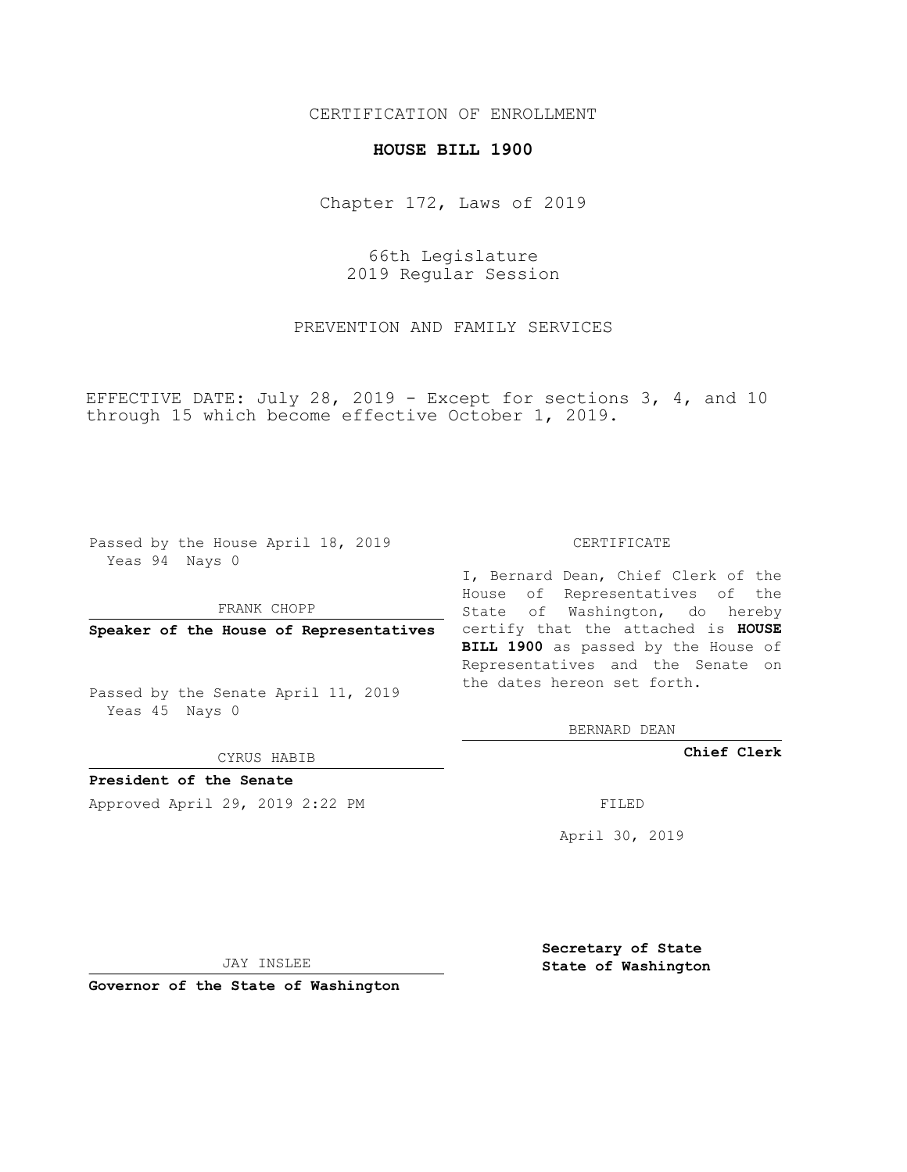### CERTIFICATION OF ENROLLMENT

#### **HOUSE BILL 1900**

Chapter 172, Laws of 2019

66th Legislature 2019 Regular Session

PREVENTION AND FAMILY SERVICES

EFFECTIVE DATE: July 28, 2019 - Except for sections 3, 4, and 10 through 15 which become effective October 1, 2019.

Passed by the House April 18, 2019 Yeas 94 Nays 0

FRANK CHOPP

Passed by the Senate April 11, 2019 Yeas 45 Nays 0

CYRUS HABIB

**President of the Senate**

Approved April 29, 2019 2:22 PM FILED

#### CERTIFICATE

**Speaker of the House of Representatives** certify that the attached is **HOUSE** I, Bernard Dean, Chief Clerk of the House of Representatives of the State of Washington, do hereby **BILL 1900** as passed by the House of Representatives and the Senate on the dates hereon set forth.

BERNARD DEAN

**Chief Clerk**

April 30, 2019

JAY INSLEE

**Governor of the State of Washington**

**Secretary of State State of Washington**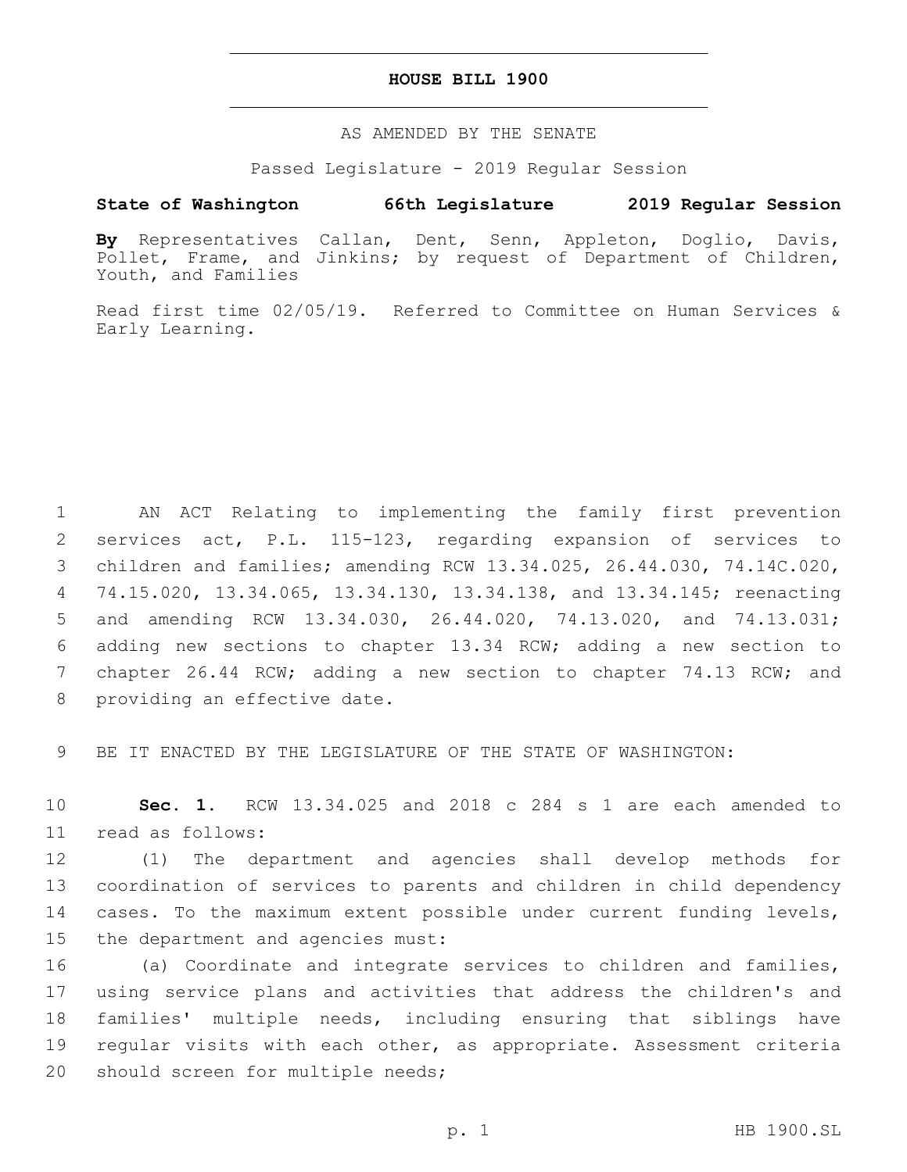#### **HOUSE BILL 1900**

#### AS AMENDED BY THE SENATE

Passed Legislature - 2019 Regular Session

## **State of Washington 66th Legislature 2019 Regular Session**

**By** Representatives Callan, Dent, Senn, Appleton, Doglio, Davis, Pollet, Frame, and Jinkins; by request of Department of Children, Youth, and Families

Read first time 02/05/19. Referred to Committee on Human Services & Early Learning.

 AN ACT Relating to implementing the family first prevention services act, P.L. 115-123, regarding expansion of services to children and families; amending RCW 13.34.025, 26.44.030, 74.14C.020, 74.15.020, 13.34.065, 13.34.130, 13.34.138, and 13.34.145; reenacting and amending RCW 13.34.030, 26.44.020, 74.13.020, and 74.13.031; adding new sections to chapter 13.34 RCW; adding a new section to chapter 26.44 RCW; adding a new section to chapter 74.13 RCW; and 8 providing an effective date.

9 BE IT ENACTED BY THE LEGISLATURE OF THE STATE OF WASHINGTON:

10 **Sec. 1.** RCW 13.34.025 and 2018 c 284 s 1 are each amended to 11 read as follows:

 (1) The department and agencies shall develop methods for coordination of services to parents and children in child dependency cases. To the maximum extent possible under current funding levels, 15 the department and agencies must:

 (a) Coordinate and integrate services to children and families, using service plans and activities that address the children's and families' multiple needs, including ensuring that siblings have regular visits with each other, as appropriate. Assessment criteria 20 should screen for multiple needs;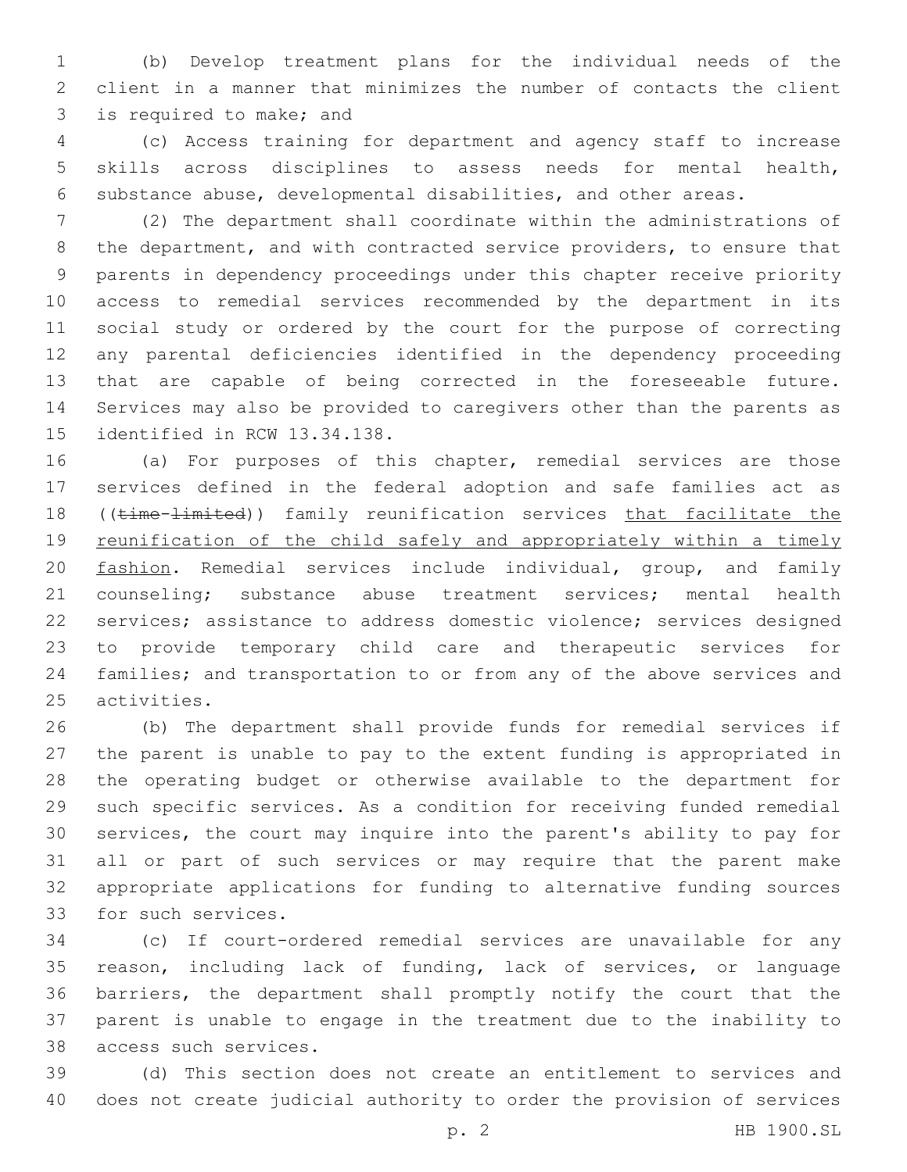(b) Develop treatment plans for the individual needs of the client in a manner that minimizes the number of contacts the client 3 is required to make; and

 (c) Access training for department and agency staff to increase skills across disciplines to assess needs for mental health, substance abuse, developmental disabilities, and other areas.

 (2) The department shall coordinate within the administrations of the department, and with contracted service providers, to ensure that parents in dependency proceedings under this chapter receive priority access to remedial services recommended by the department in its social study or ordered by the court for the purpose of correcting any parental deficiencies identified in the dependency proceeding that are capable of being corrected in the foreseeable future. Services may also be provided to caregivers other than the parents as 15 identified in RCW 13.34.138.

 (a) For purposes of this chapter, remedial services are those services defined in the federal adoption and safe families act as 18 ((time-limited)) family reunification services that facilitate the 19 reunification of the child safely and appropriately within a timely fashion. Remedial services include individual, group, and family counseling; substance abuse treatment services; mental health services; assistance to address domestic violence; services designed to provide temporary child care and therapeutic services for families; and transportation to or from any of the above services and 25 activities.

 (b) The department shall provide funds for remedial services if the parent is unable to pay to the extent funding is appropriated in the operating budget or otherwise available to the department for such specific services. As a condition for receiving funded remedial services, the court may inquire into the parent's ability to pay for all or part of such services or may require that the parent make appropriate applications for funding to alternative funding sources 33 for such services.

 (c) If court-ordered remedial services are unavailable for any reason, including lack of funding, lack of services, or language barriers, the department shall promptly notify the court that the parent is unable to engage in the treatment due to the inability to 38 access such services.

 (d) This section does not create an entitlement to services and does not create judicial authority to order the provision of services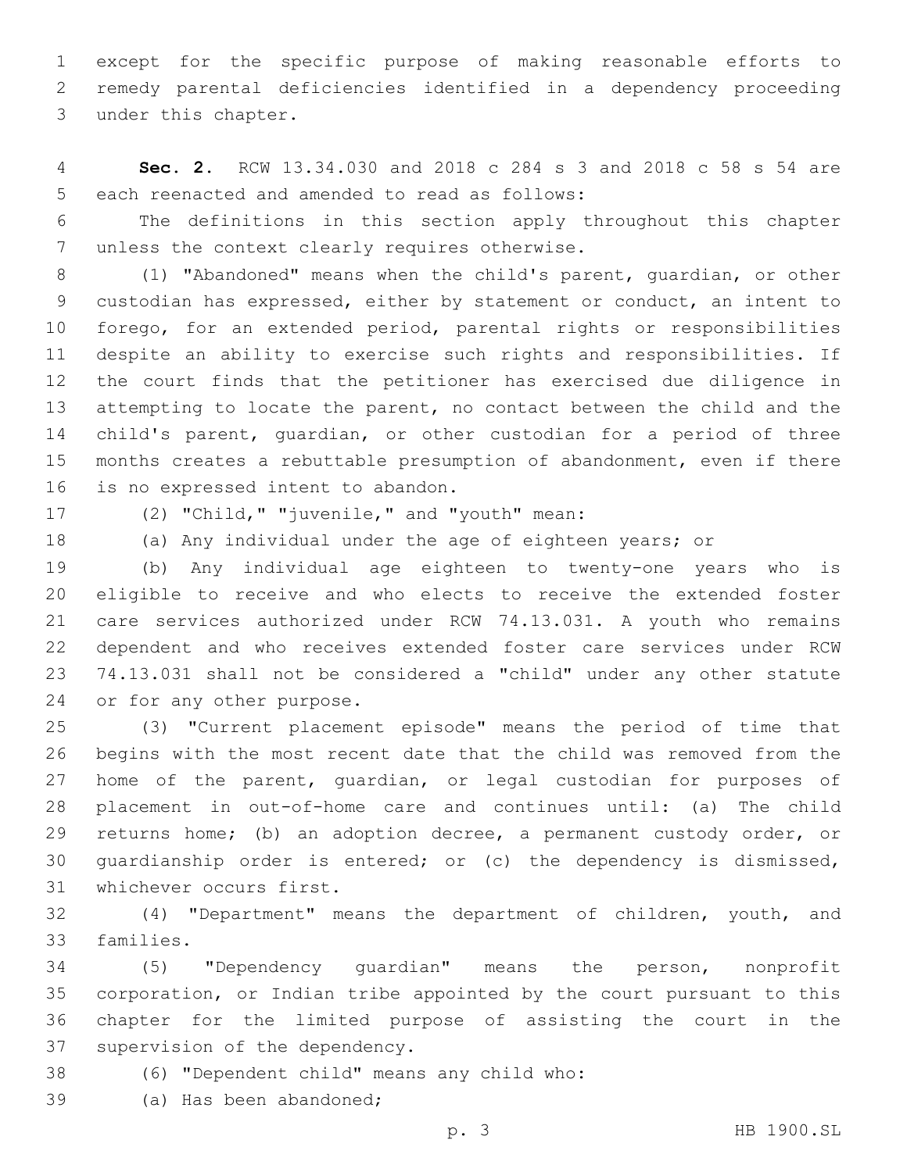except for the specific purpose of making reasonable efforts to remedy parental deficiencies identified in a dependency proceeding 3 under this chapter.

 **Sec. 2.** RCW 13.34.030 and 2018 c 284 s 3 and 2018 c 58 s 54 are 5 each reenacted and amended to read as follows:

 The definitions in this section apply throughout this chapter 7 unless the context clearly requires otherwise.

 (1) "Abandoned" means when the child's parent, guardian, or other custodian has expressed, either by statement or conduct, an intent to forego, for an extended period, parental rights or responsibilities despite an ability to exercise such rights and responsibilities. If the court finds that the petitioner has exercised due diligence in attempting to locate the parent, no contact between the child and the child's parent, guardian, or other custodian for a period of three months creates a rebuttable presumption of abandonment, even if there 16 is no expressed intent to abandon.

17 (2) "Child," "juvenile," and "youth" mean:

(a) Any individual under the age of eighteen years; or

 (b) Any individual age eighteen to twenty-one years who is eligible to receive and who elects to receive the extended foster care services authorized under RCW 74.13.031. A youth who remains dependent and who receives extended foster care services under RCW 74.13.031 shall not be considered a "child" under any other statute 24 or for any other purpose.

 (3) "Current placement episode" means the period of time that begins with the most recent date that the child was removed from the home of the parent, guardian, or legal custodian for purposes of placement in out-of-home care and continues until: (a) The child returns home; (b) an adoption decree, a permanent custody order, or guardianship order is entered; or (c) the dependency is dismissed, 31 whichever occurs first.

 (4) "Department" means the department of children, youth, and 33 families.

 (5) "Dependency guardian" means the person, nonprofit corporation, or Indian tribe appointed by the court pursuant to this chapter for the limited purpose of assisting the court in the 37 supervision of the dependency.

(6) "Dependent child" means any child who:38

39 (a) Has been abandoned;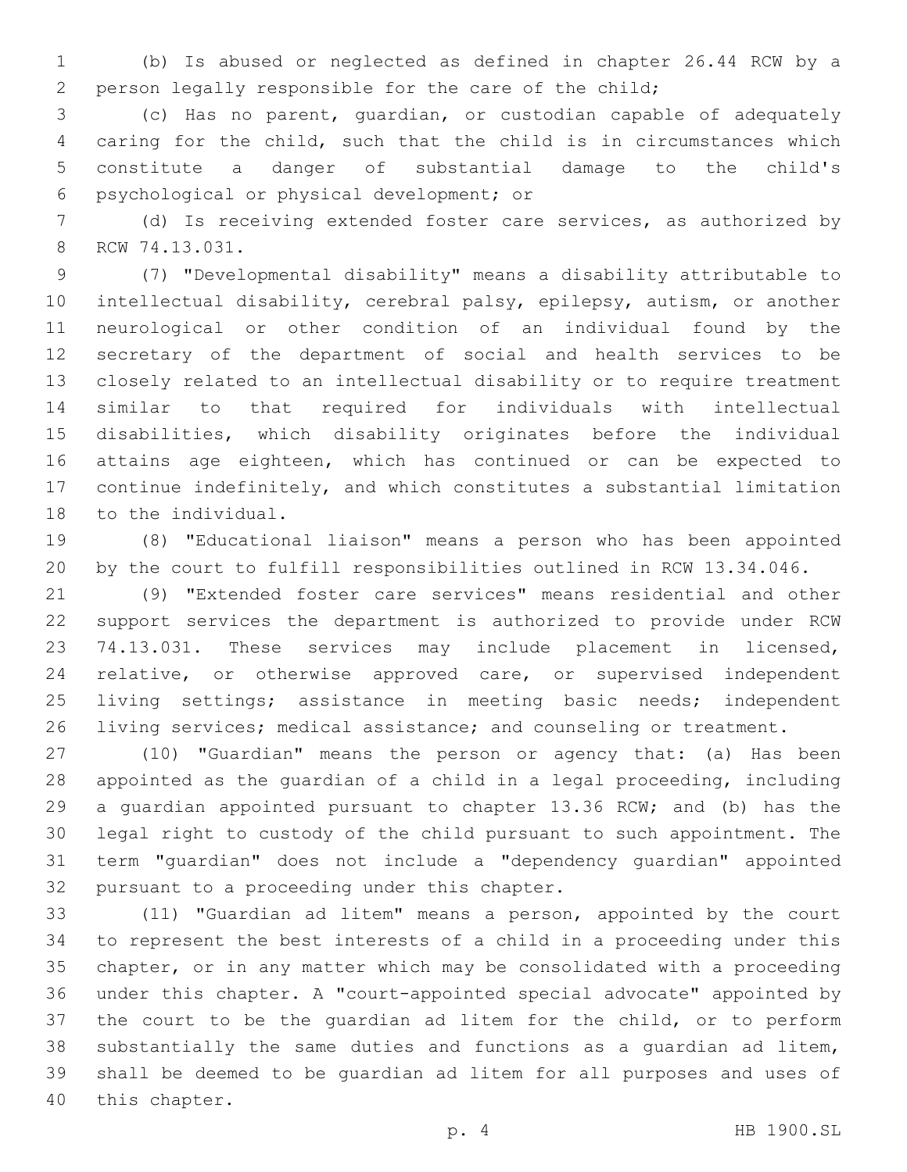(b) Is abused or neglected as defined in chapter 26.44 RCW by a person legally responsible for the care of the child;

 (c) Has no parent, guardian, or custodian capable of adequately caring for the child, such that the child is in circumstances which constitute a danger of substantial damage to the child's psychological or physical development; or6

 (d) Is receiving extended foster care services, as authorized by 8 RCW 74.13.031.

 (7) "Developmental disability" means a disability attributable to intellectual disability, cerebral palsy, epilepsy, autism, or another neurological or other condition of an individual found by the secretary of the department of social and health services to be closely related to an intellectual disability or to require treatment similar to that required for individuals with intellectual disabilities, which disability originates before the individual attains age eighteen, which has continued or can be expected to continue indefinitely, and which constitutes a substantial limitation 18 to the individual.

 (8) "Educational liaison" means a person who has been appointed by the court to fulfill responsibilities outlined in RCW 13.34.046.

 (9) "Extended foster care services" means residential and other support services the department is authorized to provide under RCW 74.13.031. These services may include placement in licensed, relative, or otherwise approved care, or supervised independent living settings; assistance in meeting basic needs; independent 26 living services; medical assistance; and counseling or treatment.

 (10) "Guardian" means the person or agency that: (a) Has been appointed as the guardian of a child in a legal proceeding, including a guardian appointed pursuant to chapter 13.36 RCW; and (b) has the legal right to custody of the child pursuant to such appointment. The term "guardian" does not include a "dependency guardian" appointed 32 pursuant to a proceeding under this chapter.

 (11) "Guardian ad litem" means a person, appointed by the court to represent the best interests of a child in a proceeding under this chapter, or in any matter which may be consolidated with a proceeding under this chapter. A "court-appointed special advocate" appointed by the court to be the guardian ad litem for the child, or to perform substantially the same duties and functions as a guardian ad litem, shall be deemed to be guardian ad litem for all purposes and uses of 40 this chapter.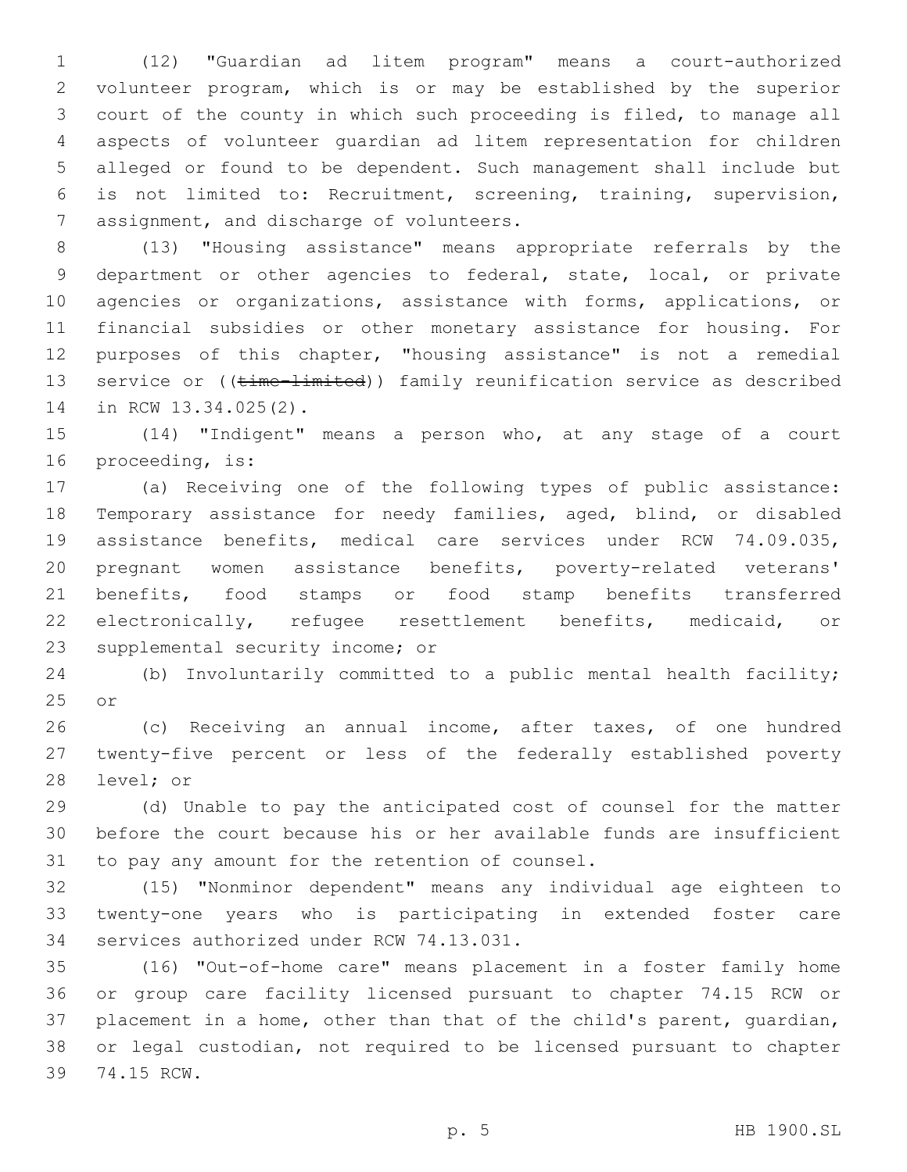(12) "Guardian ad litem program" means a court-authorized volunteer program, which is or may be established by the superior court of the county in which such proceeding is filed, to manage all aspects of volunteer guardian ad litem representation for children alleged or found to be dependent. Such management shall include but is not limited to: Recruitment, screening, training, supervision, 7 assignment, and discharge of volunteers.

 (13) "Housing assistance" means appropriate referrals by the department or other agencies to federal, state, local, or private agencies or organizations, assistance with forms, applications, or financial subsidies or other monetary assistance for housing. For purposes of this chapter, "housing assistance" is not a remedial 13 service or ((time-limited)) family reunification service as described 14 in RCW 13.34.025(2).

 (14) "Indigent" means a person who, at any stage of a court 16 proceeding, is:

 (a) Receiving one of the following types of public assistance: Temporary assistance for needy families, aged, blind, or disabled assistance benefits, medical care services under RCW 74.09.035, pregnant women assistance benefits, poverty-related veterans' benefits, food stamps or food stamp benefits transferred electronically, refugee resettlement benefits, medicaid, or 23 supplemental security income; or

 (b) Involuntarily committed to a public mental health facility; 25 or

 (c) Receiving an annual income, after taxes, of one hundred twenty-five percent or less of the federally established poverty 28 level; or

 (d) Unable to pay the anticipated cost of counsel for the matter before the court because his or her available funds are insufficient 31 to pay any amount for the retention of counsel.

 (15) "Nonminor dependent" means any individual age eighteen to twenty-one years who is participating in extended foster care 34 services authorized under RCW 74.13.031.

 (16) "Out-of-home care" means placement in a foster family home or group care facility licensed pursuant to chapter 74.15 RCW or placement in a home, other than that of the child's parent, guardian, or legal custodian, not required to be licensed pursuant to chapter 39 74.15 RCW.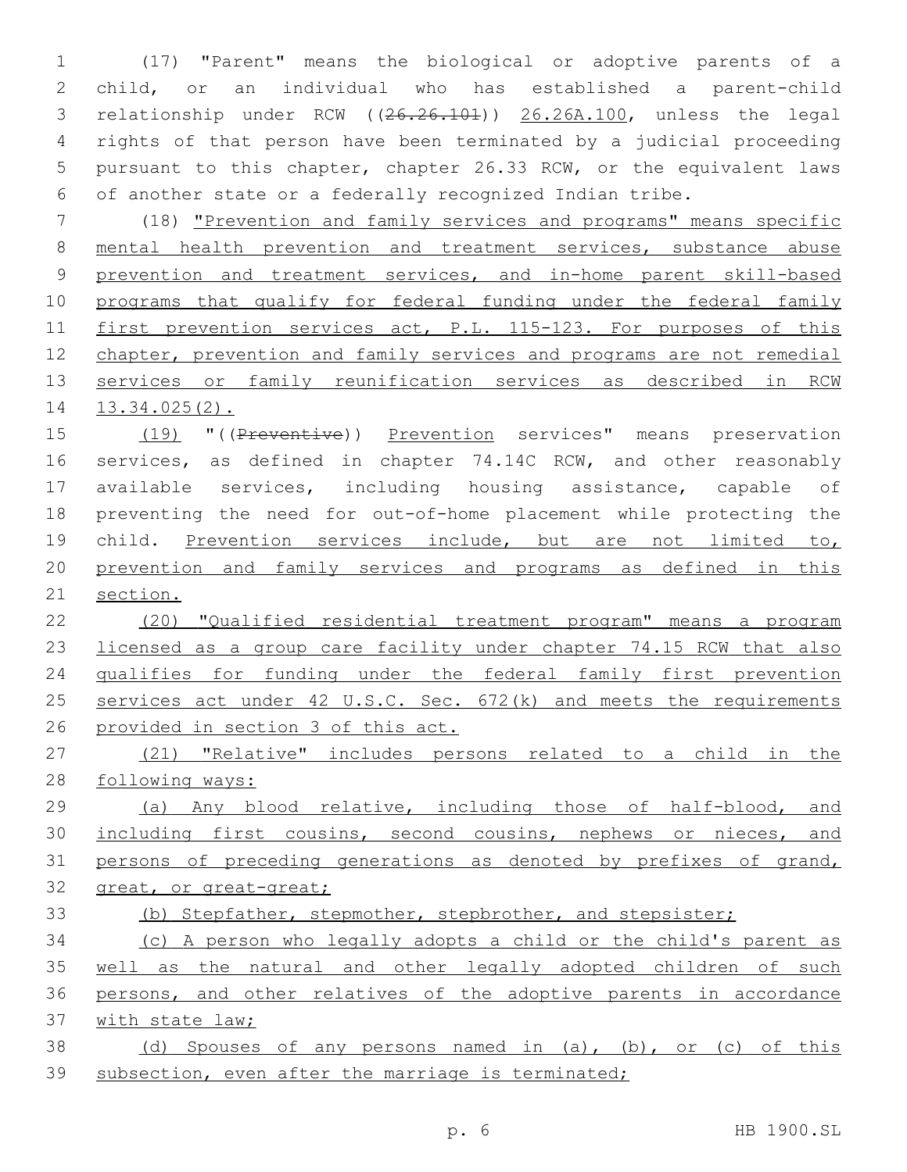(17) "Parent" means the biological or adoptive parents of a child, or an individual who has established a parent-child 3 relationship under RCW ((26.26.101)) 26.26A.100, unless the legal rights of that person have been terminated by a judicial proceeding pursuant to this chapter, chapter 26.33 RCW, or the equivalent laws of another state or a federally recognized Indian tribe.

 (18) "Prevention and family services and programs" means specific mental health prevention and treatment services, substance abuse 9 prevention and treatment services, and in-home parent skill-based programs that qualify for federal funding under the federal family 11 first prevention services act, P.L. 115-123. For purposes of this chapter, prevention and family services and programs are not remedial services or family reunification services as described in RCW 13.34.025(2).

15 (19) "((Preventive)) Prevention services" means preservation 16 services, as defined in chapter 74.14C RCW, and other reasonably available services, including housing assistance, capable of preventing the need for out-of-home placement while protecting the 19 child. Prevention services include, but are not limited to, prevention and family services and programs as defined in this section.

 (20) "Qualified residential treatment program" means a program 23 licensed as a group care facility under chapter 74.15 RCW that also qualifies for funding under the federal family first prevention 25 services act under 42 U.S.C. Sec. 672(k) and meets the requirements provided in section 3 of this act.

27 (21) "Relative" includes persons related to a child in the following ways:

 (a) Any blood relative, including those of half-blood, and 30 including first cousins, second cousins, nephews or nieces, and 31 persons of preceding generations as denoted by prefixes of grand, 32 great, or great-great;

(b) Stepfather, stepmother, stepbrother, and stepsister;

 (c) A person who legally adopts a child or the child's parent as well as the natural and other legally adopted children of such persons, and other relatives of the adoptive parents in accordance with state law;

 (d) Spouses of any persons named in (a), (b), or (c) of this 39 subsection, even after the marriage is terminated;

p. 6 HB 1900.SL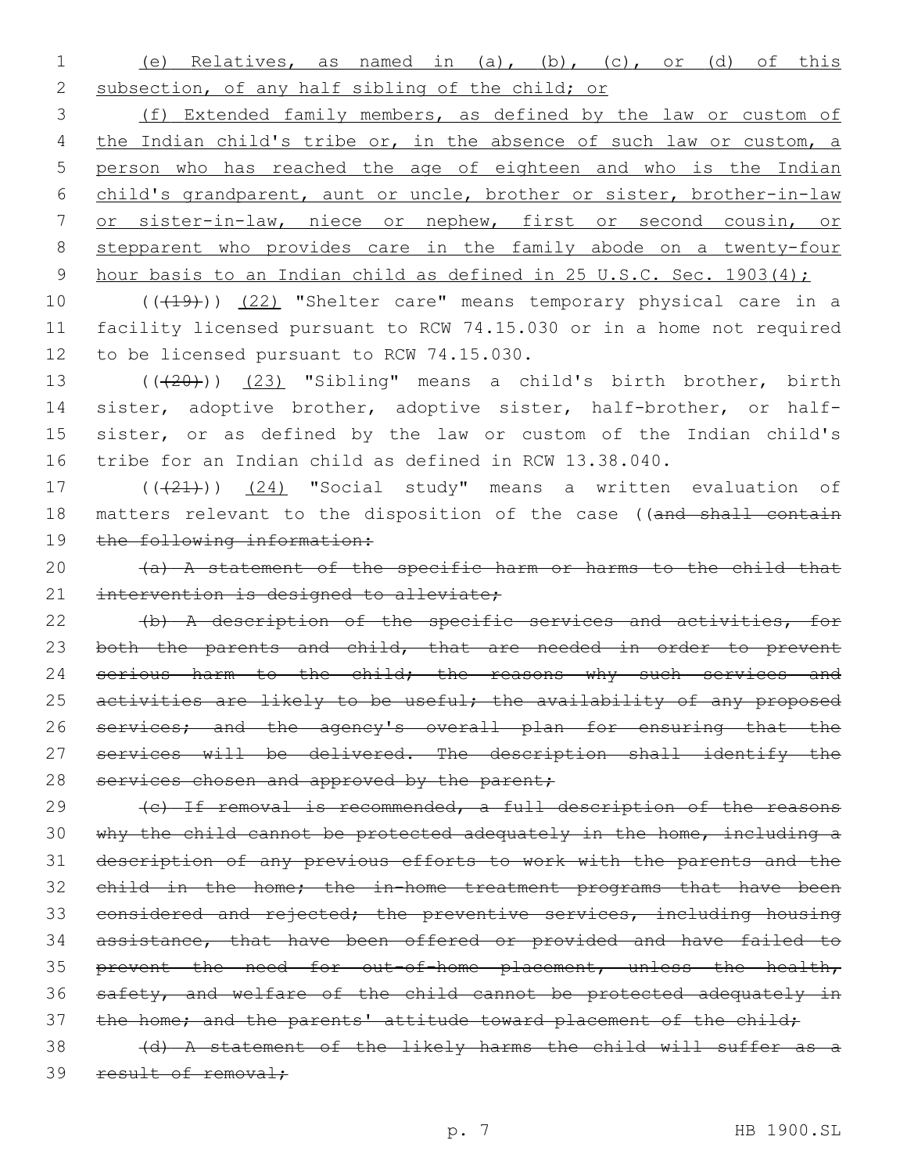1 (e) Relatives, as named in (a), (b), (c), or (d) of this 2 subsection, of any half sibling of the child; or

 (f) Extended family members, as defined by the law or custom of 4 the Indian child's tribe or, in the absence of such law or custom, a person who has reached the age of eighteen and who is the Indian child's grandparent, aunt or uncle, brother or sister, brother-in-law or sister-in-law, niece or nephew, first or second cousin, or stepparent who provides care in the family abode on a twenty-four 9 hour basis to an Indian child as defined in 25 U.S.C. Sec. 1903(4);

10 (((19))) (22) "Shelter care" means temporary physical care in a 11 facility licensed pursuant to RCW 74.15.030 or in a home not required 12 to be licensed pursuant to RCW 74.15.030.

13 (( $(20)$ )) (23) "Sibling" means a child's birth brother, birth sister, adoptive brother, adoptive sister, half-brother, or half- sister, or as defined by the law or custom of the Indian child's tribe for an Indian child as defined in RCW 13.38.040.

17  $((21))$   $(24)$  "Social study" means a written evaluation of 18 matters relevant to the disposition of the case ((and shall contain 19 the following information:

20  $(a)$  A statement of the specific harm or harms to the child that 21 intervention is designed to alleviate;

22 (b) A description of the specific services and activities, for 23 both the parents and child, that are needed in order to prevent 24 serious harm to the child; the reasons why such services and 25 activities are likely to be useful; the availability of any proposed 26 services; and the agency's overall plan for ensuring that the 27 services will be delivered. The description shall identify the 28 services chosen and approved by the parent;

29 (c) If removal is recommended, a full description of the reasons 30 why the child cannot be protected adequately in the home, including a 31 description of any previous efforts to work with the parents and the 32 child in the home; the in-home treatment programs that have been 33 considered and rejected; the preventive services, including housing 34 assistance, that have been offered or provided and have failed to 35 prevent the need for out-of-home placement, unless the health, 36 safety, and welfare of the child cannot be protected adequately in 37 the home; and the parents' attitude toward placement of the child;

38 (d) A statement of the likely harms the child will suffer as a 39 result of removal;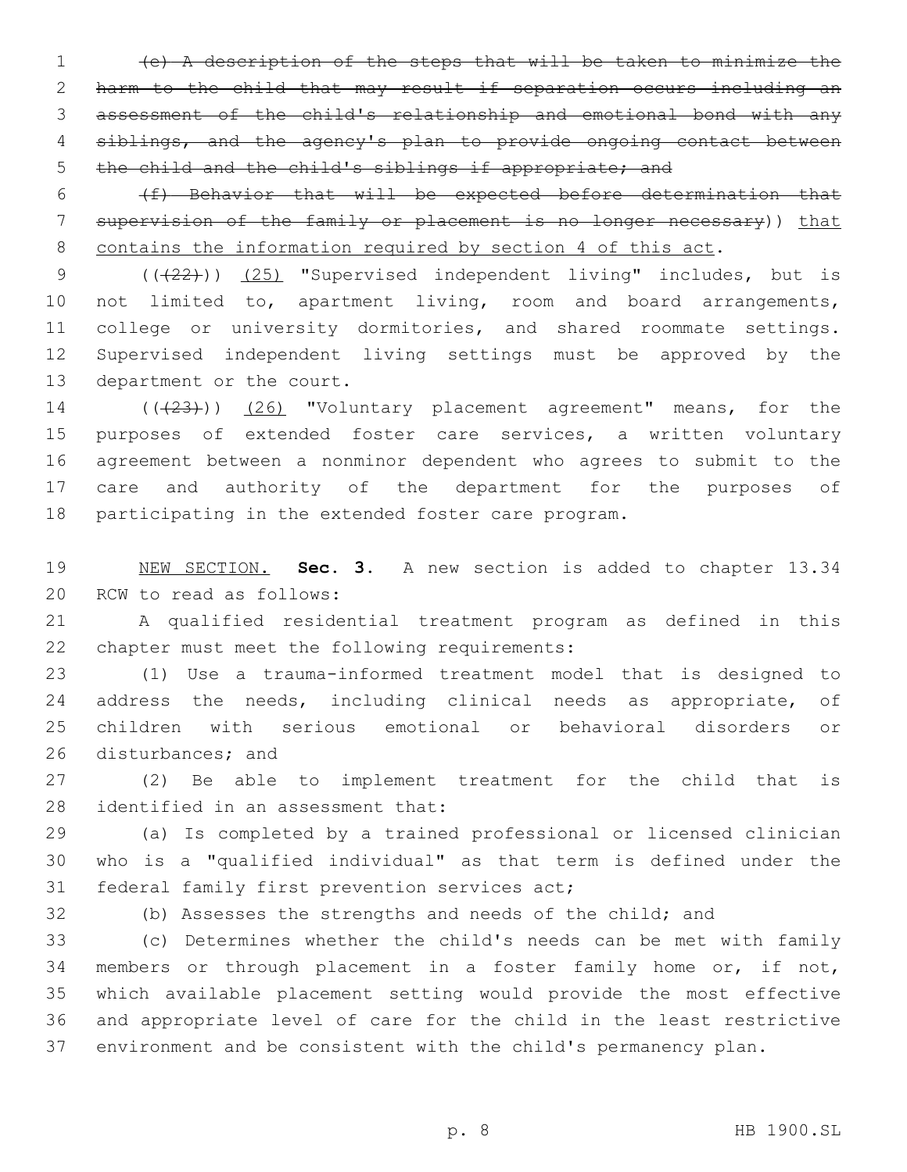(e) A description of the steps that will be taken to minimize the harm to the child that may result if separation occurs including an assessment of the child's relationship and emotional bond with any siblings, and the agency's plan to provide ongoing contact between 5 the child and the child's siblings if appropriate; and

 (f) Behavior that will be expected before determination that 7 supervision of the family or placement is no longer necessary)) that 8 contains the information required by section 4 of this act.

9 (( $(22)$ )) (25) "Supervised independent living" includes, but is not limited to, apartment living, room and board arrangements, 11 college or university dormitories, and shared roommate settings. Supervised independent living settings must be approved by the 13 department or the court.

14 (((23))) (26) "Voluntary placement agreement" means, for the 15 purposes of extended foster care services, a written voluntary agreement between a nonminor dependent who agrees to submit to the care and authority of the department for the purposes of participating in the extended foster care program.

 NEW SECTION. **Sec. 3.** A new section is added to chapter 13.34 20 RCW to read as follows:

 A qualified residential treatment program as defined in this 22 chapter must meet the following requirements:

 (1) Use a trauma-informed treatment model that is designed to address the needs, including clinical needs as appropriate, of children with serious emotional or behavioral disorders or 26 disturbances; and

 (2) Be able to implement treatment for the child that is 28 identified in an assessment that:

 (a) Is completed by a trained professional or licensed clinician who is a "qualified individual" as that term is defined under the 31 federal family first prevention services act;

(b) Assesses the strengths and needs of the child; and

 (c) Determines whether the child's needs can be met with family members or through placement in a foster family home or, if not, which available placement setting would provide the most effective and appropriate level of care for the child in the least restrictive environment and be consistent with the child's permanency plan.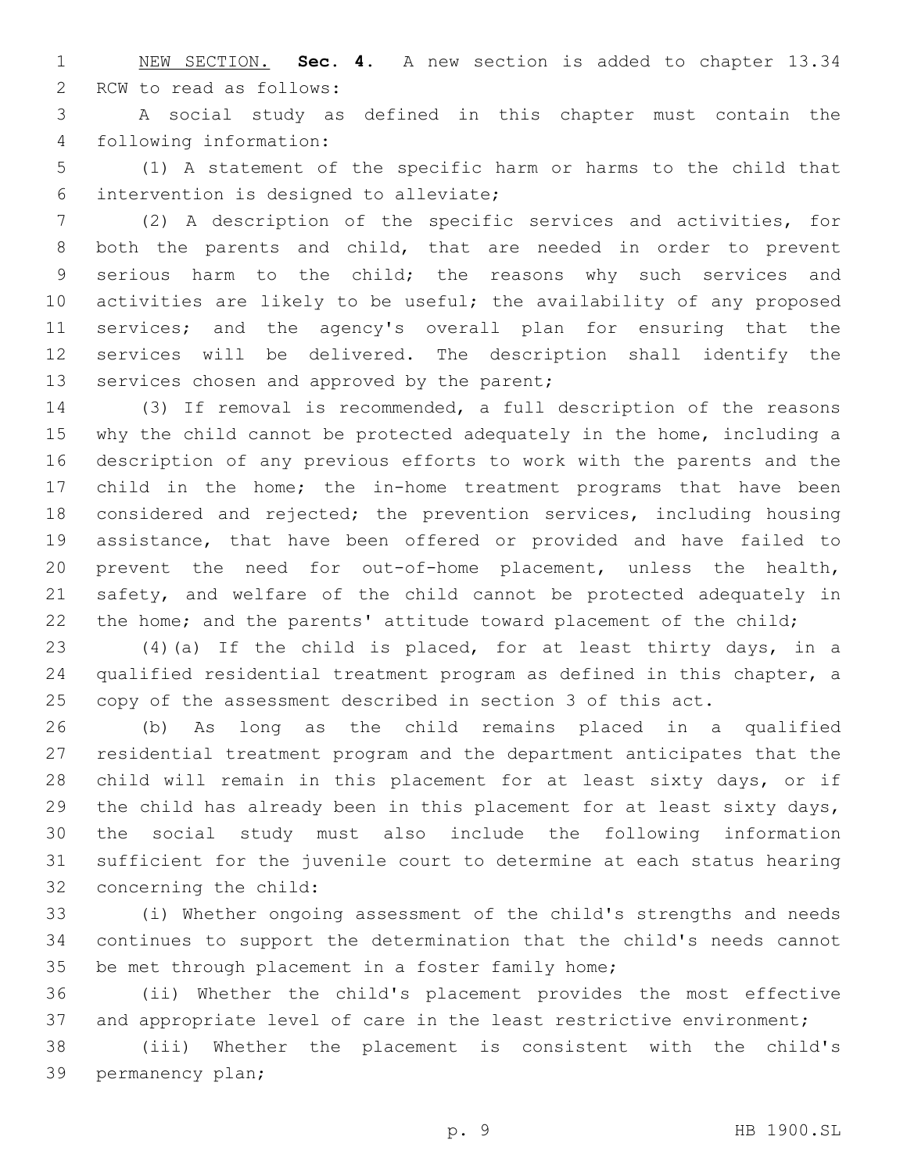NEW SECTION. **Sec. 4.** A new section is added to chapter 13.34 2 RCW to read as follows:

 A social study as defined in this chapter must contain the 4 following information:

 (1) A statement of the specific harm or harms to the child that intervention is designed to alleviate;6

 (2) A description of the specific services and activities, for both the parents and child, that are needed in order to prevent serious harm to the child; the reasons why such services and activities are likely to be useful; the availability of any proposed services; and the agency's overall plan for ensuring that the services will be delivered. The description shall identify the 13 services chosen and approved by the parent;

 (3) If removal is recommended, a full description of the reasons why the child cannot be protected adequately in the home, including a description of any previous efforts to work with the parents and the child in the home; the in-home treatment programs that have been considered and rejected; the prevention services, including housing assistance, that have been offered or provided and have failed to prevent the need for out-of-home placement, unless the health, safety, and welfare of the child cannot be protected adequately in 22 the home; and the parents' attitude toward placement of the child;

 (4)(a) If the child is placed, for at least thirty days, in a qualified residential treatment program as defined in this chapter, a copy of the assessment described in section 3 of this act.

 (b) As long as the child remains placed in a qualified residential treatment program and the department anticipates that the child will remain in this placement for at least sixty days, or if the child has already been in this placement for at least sixty days, the social study must also include the following information sufficient for the juvenile court to determine at each status hearing 32 concerning the child:

 (i) Whether ongoing assessment of the child's strengths and needs continues to support the determination that the child's needs cannot 35 be met through placement in a foster family home;

 (ii) Whether the child's placement provides the most effective 37 and appropriate level of care in the least restrictive environment;

 (iii) Whether the placement is consistent with the child's 39 permanency plan;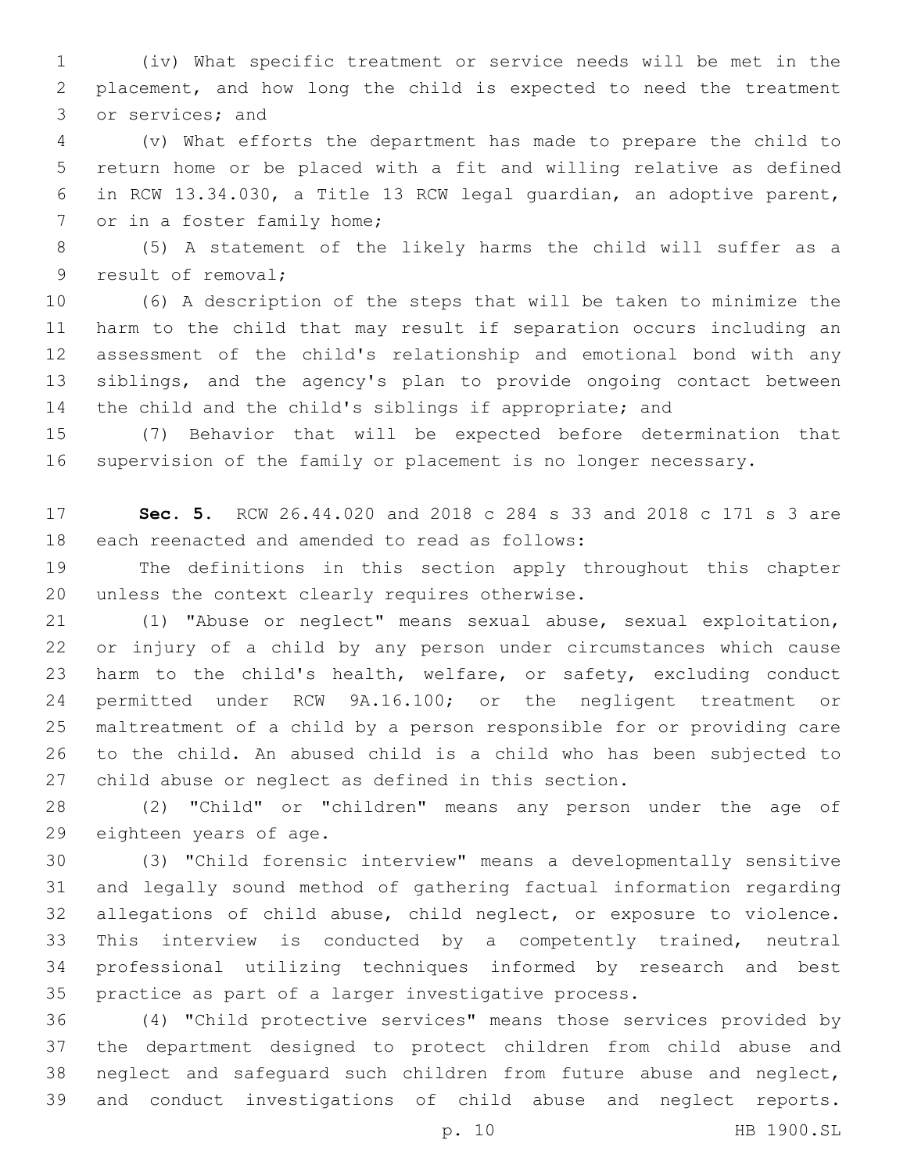(iv) What specific treatment or service needs will be met in the placement, and how long the child is expected to need the treatment 3 or services; and

 (v) What efforts the department has made to prepare the child to return home or be placed with a fit and willing relative as defined in RCW 13.34.030, a Title 13 RCW legal guardian, an adoptive parent, 7 or in a foster family home;

 (5) A statement of the likely harms the child will suffer as a 9 result of removal;

 (6) A description of the steps that will be taken to minimize the harm to the child that may result if separation occurs including an assessment of the child's relationship and emotional bond with any siblings, and the agency's plan to provide ongoing contact between the child and the child's siblings if appropriate; and

 (7) Behavior that will be expected before determination that supervision of the family or placement is no longer necessary.

 **Sec. 5.** RCW 26.44.020 and 2018 c 284 s 33 and 2018 c 171 s 3 are 18 each reenacted and amended to read as follows:

 The definitions in this section apply throughout this chapter 20 unless the context clearly requires otherwise.

 (1) "Abuse or neglect" means sexual abuse, sexual exploitation, or injury of a child by any person under circumstances which cause harm to the child's health, welfare, or safety, excluding conduct permitted under RCW 9A.16.100; or the negligent treatment or maltreatment of a child by a person responsible for or providing care to the child. An abused child is a child who has been subjected to child abuse or neglect as defined in this section.

 (2) "Child" or "children" means any person under the age of 29 eighteen years of age.

 (3) "Child forensic interview" means a developmentally sensitive and legally sound method of gathering factual information regarding allegations of child abuse, child neglect, or exposure to violence. This interview is conducted by a competently trained, neutral professional utilizing techniques informed by research and best practice as part of a larger investigative process.

 (4) "Child protective services" means those services provided by the department designed to protect children from child abuse and neglect and safeguard such children from future abuse and neglect, and conduct investigations of child abuse and neglect reports.

p. 10 HB 1900.SL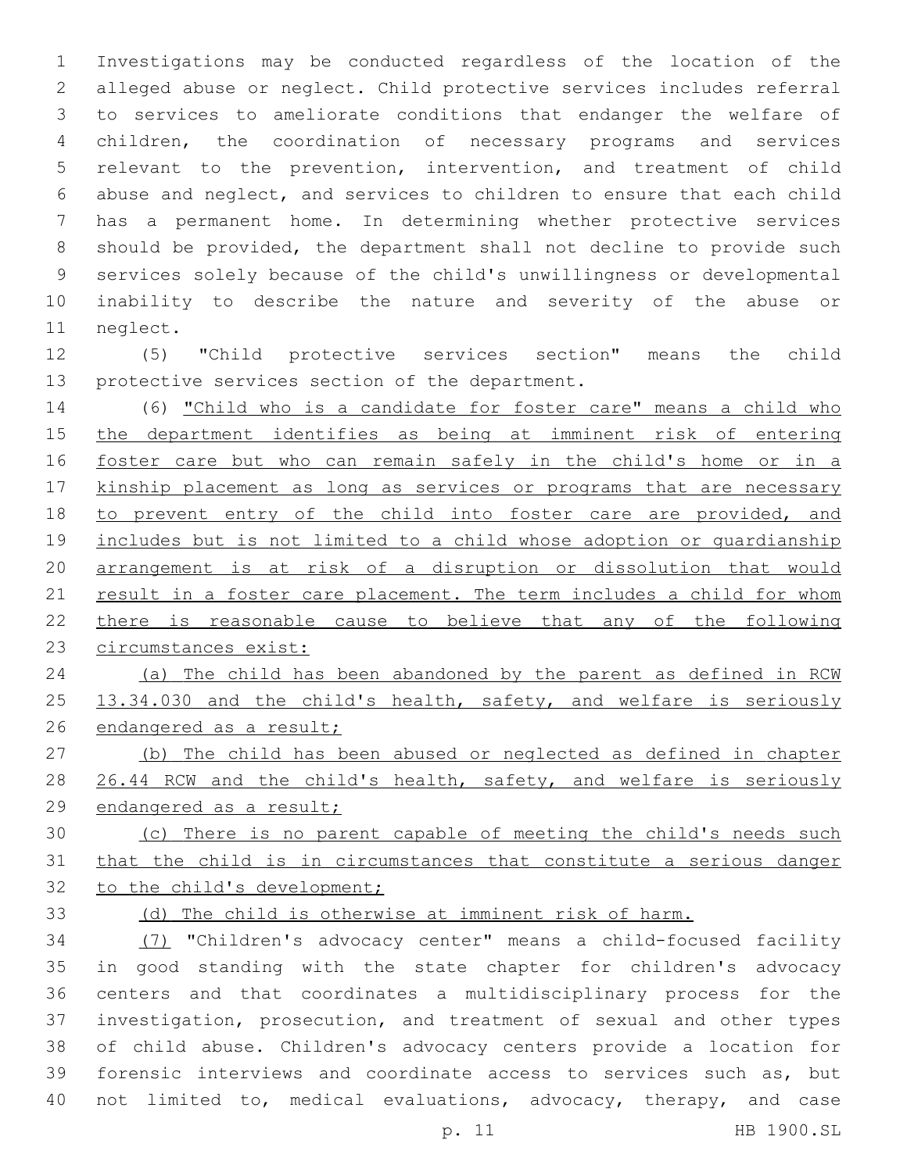Investigations may be conducted regardless of the location of the alleged abuse or neglect. Child protective services includes referral to services to ameliorate conditions that endanger the welfare of children, the coordination of necessary programs and services relevant to the prevention, intervention, and treatment of child abuse and neglect, and services to children to ensure that each child has a permanent home. In determining whether protective services should be provided, the department shall not decline to provide such services solely because of the child's unwillingness or developmental inability to describe the nature and severity of the abuse or 11 neglect.

 (5) "Child protective services section" means the child 13 protective services section of the department.

 (6) "Child who is a candidate for foster care" means a child who the department identifies as being at imminent risk of entering 16 foster care but who can remain safely in the child's home or in a 17 kinship placement as long as services or programs that are necessary 18 to prevent entry of the child into foster care are provided, and 19 includes but is not limited to a child whose adoption or quardianship arrangement is at risk of a disruption or dissolution that would 21 result in a foster care placement. The term includes a child for whom there is reasonable cause to believe that any of the following circumstances exist:

 (a) The child has been abandoned by the parent as defined in RCW 25 13.34.030 and the child's health, safety, and welfare is seriously 26 endangered as a result;

- (b) The child has been abused or neglected as defined in chapter 28 26.44 RCW and the child's health, safety, and welfare is seriously endangered as a result;
- (c) There is no parent capable of meeting the child's needs such that the child is in circumstances that constitute a serious danger 32 to the child's development;
- 

# (d) The child is otherwise at imminent risk of harm.

 (7) "Children's advocacy center" means a child-focused facility in good standing with the state chapter for children's advocacy centers and that coordinates a multidisciplinary process for the investigation, prosecution, and treatment of sexual and other types of child abuse. Children's advocacy centers provide a location for forensic interviews and coordinate access to services such as, but not limited to, medical evaluations, advocacy, therapy, and case

p. 11 HB 1900.SL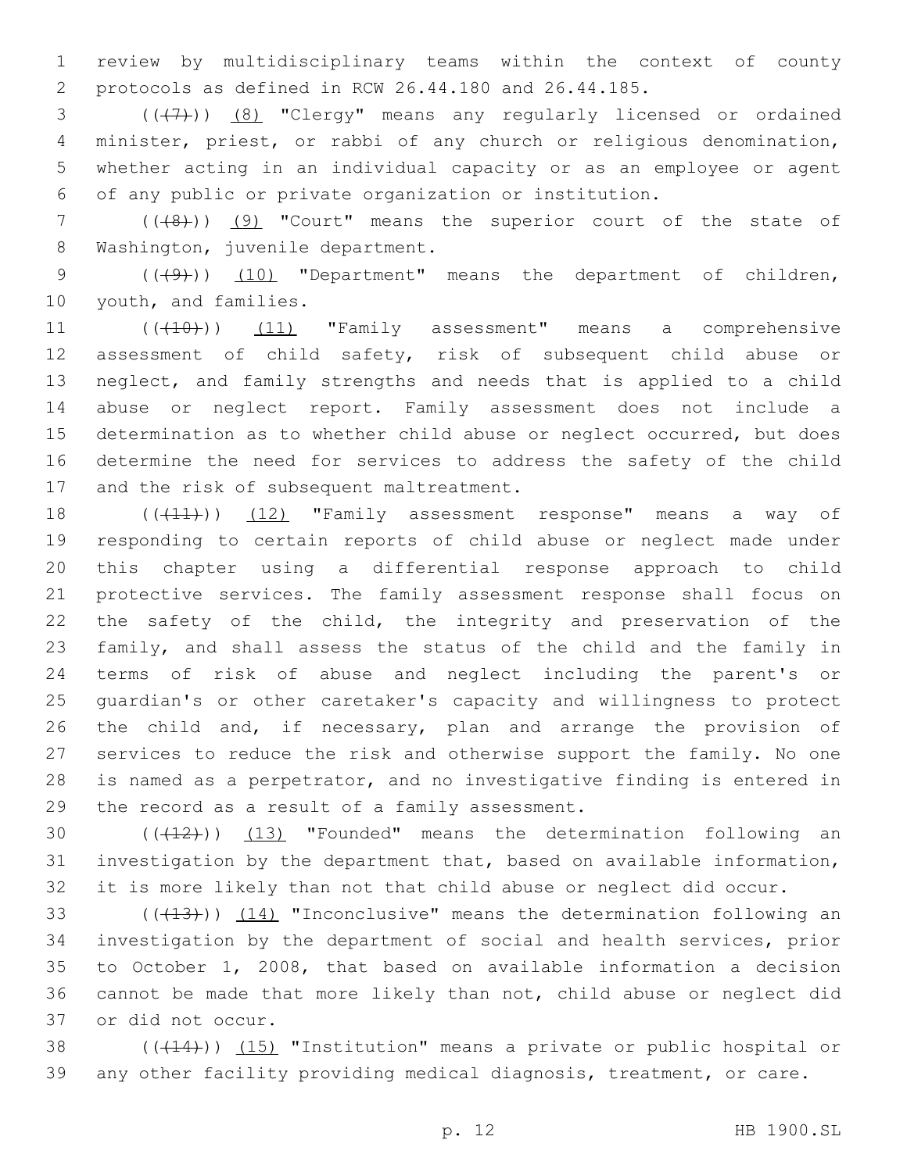review by multidisciplinary teams within the context of county protocols as defined in RCW 26.44.180 and 26.44.185.

3 (((7)) (8) "Clergy" means any regularly licensed or ordained minister, priest, or rabbi of any church or religious denomination, whether acting in an individual capacity or as an employee or agent of any public or private organization or institution.

7 (((8))) (9) "Court" means the superior court of the state of 8 Washington, juvenile department.

9 (((49))) (10) "Department" means the department of children, 10 youth, and families.

11 (((10)) (11) "Family assessment" means a comprehensive assessment of child safety, risk of subsequent child abuse or neglect, and family strengths and needs that is applied to a child abuse or neglect report. Family assessment does not include a determination as to whether child abuse or neglect occurred, but does determine the need for services to address the safety of the child 17 and the risk of subsequent maltreatment.

18 (((11))) (12) "Family assessment response" means a way of responding to certain reports of child abuse or neglect made under this chapter using a differential response approach to child protective services. The family assessment response shall focus on the safety of the child, the integrity and preservation of the family, and shall assess the status of the child and the family in terms of risk of abuse and neglect including the parent's or guardian's or other caretaker's capacity and willingness to protect the child and, if necessary, plan and arrange the provision of services to reduce the risk and otherwise support the family. No one is named as a perpetrator, and no investigative finding is entered in 29 the record as a result of a family assessment.

30 (((12))) (13) "Founded" means the determination following an investigation by the department that, based on available information, it is more likely than not that child abuse or neglect did occur.

33 (((413))) (14) "Inconclusive" means the determination following an investigation by the department of social and health services, prior to October 1, 2008, that based on available information a decision cannot be made that more likely than not, child abuse or neglect did or did not occur.37

38 ((+14))) (15) "Institution" means a private or public hospital or any other facility providing medical diagnosis, treatment, or care.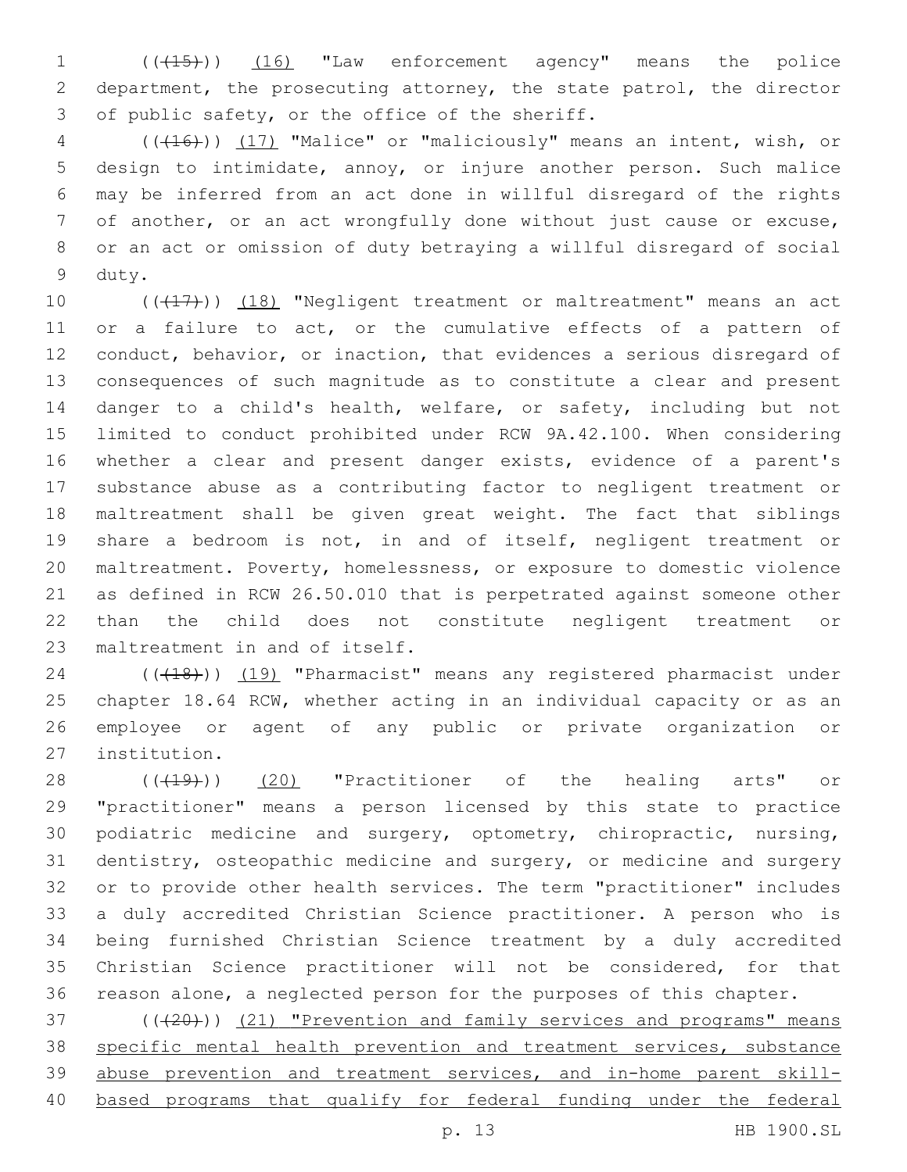1 (( $(15)$ )) (16) "Law enforcement agency" means the police department, the prosecuting attorney, the state patrol, the director 3 of public safety, or the office of the sheriff.

 (((16))) (17) "Malice" or "maliciously" means an intent, wish, or design to intimidate, annoy, or injure another person. Such malice may be inferred from an act done in willful disregard of the rights of another, or an act wrongfully done without just cause or excuse, or an act or omission of duty betraying a willful disregard of social 9 duty.

10 (((17))) (18) "Negligent treatment or maltreatment" means an act or a failure to act, or the cumulative effects of a pattern of conduct, behavior, or inaction, that evidences a serious disregard of consequences of such magnitude as to constitute a clear and present danger to a child's health, welfare, or safety, including but not limited to conduct prohibited under RCW 9A.42.100. When considering whether a clear and present danger exists, evidence of a parent's substance abuse as a contributing factor to negligent treatment or maltreatment shall be given great weight. The fact that siblings share a bedroom is not, in and of itself, negligent treatment or maltreatment. Poverty, homelessness, or exposure to domestic violence as defined in RCW 26.50.010 that is perpetrated against someone other than the child does not constitute negligent treatment or 23 maltreatment in and of itself.

24 (((18)) (19) "Pharmacist" means any registered pharmacist under chapter 18.64 RCW, whether acting in an individual capacity or as an employee or agent of any public or private organization or 27 institution.

28 (( $(19)$ )) (20) "Practitioner of the healing arts" or "practitioner" means a person licensed by this state to practice podiatric medicine and surgery, optometry, chiropractic, nursing, dentistry, osteopathic medicine and surgery, or medicine and surgery or to provide other health services. The term "practitioner" includes a duly accredited Christian Science practitioner. A person who is being furnished Christian Science treatment by a duly accredited Christian Science practitioner will not be considered, for that reason alone, a neglected person for the purposes of this chapter.

37 (( $(20)$ )) (21) "Prevention and family services and programs" means specific mental health prevention and treatment services, substance 39 abuse prevention and treatment services, and in-home parent skill-based programs that qualify for federal funding under the federal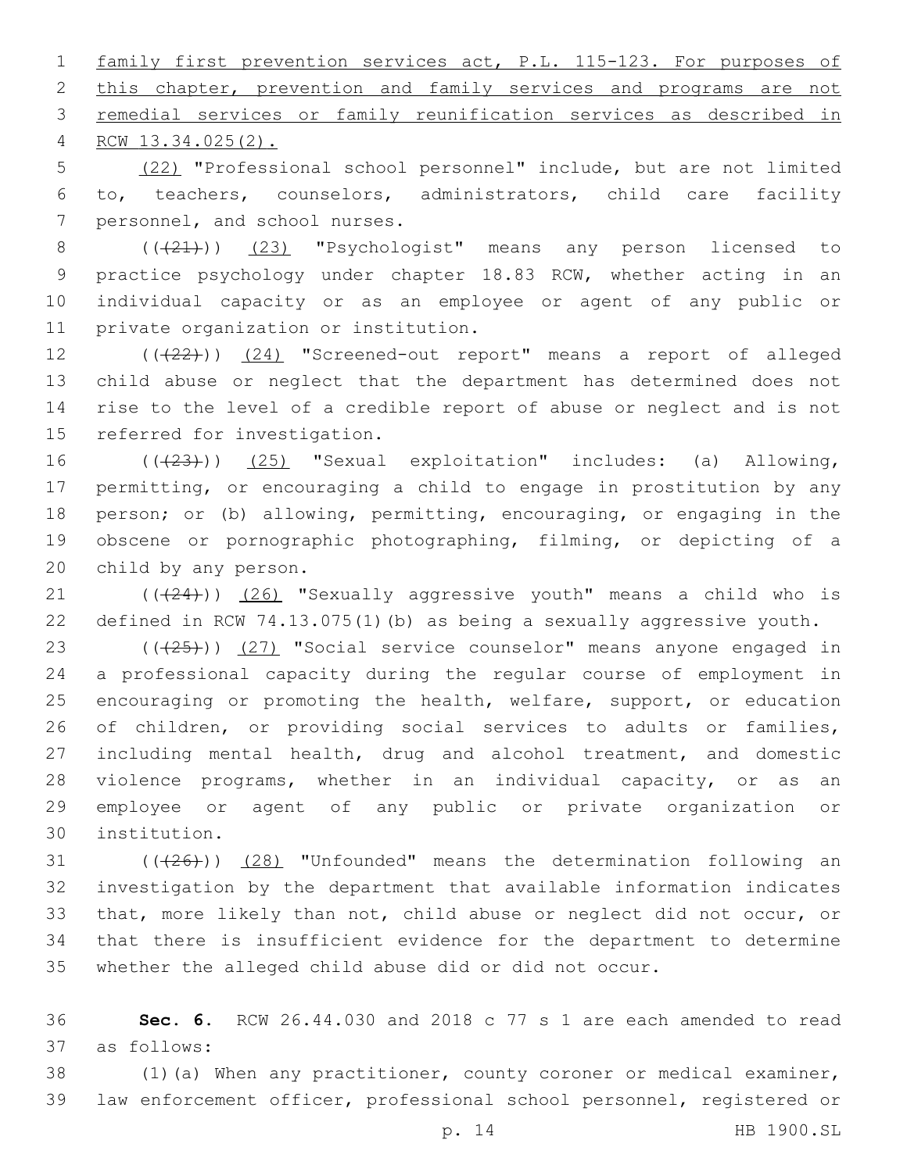family first prevention services act, P.L. 115-123. For purposes of 2 this chapter, prevention and family services and programs are not remedial services or family reunification services as described in RCW 13.34.025(2).4

 (22) "Professional school personnel" include, but are not limited to, teachers, counselors, administrators, child care facility 7 personnel, and school nurses.

8 (( $(21)$ )) (23) "Psychologist" means any person licensed to practice psychology under chapter 18.83 RCW, whether acting in an individual capacity or as an employee or agent of any public or 11 private organization or institution.

12 (( $(22)$ )) (24) "Screened-out report" means a report of alleged child abuse or neglect that the department has determined does not rise to the level of a credible report of abuse or neglect and is not 15 referred for investigation.

16 (( $(23)$ )) (25) "Sexual exploitation" includes: (a) Allowing, permitting, or encouraging a child to engage in prostitution by any person; or (b) allowing, permitting, encouraging, or engaging in the obscene or pornographic photographing, filming, or depicting of a 20 child by any person.

21 (((24))) (26) "Sexually aggressive youth" means a child who is defined in RCW 74.13.075(1)(b) as being a sexually aggressive youth.

23 (((25))) (27) "Social service counselor" means anyone engaged in a professional capacity during the regular course of employment in encouraging or promoting the health, welfare, support, or education of children, or providing social services to adults or families, including mental health, drug and alcohol treatment, and domestic violence programs, whether in an individual capacity, or as an employee or agent of any public or private organization or institution.30

 ( $(\overline{+26})$ )  $(28)$  "Unfounded" means the determination following an investigation by the department that available information indicates that, more likely than not, child abuse or neglect did not occur, or that there is insufficient evidence for the department to determine whether the alleged child abuse did or did not occur.

 **Sec. 6.** RCW 26.44.030 and 2018 c 77 s 1 are each amended to read as follows:37

 (1)(a) When any practitioner, county coroner or medical examiner, law enforcement officer, professional school personnel, registered or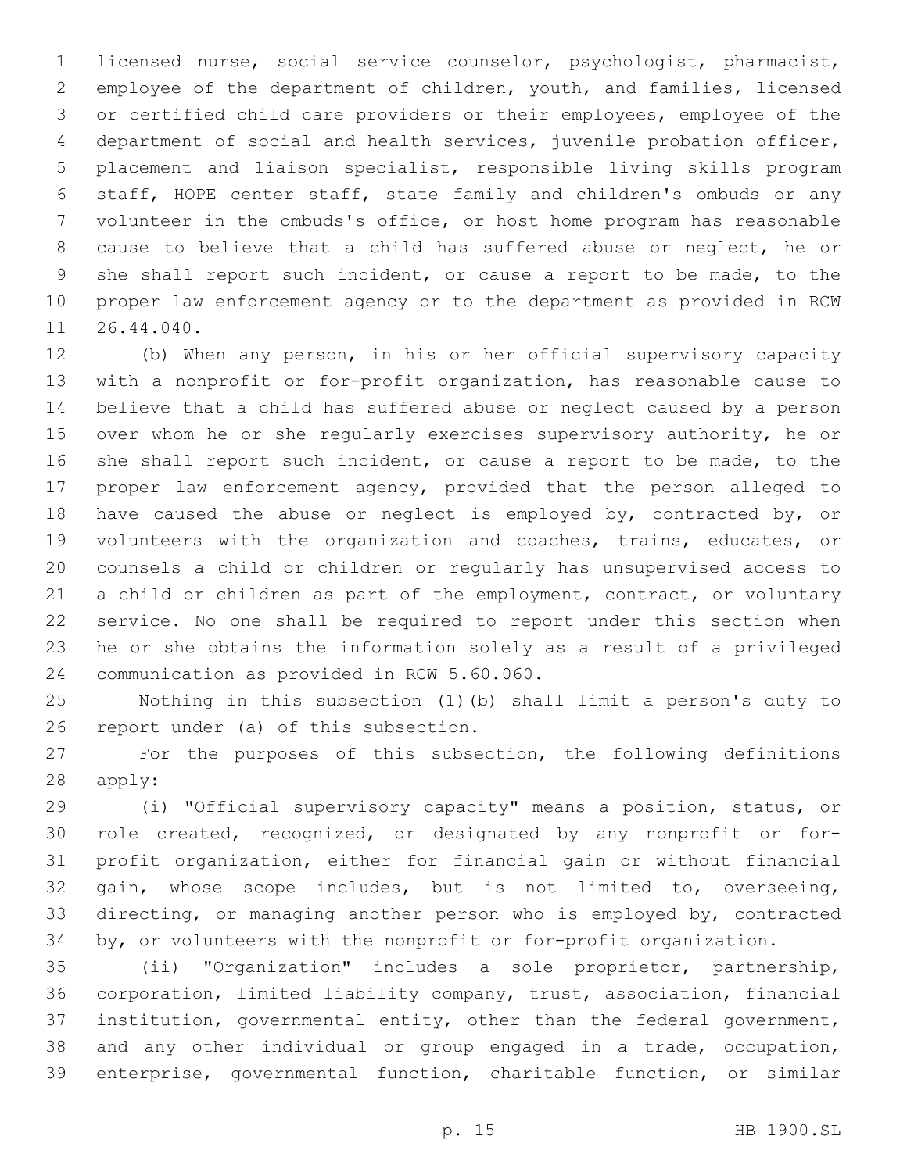licensed nurse, social service counselor, psychologist, pharmacist, employee of the department of children, youth, and families, licensed or certified child care providers or their employees, employee of the department of social and health services, juvenile probation officer, placement and liaison specialist, responsible living skills program staff, HOPE center staff, state family and children's ombuds or any volunteer in the ombuds's office, or host home program has reasonable cause to believe that a child has suffered abuse or neglect, he or she shall report such incident, or cause a report to be made, to the proper law enforcement agency or to the department as provided in RCW 11 26.44.040.

 (b) When any person, in his or her official supervisory capacity with a nonprofit or for-profit organization, has reasonable cause to believe that a child has suffered abuse or neglect caused by a person over whom he or she regularly exercises supervisory authority, he or she shall report such incident, or cause a report to be made, to the proper law enforcement agency, provided that the person alleged to have caused the abuse or neglect is employed by, contracted by, or volunteers with the organization and coaches, trains, educates, or counsels a child or children or regularly has unsupervised access to a child or children as part of the employment, contract, or voluntary service. No one shall be required to report under this section when he or she obtains the information solely as a result of a privileged 24 communication as provided in RCW 5.60.060.

 Nothing in this subsection (1)(b) shall limit a person's duty to 26 report under (a) of this subsection.

 For the purposes of this subsection, the following definitions 28 apply:

 (i) "Official supervisory capacity" means a position, status, or role created, recognized, or designated by any nonprofit or for- profit organization, either for financial gain or without financial gain, whose scope includes, but is not limited to, overseeing, directing, or managing another person who is employed by, contracted by, or volunteers with the nonprofit or for-profit organization.

 (ii) "Organization" includes a sole proprietor, partnership, corporation, limited liability company, trust, association, financial institution, governmental entity, other than the federal government, and any other individual or group engaged in a trade, occupation, enterprise, governmental function, charitable function, or similar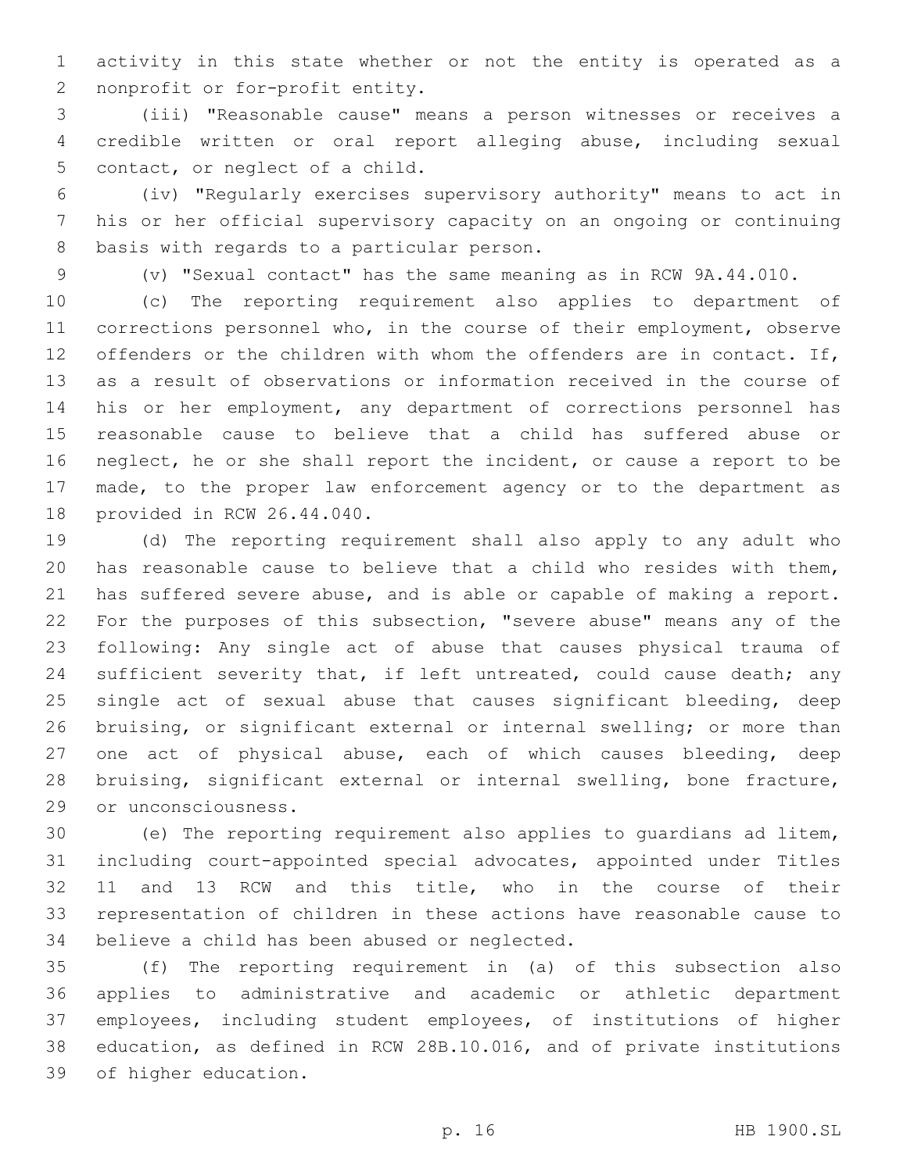activity in this state whether or not the entity is operated as a 2 nonprofit or for-profit entity.

 (iii) "Reasonable cause" means a person witnesses or receives a credible written or oral report alleging abuse, including sexual 5 contact, or neglect of a child.

 (iv) "Regularly exercises supervisory authority" means to act in his or her official supervisory capacity on an ongoing or continuing 8 basis with regards to a particular person.

(v) "Sexual contact" has the same meaning as in RCW 9A.44.010.

 (c) The reporting requirement also applies to department of corrections personnel who, in the course of their employment, observe 12 offenders or the children with whom the offenders are in contact. If, as a result of observations or information received in the course of his or her employment, any department of corrections personnel has reasonable cause to believe that a child has suffered abuse or neglect, he or she shall report the incident, or cause a report to be made, to the proper law enforcement agency or to the department as 18 provided in RCW 26.44.040.

 (d) The reporting requirement shall also apply to any adult who has reasonable cause to believe that a child who resides with them, has suffered severe abuse, and is able or capable of making a report. For the purposes of this subsection, "severe abuse" means any of the following: Any single act of abuse that causes physical trauma of 24 sufficient severity that, if left untreated, could cause death; any 25 single act of sexual abuse that causes significant bleeding, deep bruising, or significant external or internal swelling; or more than one act of physical abuse, each of which causes bleeding, deep bruising, significant external or internal swelling, bone fracture, 29 or unconsciousness.

 (e) The reporting requirement also applies to guardians ad litem, including court-appointed special advocates, appointed under Titles 11 and 13 RCW and this title, who in the course of their representation of children in these actions have reasonable cause to 34 believe a child has been abused or neglected.

 (f) The reporting requirement in (a) of this subsection also applies to administrative and academic or athletic department employees, including student employees, of institutions of higher education, as defined in RCW 28B.10.016, and of private institutions 39 of higher education.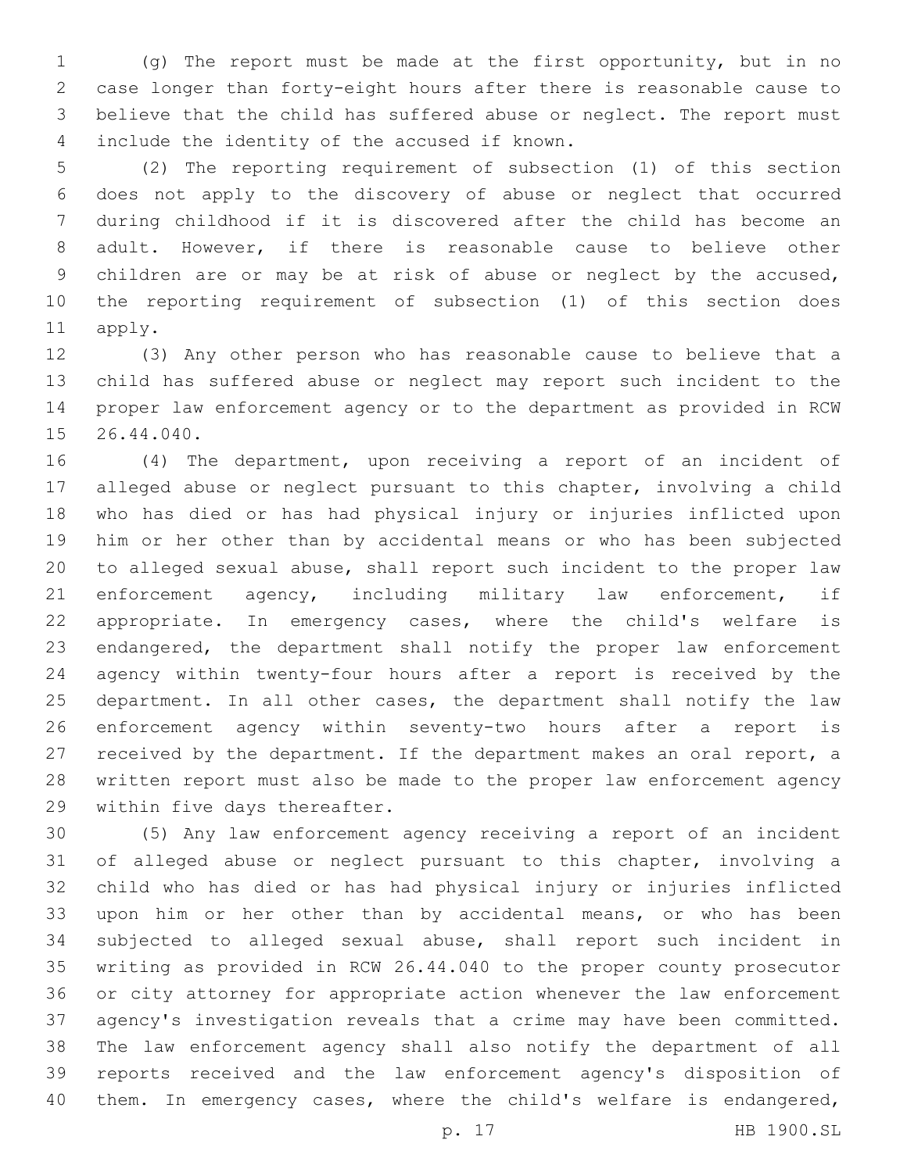(g) The report must be made at the first opportunity, but in no case longer than forty-eight hours after there is reasonable cause to believe that the child has suffered abuse or neglect. The report must 4 include the identity of the accused if known.

 (2) The reporting requirement of subsection (1) of this section does not apply to the discovery of abuse or neglect that occurred during childhood if it is discovered after the child has become an adult. However, if there is reasonable cause to believe other children are or may be at risk of abuse or neglect by the accused, the reporting requirement of subsection (1) of this section does 11 apply.

 (3) Any other person who has reasonable cause to believe that a child has suffered abuse or neglect may report such incident to the proper law enforcement agency or to the department as provided in RCW 15 26.44.040.

 (4) The department, upon receiving a report of an incident of alleged abuse or neglect pursuant to this chapter, involving a child who has died or has had physical injury or injuries inflicted upon him or her other than by accidental means or who has been subjected to alleged sexual abuse, shall report such incident to the proper law 21 enforcement agency, including military law enforcement, if appropriate. In emergency cases, where the child's welfare is endangered, the department shall notify the proper law enforcement agency within twenty-four hours after a report is received by the department. In all other cases, the department shall notify the law enforcement agency within seventy-two hours after a report is received by the department. If the department makes an oral report, a written report must also be made to the proper law enforcement agency 29 within five days thereafter.

 (5) Any law enforcement agency receiving a report of an incident of alleged abuse or neglect pursuant to this chapter, involving a child who has died or has had physical injury or injuries inflicted upon him or her other than by accidental means, or who has been subjected to alleged sexual abuse, shall report such incident in writing as provided in RCW 26.44.040 to the proper county prosecutor or city attorney for appropriate action whenever the law enforcement agency's investigation reveals that a crime may have been committed. The law enforcement agency shall also notify the department of all reports received and the law enforcement agency's disposition of them. In emergency cases, where the child's welfare is endangered,

p. 17 HB 1900.SL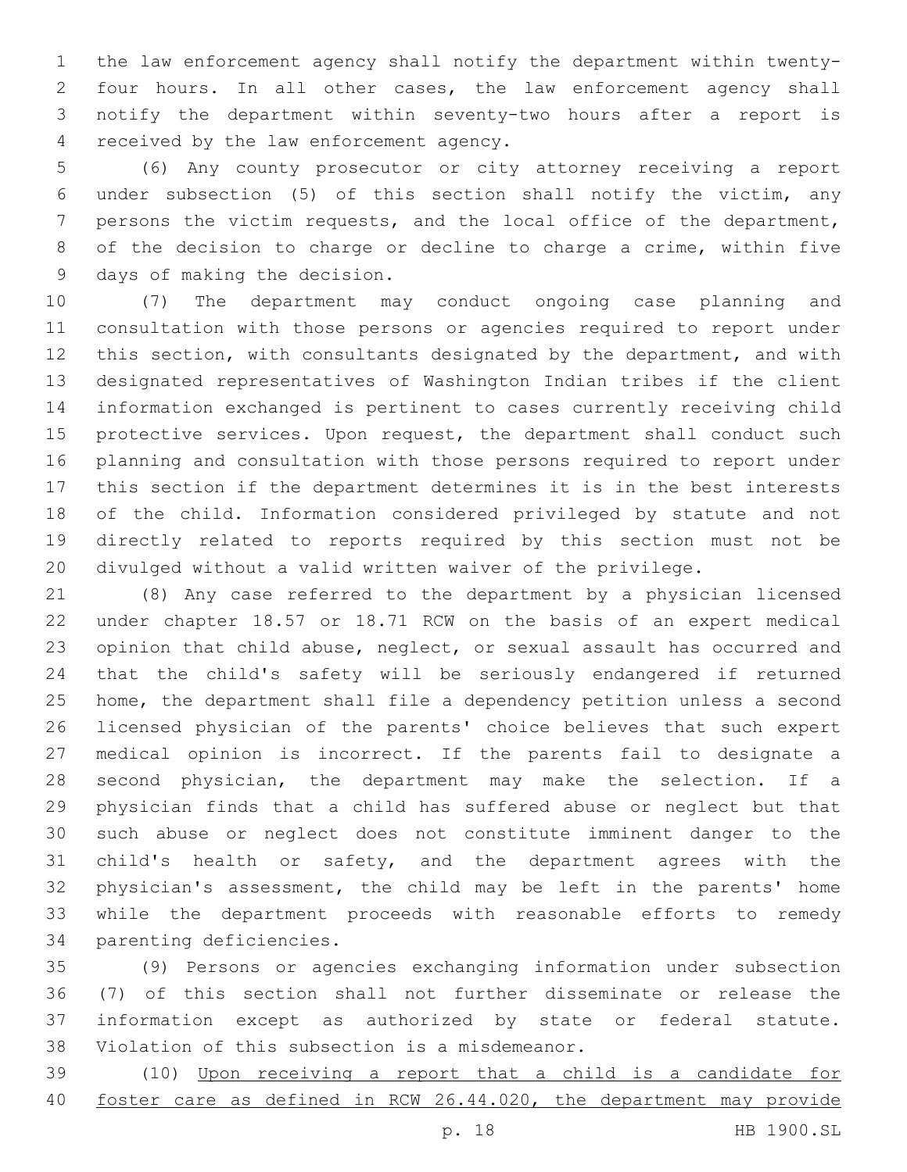the law enforcement agency shall notify the department within twenty- four hours. In all other cases, the law enforcement agency shall notify the department within seventy-two hours after a report is 4 received by the law enforcement agency.

 (6) Any county prosecutor or city attorney receiving a report under subsection (5) of this section shall notify the victim, any persons the victim requests, and the local office of the department, of the decision to charge or decline to charge a crime, within five 9 days of making the decision.

 (7) The department may conduct ongoing case planning and consultation with those persons or agencies required to report under this section, with consultants designated by the department, and with designated representatives of Washington Indian tribes if the client information exchanged is pertinent to cases currently receiving child 15 protective services. Upon request, the department shall conduct such planning and consultation with those persons required to report under this section if the department determines it is in the best interests of the child. Information considered privileged by statute and not directly related to reports required by this section must not be divulged without a valid written waiver of the privilege.

 (8) Any case referred to the department by a physician licensed under chapter 18.57 or 18.71 RCW on the basis of an expert medical opinion that child abuse, neglect, or sexual assault has occurred and that the child's safety will be seriously endangered if returned home, the department shall file a dependency petition unless a second licensed physician of the parents' choice believes that such expert medical opinion is incorrect. If the parents fail to designate a second physician, the department may make the selection. If a physician finds that a child has suffered abuse or neglect but that such abuse or neglect does not constitute imminent danger to the child's health or safety, and the department agrees with the physician's assessment, the child may be left in the parents' home while the department proceeds with reasonable efforts to remedy 34 parenting deficiencies.

 (9) Persons or agencies exchanging information under subsection (7) of this section shall not further disseminate or release the information except as authorized by state or federal statute. 38 Violation of this subsection is a misdemeanor.

 (10) Upon receiving a report that a child is a candidate for foster care as defined in RCW 26.44.020, the department may provide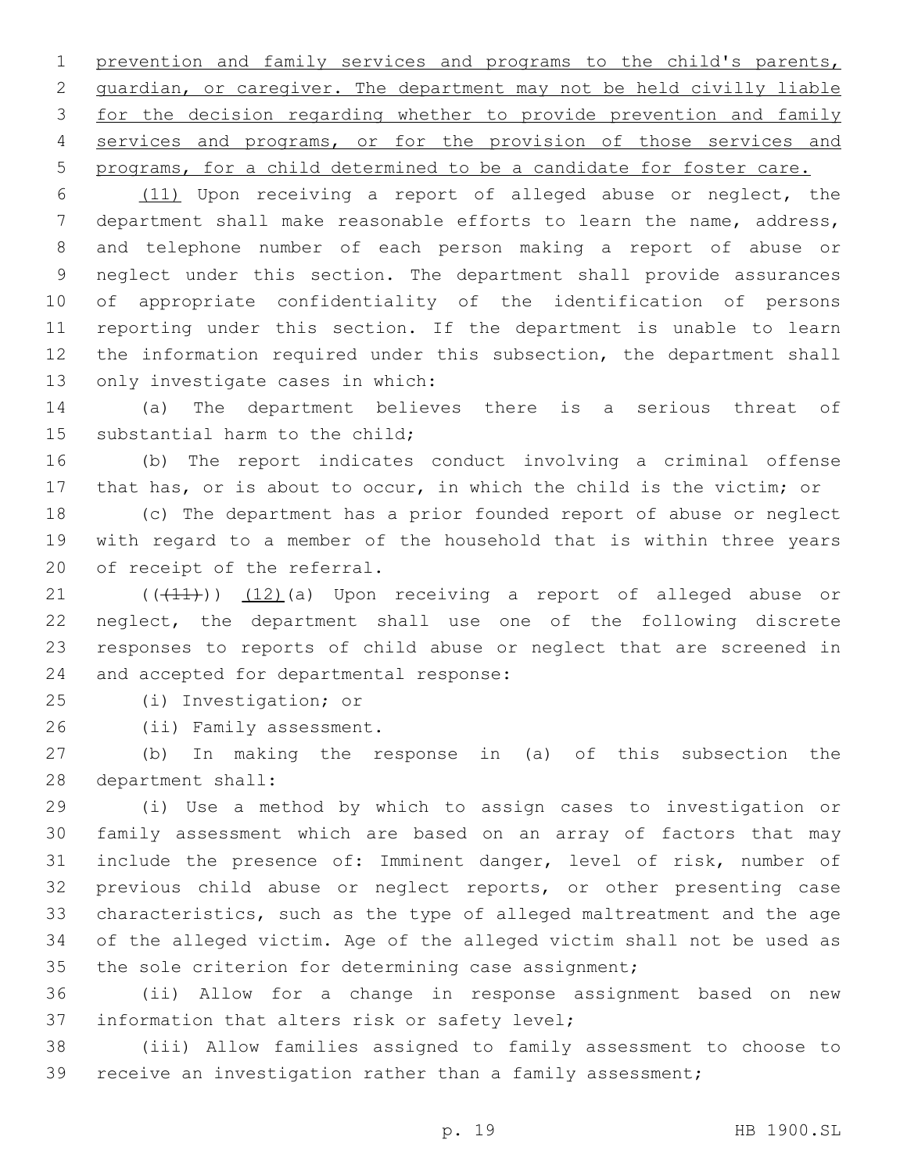prevention and family services and programs to the child's parents, guardian, or caregiver. The department may not be held civilly liable for the decision regarding whether to provide prevention and family services and programs, or for the provision of those services and programs, for a child determined to be a candidate for foster care.

 (11) Upon receiving a report of alleged abuse or neglect, the department shall make reasonable efforts to learn the name, address, and telephone number of each person making a report of abuse or neglect under this section. The department shall provide assurances of appropriate confidentiality of the identification of persons reporting under this section. If the department is unable to learn the information required under this subsection, the department shall 13 only investigate cases in which:

 (a) The department believes there is a serious threat of 15 substantial harm to the child;

 (b) The report indicates conduct involving a criminal offense that has, or is about to occur, in which the child is the victim; or

 (c) The department has a prior founded report of abuse or neglect with regard to a member of the household that is within three years 20 of receipt of the referral.

21 (((41))) (12)(a) Upon receiving a report of alleged abuse or neglect, the department shall use one of the following discrete responses to reports of child abuse or neglect that are screened in 24 and accepted for departmental response:

(i) Investigation; or25

26 (ii) Family assessment.

 (b) In making the response in (a) of this subsection the 28 department shall:

 (i) Use a method by which to assign cases to investigation or family assessment which are based on an array of factors that may include the presence of: Imminent danger, level of risk, number of previous child abuse or neglect reports, or other presenting case characteristics, such as the type of alleged maltreatment and the age of the alleged victim. Age of the alleged victim shall not be used as the sole criterion for determining case assignment;

 (ii) Allow for a change in response assignment based on new 37 information that alters risk or safety level;

 (iii) Allow families assigned to family assessment to choose to receive an investigation rather than a family assessment;

p. 19 HB 1900.SL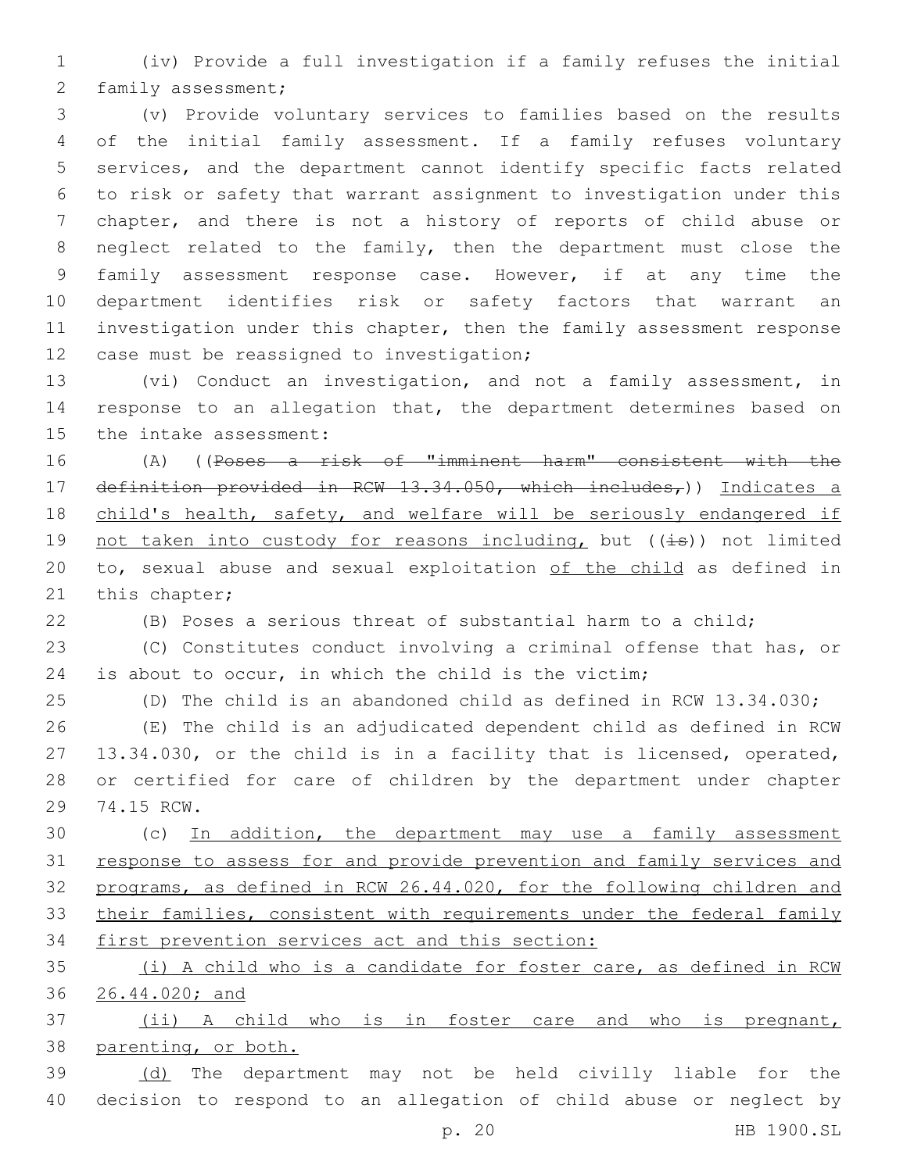(iv) Provide a full investigation if a family refuses the initial 2 family assessment;

 (v) Provide voluntary services to families based on the results of the initial family assessment. If a family refuses voluntary services, and the department cannot identify specific facts related to risk or safety that warrant assignment to investigation under this chapter, and there is not a history of reports of child abuse or neglect related to the family, then the department must close the family assessment response case. However, if at any time the department identifies risk or safety factors that warrant an 11 investigation under this chapter, then the family assessment response 12 case must be reassigned to investigation;

 (vi) Conduct an investigation, and not a family assessment, in response to an allegation that, the department determines based on 15 the intake assessment:

 (A) ((Poses a risk of "imminent harm" consistent with the 17 definition provided in RCW 13.34.050, which includes,)) Indicates a child's health, safety, and welfare will be seriously endangered if 19 not taken into custody for reasons including, but ( $(\pm s)$ ) not limited to, sexual abuse and sexual exploitation of the child as defined in 21 this chapter;

(B) Poses a serious threat of substantial harm to a child;

 (C) Constitutes conduct involving a criminal offense that has, or is about to occur, in which the child is the victim;

(D) The child is an abandoned child as defined in RCW 13.34.030;

 (E) The child is an adjudicated dependent child as defined in RCW 13.34.030, or the child is in a facility that is licensed, operated, or certified for care of children by the department under chapter 29 74.15 RCW.

 (c) In addition, the department may use a family assessment response to assess for and provide prevention and family services and programs, as defined in RCW 26.44.020, for the following children and 33 their families, consistent with requirements under the federal family first prevention services act and this section:

 (i) A child who is a candidate for foster care, as defined in RCW 26.44.020; and

 (ii) A child who is in foster care and who is pregnant, parenting, or both.

 (d) The department may not be held civilly liable for the decision to respond to an allegation of child abuse or neglect by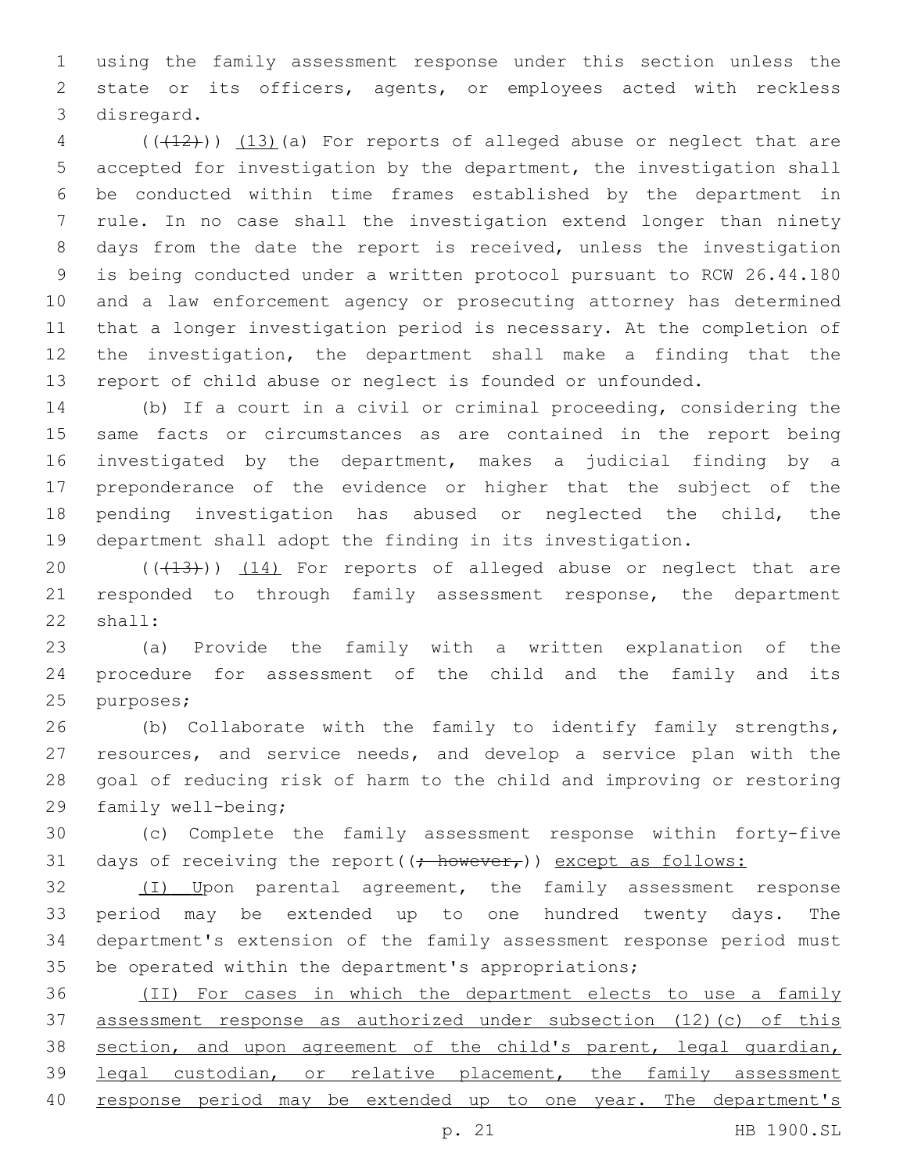using the family assessment response under this section unless the state or its officers, agents, or employees acted with reckless 3 disregard.

 (( $(12)$ )) (13)(a) For reports of alleged abuse or neglect that are accepted for investigation by the department, the investigation shall be conducted within time frames established by the department in rule. In no case shall the investigation extend longer than ninety days from the date the report is received, unless the investigation is being conducted under a written protocol pursuant to RCW 26.44.180 and a law enforcement agency or prosecuting attorney has determined that a longer investigation period is necessary. At the completion of the investigation, the department shall make a finding that the report of child abuse or neglect is founded or unfounded.

 (b) If a court in a civil or criminal proceeding, considering the same facts or circumstances as are contained in the report being investigated by the department, makes a judicial finding by a preponderance of the evidence or higher that the subject of the pending investigation has abused or neglected the child, the department shall adopt the finding in its investigation.

20 (( $(13)$ )) (14) For reports of alleged abuse or neglect that are responded to through family assessment response, the department 22 shall:

 (a) Provide the family with a written explanation of the procedure for assessment of the child and the family and its 25 purposes;

 (b) Collaborate with the family to identify family strengths, resources, and service needs, and develop a service plan with the goal of reducing risk of harm to the child and improving or restoring 29 family well-being;

 (c) Complete the family assessment response within forty-five 31 days of receiving the report  $((\div)$  however,  $)$  except as follows:

32 (I) Upon parental agreement, the family assessment response period may be extended up to one hundred twenty days. The department's extension of the family assessment response period must be operated within the department's appropriations;

 (II) For cases in which the department elects to use a family assessment response as authorized under subsection (12)(c) of this 38 section, and upon agreement of the child's parent, legal guardian, legal custodian, or relative placement, the family assessment 40 response period may be extended up to one year. The department's

p. 21 HB 1900.SL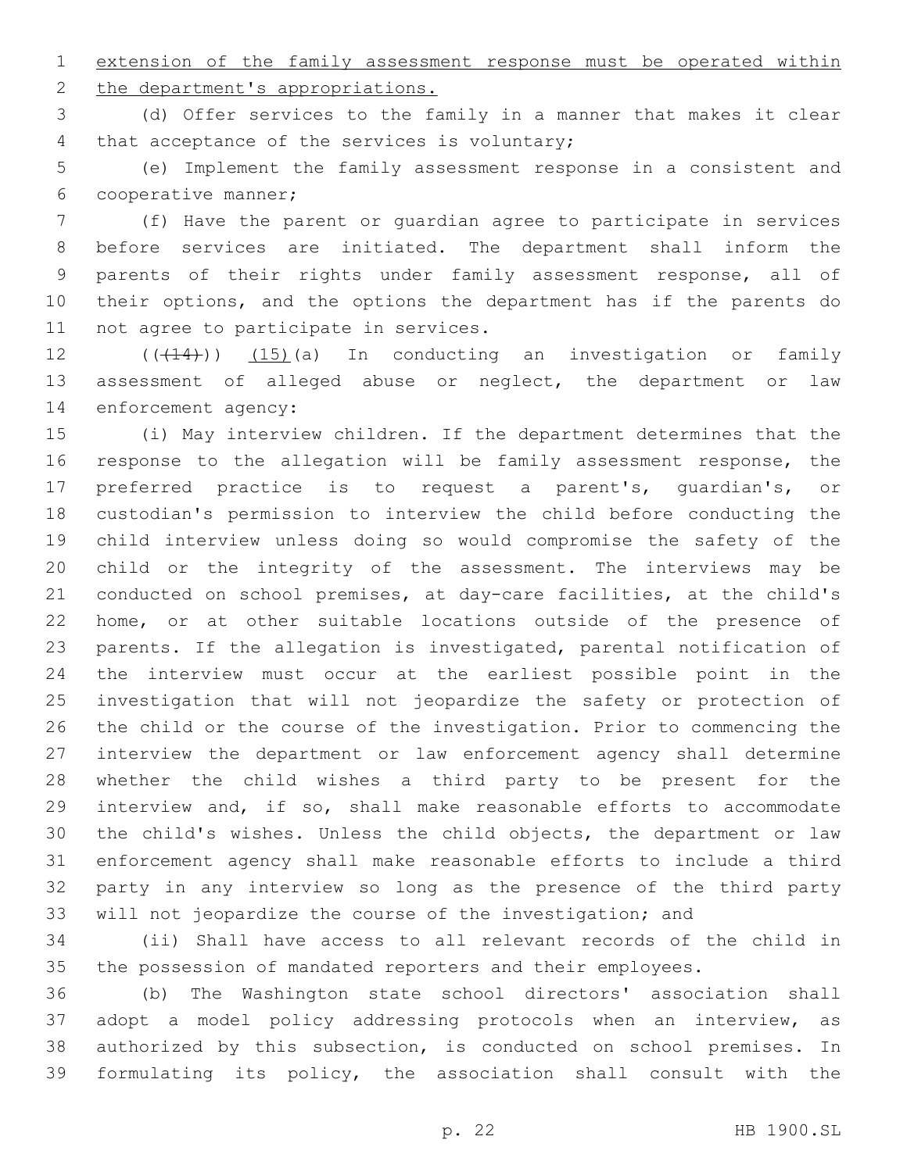extension of the family assessment response must be operated within

2 the department's appropriations.

 (d) Offer services to the family in a manner that makes it clear 4 that acceptance of the services is voluntary;

 (e) Implement the family assessment response in a consistent and 6 cooperative manner;

 (f) Have the parent or guardian agree to participate in services before services are initiated. The department shall inform the parents of their rights under family assessment response, all of their options, and the options the department has if the parents do 11 not agree to participate in services.

12 (( $(414)$ )) (15)(a) In conducting an investigation or family assessment of alleged abuse or neglect, the department or law 14 enforcement agency:

 (i) May interview children. If the department determines that the response to the allegation will be family assessment response, the preferred practice is to request a parent's, guardian's, or custodian's permission to interview the child before conducting the child interview unless doing so would compromise the safety of the child or the integrity of the assessment. The interviews may be conducted on school premises, at day-care facilities, at the child's home, or at other suitable locations outside of the presence of parents. If the allegation is investigated, parental notification of the interview must occur at the earliest possible point in the investigation that will not jeopardize the safety or protection of the child or the course of the investigation. Prior to commencing the interview the department or law enforcement agency shall determine whether the child wishes a third party to be present for the interview and, if so, shall make reasonable efforts to accommodate the child's wishes. Unless the child objects, the department or law enforcement agency shall make reasonable efforts to include a third party in any interview so long as the presence of the third party will not jeopardize the course of the investigation; and

 (ii) Shall have access to all relevant records of the child in the possession of mandated reporters and their employees.

 (b) The Washington state school directors' association shall adopt a model policy addressing protocols when an interview, as authorized by this subsection, is conducted on school premises. In formulating its policy, the association shall consult with the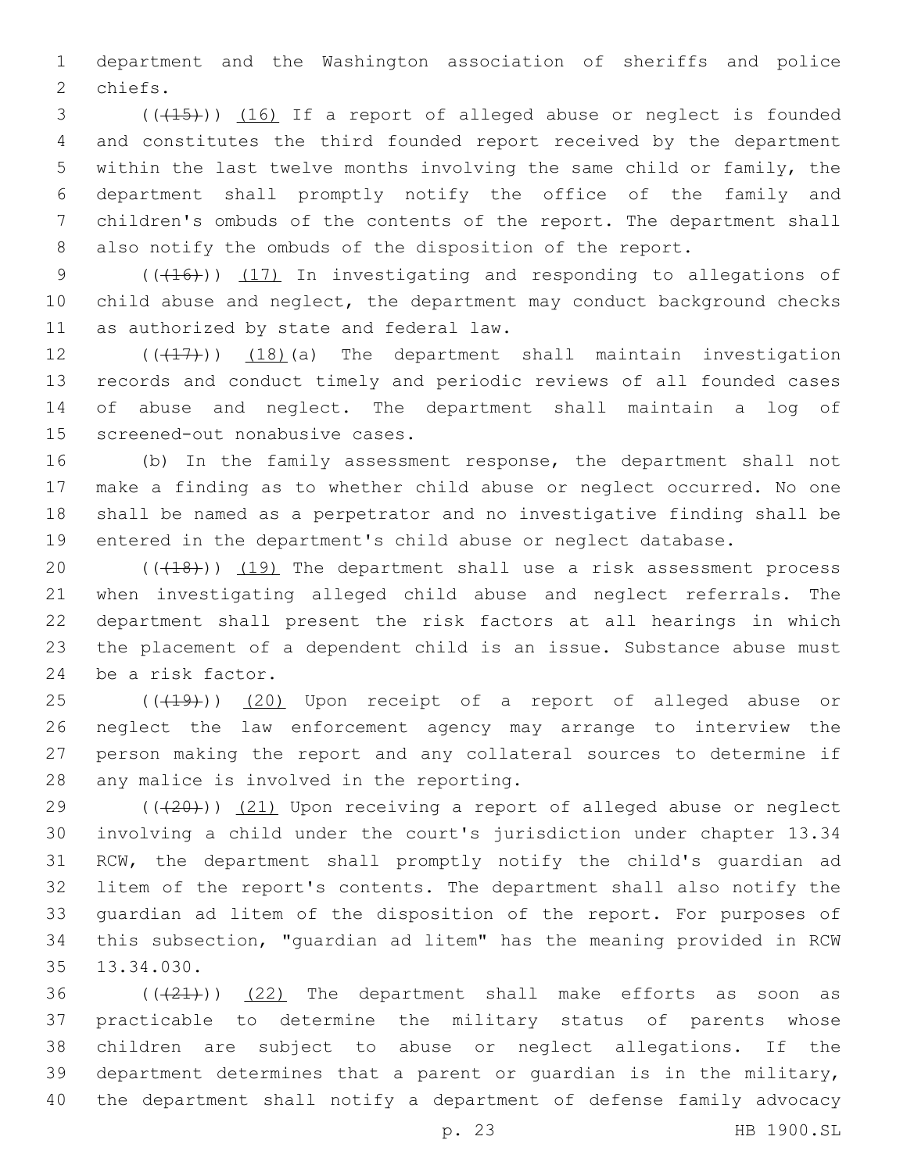department and the Washington association of sheriffs and police 2 chiefs.

3 (( $(15)$ )) (16) If a report of alleged abuse or neglect is founded and constitutes the third founded report received by the department within the last twelve months involving the same child or family, the department shall promptly notify the office of the family and children's ombuds of the contents of the report. The department shall also notify the ombuds of the disposition of the report.

9 (( $(16)$ )) (17) In investigating and responding to allegations of child abuse and neglect, the department may conduct background checks 11 as authorized by state and federal law.

12 (((17))) (18)(a) The department shall maintain investigation records and conduct timely and periodic reviews of all founded cases of abuse and neglect. The department shall maintain a log of 15 screened-out nonabusive cases.

 (b) In the family assessment response, the department shall not make a finding as to whether child abuse or neglect occurred. No one shall be named as a perpetrator and no investigative finding shall be entered in the department's child abuse or neglect database.

 $((+18))$   $(19)$  The department shall use a risk assessment process when investigating alleged child abuse and neglect referrals. The department shall present the risk factors at all hearings in which the placement of a dependent child is an issue. Substance abuse must 24 be a risk factor.

25 (((19))) (20) Upon receipt of a report of alleged abuse or neglect the law enforcement agency may arrange to interview the person making the report and any collateral sources to determine if 28 any malice is involved in the reporting.

 $(420)$  (( $(21)$  Upon receiving a report of alleged abuse or neglect involving a child under the court's jurisdiction under chapter 13.34 RCW, the department shall promptly notify the child's guardian ad litem of the report's contents. The department shall also notify the guardian ad litem of the disposition of the report. For purposes of this subsection, "guardian ad litem" has the meaning provided in RCW 35 13.34.030.

 ( $(\frac{21}{2})$ ) (22) The department shall make efforts as soon as practicable to determine the military status of parents whose children are subject to abuse or neglect allegations. If the department determines that a parent or guardian is in the military, the department shall notify a department of defense family advocacy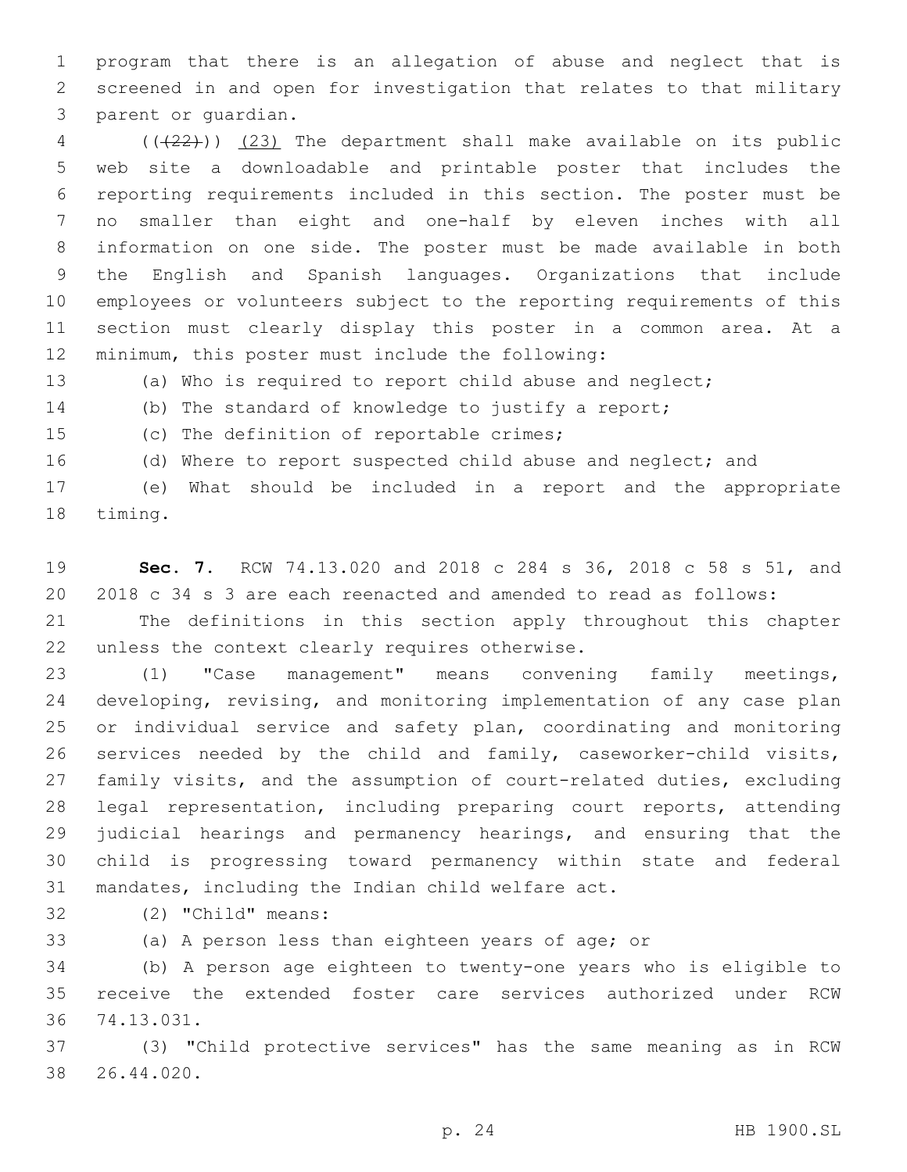program that there is an allegation of abuse and neglect that is screened in and open for investigation that relates to that military 3 parent or quardian.

 (((22))) (23) The department shall make available on its public web site a downloadable and printable poster that includes the reporting requirements included in this section. The poster must be no smaller than eight and one-half by eleven inches with all information on one side. The poster must be made available in both the English and Spanish languages. Organizations that include employees or volunteers subject to the reporting requirements of this section must clearly display this poster in a common area. At a 12 minimum, this poster must include the following:

(a) Who is required to report child abuse and neglect;

(b) The standard of knowledge to justify a report;

15 (c) The definition of reportable crimes;

(d) Where to report suspected child abuse and neglect; and

 (e) What should be included in a report and the appropriate 18 timing.

 **Sec. 7.** RCW 74.13.020 and 2018 c 284 s 36, 2018 c 58 s 51, and 2018 c 34 s 3 are each reenacted and amended to read as follows:

 The definitions in this section apply throughout this chapter 22 unless the context clearly requires otherwise.

 (1) "Case management" means convening family meetings, developing, revising, and monitoring implementation of any case plan or individual service and safety plan, coordinating and monitoring services needed by the child and family, caseworker-child visits, family visits, and the assumption of court-related duties, excluding legal representation, including preparing court reports, attending judicial hearings and permanency hearings, and ensuring that the child is progressing toward permanency within state and federal 31 mandates, including the Indian child welfare act.

32 (2) "Child" means:

(a) A person less than eighteen years of age; or

 (b) A person age eighteen to twenty-one years who is eligible to receive the extended foster care services authorized under RCW 74.13.031.36

 (3) "Child protective services" has the same meaning as in RCW 26.44.020.38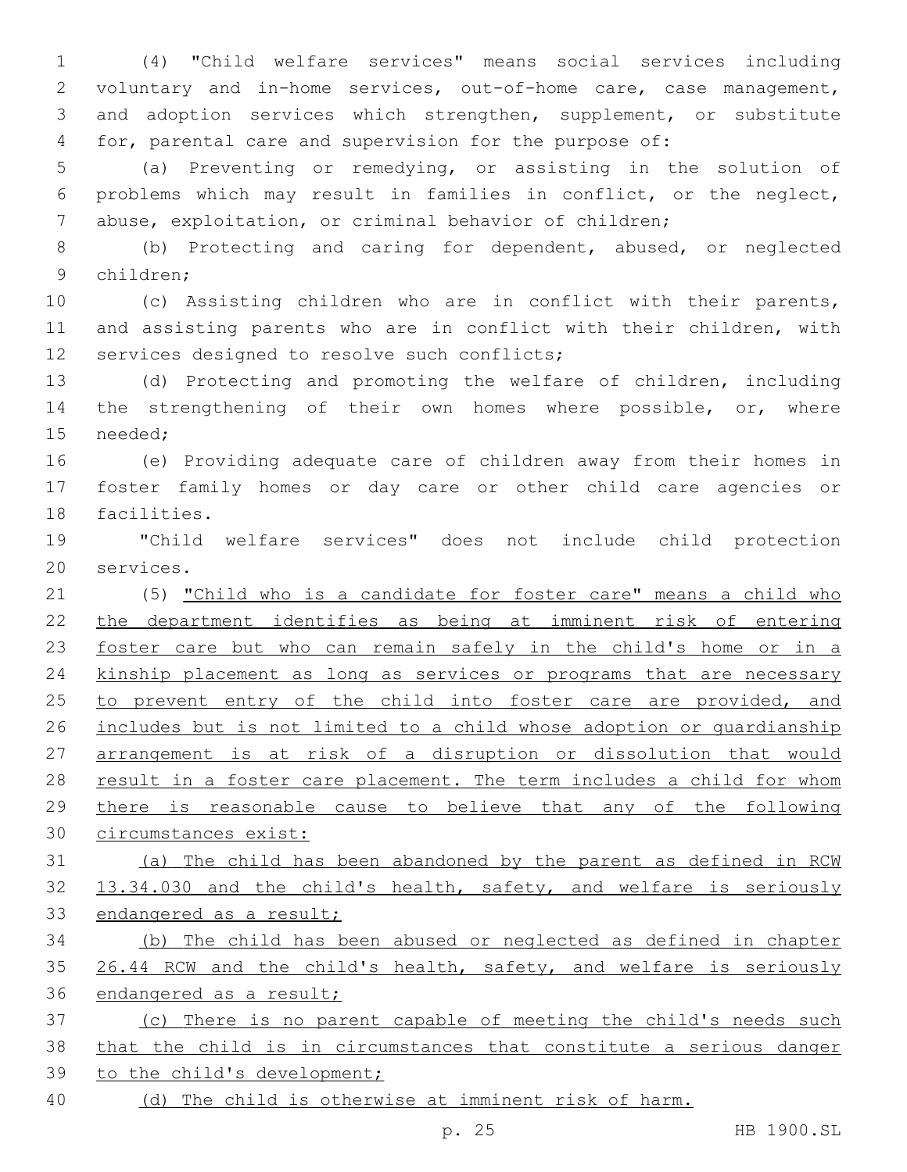(4) "Child welfare services" means social services including voluntary and in-home services, out-of-home care, case management, and adoption services which strengthen, supplement, or substitute for, parental care and supervision for the purpose of:

 (a) Preventing or remedying, or assisting in the solution of problems which may result in families in conflict, or the neglect, abuse, exploitation, or criminal behavior of children;

 (b) Protecting and caring for dependent, abused, or neglected children;9

 (c) Assisting children who are in conflict with their parents, and assisting parents who are in conflict with their children, with 12 services designed to resolve such conflicts;

 (d) Protecting and promoting the welfare of children, including 14 the strengthening of their own homes where possible, or, where 15 needed;

 (e) Providing adequate care of children away from their homes in foster family homes or day care or other child care agencies or 18 facilities.

 "Child welfare services" does not include child protection 20 services.

21 (5) "Child who is a candidate for foster care" means a child who the department identifies as being at imminent risk of entering foster care but who can remain safely in the child's home or in a kinship placement as long as services or programs that are necessary 25 to prevent entry of the child into foster care are provided, and includes but is not limited to a child whose adoption or guardianship arrangement is at risk of a disruption or dissolution that would 28 result in a foster care placement. The term includes a child for whom there is reasonable cause to believe that any of the following circumstances exist:

 (a) The child has been abandoned by the parent as defined in RCW 13.34.030 and the child's health, safety, and welfare is seriously endangered as a result;

 (b) The child has been abused or neglected as defined in chapter 35 26.44 RCW and the child's health, safety, and welfare is seriously endangered as a result;

 (c) There is no parent capable of meeting the child's needs such that the child is in circumstances that constitute a serious danger to the child's development;

(d) The child is otherwise at imminent risk of harm.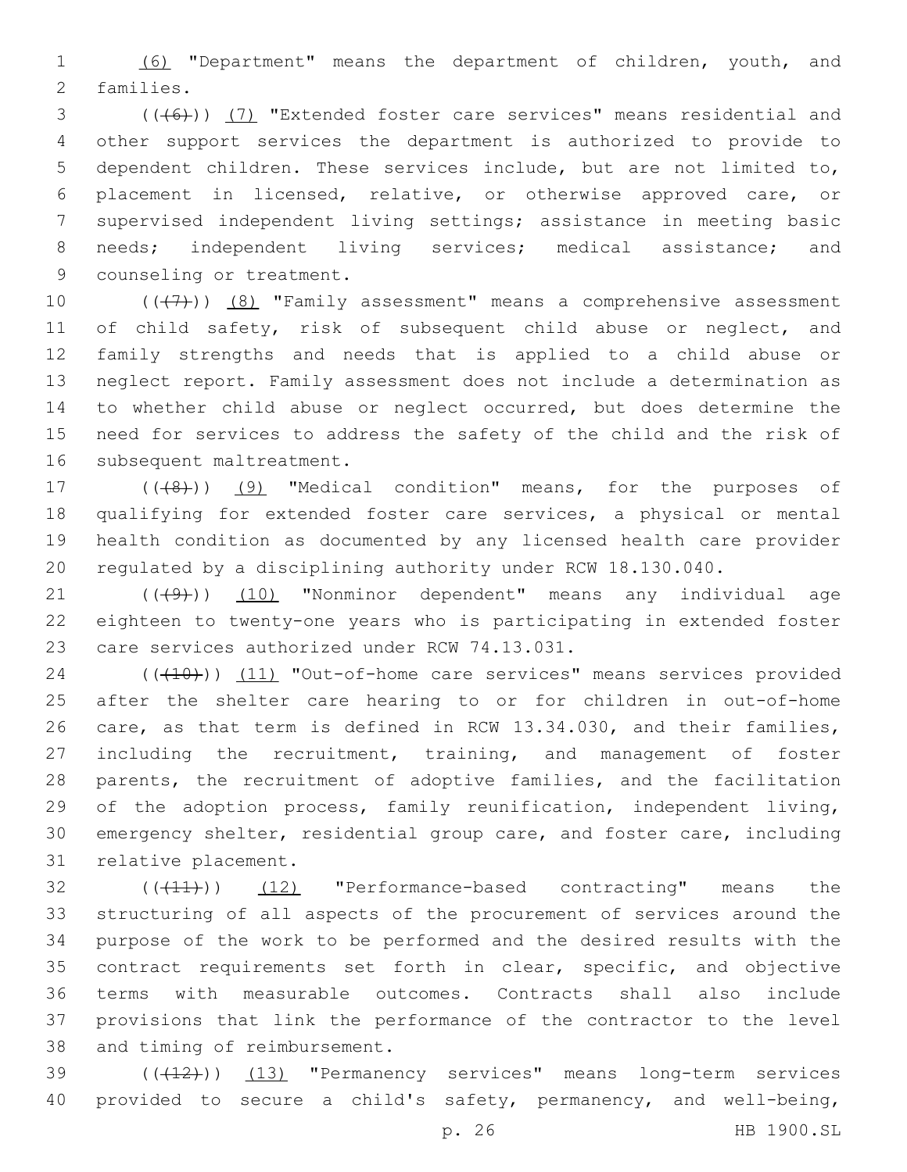(6) "Department" means the department of children, youth, and 2 families.

3 (((6)) (7) "Extended foster care services" means residential and other support services the department is authorized to provide to dependent children. These services include, but are not limited to, placement in licensed, relative, or otherwise approved care, or supervised independent living settings; assistance in meeting basic needs; independent living services; medical assistance; and 9 counseling or treatment.

 $((+7+))$   $(8)$  "Family assessment" means a comprehensive assessment 11 of child safety, risk of subsequent child abuse or neglect, and family strengths and needs that is applied to a child abuse or neglect report. Family assessment does not include a determination as to whether child abuse or neglect occurred, but does determine the need for services to address the safety of the child and the risk of 16 subsequent maltreatment.

17 (((8)) (9) "Medical condition" means, for the purposes of qualifying for extended foster care services, a physical or mental health condition as documented by any licensed health care provider regulated by a disciplining authority under RCW 18.130.040.

21 ((+9)) (10) "Nonminor dependent" means any individual age eighteen to twenty-one years who is participating in extended foster 23 care services authorized under RCW 74.13.031.

24 (((410)) (11) "Out-of-home care services" means services provided after the shelter care hearing to or for children in out-of-home care, as that term is defined in RCW 13.34.030, and their families, including the recruitment, training, and management of foster parents, the recruitment of adoptive families, and the facilitation of the adoption process, family reunification, independent living, emergency shelter, residential group care, and foster care, including 31 relative placement.

32 (( $(11)$ )) (12) "Performance-based contracting" means the structuring of all aspects of the procurement of services around the purpose of the work to be performed and the desired results with the contract requirements set forth in clear, specific, and objective terms with measurable outcomes. Contracts shall also include provisions that link the performance of the contractor to the level 38 and timing of reimbursement.

39 (((412)) (13) "Permanency services" means long-term services provided to secure a child's safety, permanency, and well-being,

p. 26 HB 1900.SL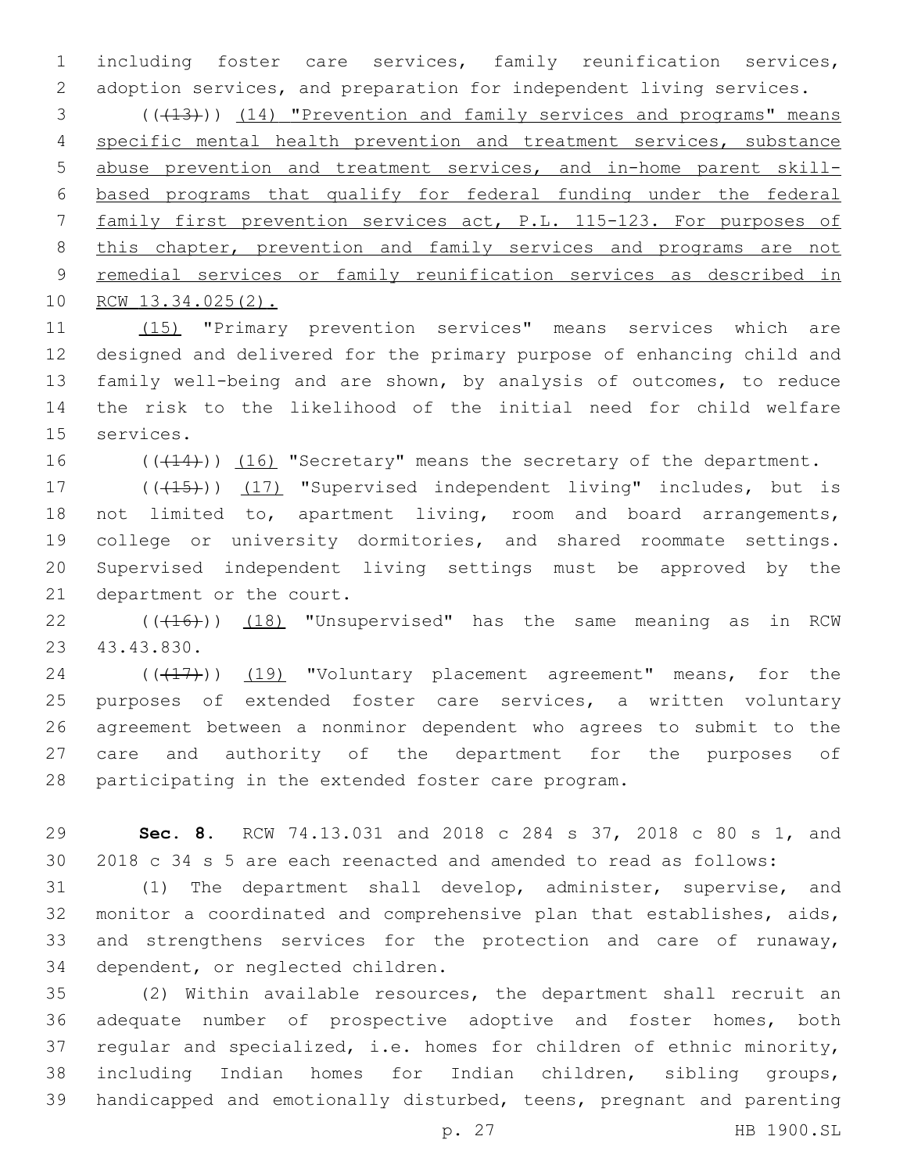including foster care services, family reunification services, adoption services, and preparation for independent living services.

3 (( $(13)$ )) (14) "Prevention and family services and programs" means specific mental health prevention and treatment services, substance abuse prevention and treatment services, and in-home parent skill- based programs that qualify for federal funding under the federal family first prevention services act, P.L. 115-123. For purposes of 8 this chapter, prevention and family services and programs are not remedial services or family reunification services as described in RCW 13.34.025(2).

 (15) "Primary prevention services" means services which are designed and delivered for the primary purpose of enhancing child and family well-being and are shown, by analysis of outcomes, to reduce the risk to the likelihood of the initial need for child welfare 15 services.

16 (( $(14)$ )) (16) "Secretary" means the secretary of the department.

17 (((415))) (17) "Supervised independent living" includes, but is not limited to, apartment living, room and board arrangements, college or university dormitories, and shared roommate settings. Supervised independent living settings must be approved by the 21 department or the court.

22 (( $(416)$ )) (18) "Unsupervised" has the same meaning as in RCW 23 43.43.830.

24 (((17)) (19) "Voluntary placement agreement" means, for the purposes of extended foster care services, a written voluntary agreement between a nonminor dependent who agrees to submit to the care and authority of the department for the purposes of participating in the extended foster care program.

 **Sec. 8.** RCW 74.13.031 and 2018 c 284 s 37, 2018 c 80 s 1, and 2018 c 34 s 5 are each reenacted and amended to read as follows:

 (1) The department shall develop, administer, supervise, and monitor a coordinated and comprehensive plan that establishes, aids, and strengthens services for the protection and care of runaway, 34 dependent, or neglected children.

 (2) Within available resources, the department shall recruit an adequate number of prospective adoptive and foster homes, both regular and specialized, i.e. homes for children of ethnic minority, including Indian homes for Indian children, sibling groups, handicapped and emotionally disturbed, teens, pregnant and parenting

p. 27 HB 1900.SL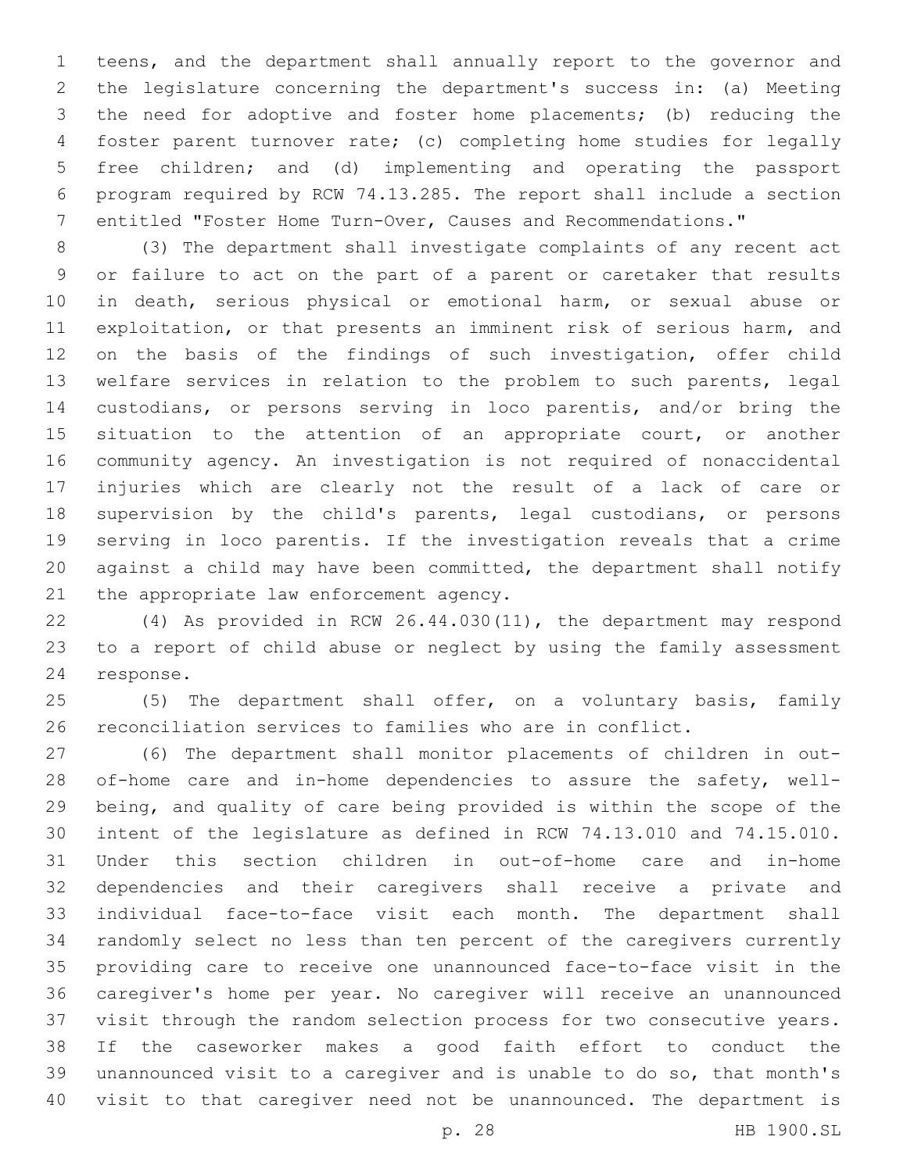teens, and the department shall annually report to the governor and the legislature concerning the department's success in: (a) Meeting the need for adoptive and foster home placements; (b) reducing the foster parent turnover rate; (c) completing home studies for legally free children; and (d) implementing and operating the passport program required by RCW 74.13.285. The report shall include a section entitled "Foster Home Turn-Over, Causes and Recommendations."

 (3) The department shall investigate complaints of any recent act or failure to act on the part of a parent or caretaker that results in death, serious physical or emotional harm, or sexual abuse or exploitation, or that presents an imminent risk of serious harm, and on the basis of the findings of such investigation, offer child welfare services in relation to the problem to such parents, legal custodians, or persons serving in loco parentis, and/or bring the 15 situation to the attention of an appropriate court, or another community agency. An investigation is not required of nonaccidental injuries which are clearly not the result of a lack of care or supervision by the child's parents, legal custodians, or persons serving in loco parentis. If the investigation reveals that a crime against a child may have been committed, the department shall notify 21 the appropriate law enforcement agency.

 (4) As provided in RCW 26.44.030(11), the department may respond to a report of child abuse or neglect by using the family assessment 24 response.

 (5) The department shall offer, on a voluntary basis, family reconciliation services to families who are in conflict.

 (6) The department shall monitor placements of children in out-28 of-home care and in-home dependencies to assure the safety, well- being, and quality of care being provided is within the scope of the intent of the legislature as defined in RCW 74.13.010 and 74.15.010. Under this section children in out-of-home care and in-home dependencies and their caregivers shall receive a private and individual face-to-face visit each month. The department shall randomly select no less than ten percent of the caregivers currently providing care to receive one unannounced face-to-face visit in the caregiver's home per year. No caregiver will receive an unannounced visit through the random selection process for two consecutive years. If the caseworker makes a good faith effort to conduct the unannounced visit to a caregiver and is unable to do so, that month's visit to that caregiver need not be unannounced. The department is

p. 28 HB 1900.SL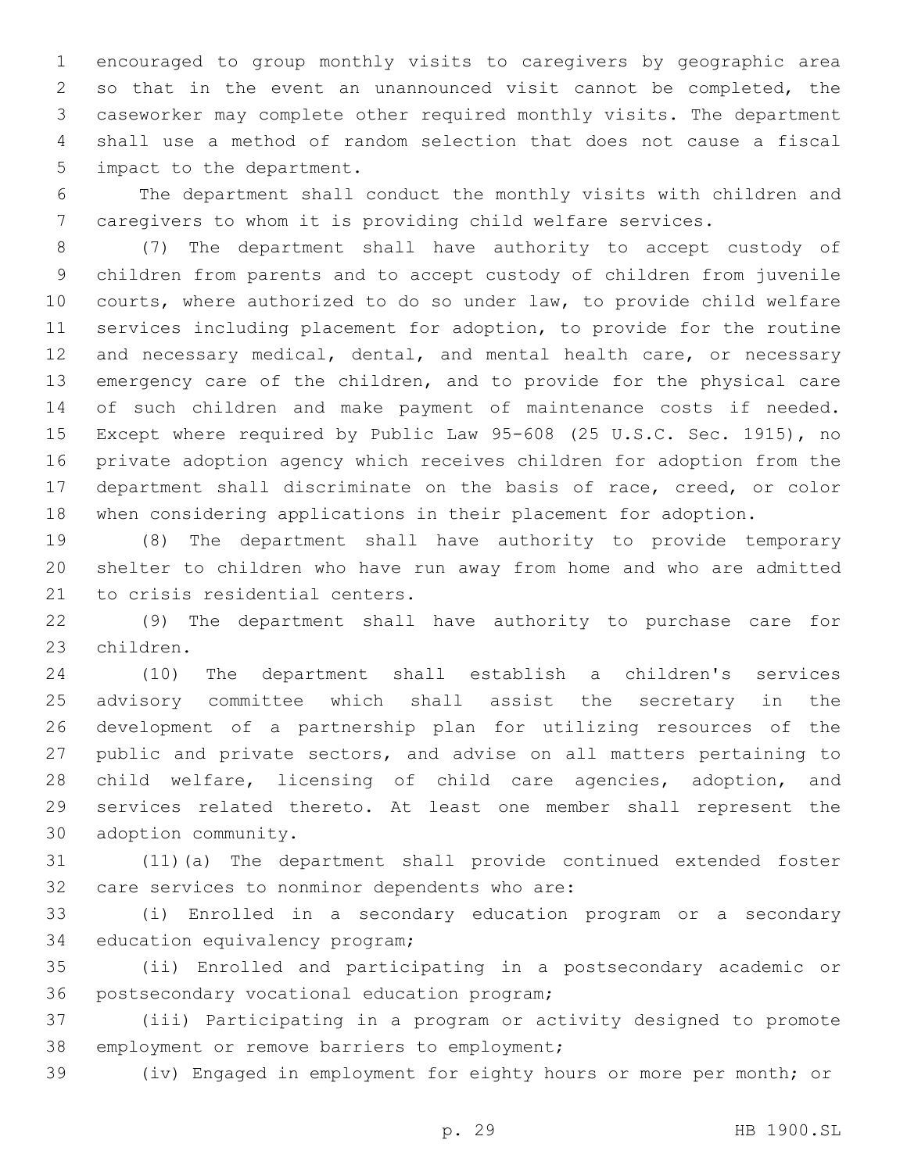encouraged to group monthly visits to caregivers by geographic area so that in the event an unannounced visit cannot be completed, the caseworker may complete other required monthly visits. The department shall use a method of random selection that does not cause a fiscal 5 impact to the department.

 The department shall conduct the monthly visits with children and caregivers to whom it is providing child welfare services.

 (7) The department shall have authority to accept custody of children from parents and to accept custody of children from juvenile courts, where authorized to do so under law, to provide child welfare services including placement for adoption, to provide for the routine and necessary medical, dental, and mental health care, or necessary emergency care of the children, and to provide for the physical care of such children and make payment of maintenance costs if needed. Except where required by Public Law 95-608 (25 U.S.C. Sec. 1915), no private adoption agency which receives children for adoption from the department shall discriminate on the basis of race, creed, or color when considering applications in their placement for adoption.

 (8) The department shall have authority to provide temporary shelter to children who have run away from home and who are admitted 21 to crisis residential centers.

 (9) The department shall have authority to purchase care for 23 children.

 (10) The department shall establish a children's services advisory committee which shall assist the secretary in the development of a partnership plan for utilizing resources of the public and private sectors, and advise on all matters pertaining to child welfare, licensing of child care agencies, adoption, and services related thereto. At least one member shall represent the 30 adoption community.

 (11)(a) The department shall provide continued extended foster 32 care services to nonminor dependents who are:

 (i) Enrolled in a secondary education program or a secondary 34 education equivalency program;

 (ii) Enrolled and participating in a postsecondary academic or 36 postsecondary vocational education program;

 (iii) Participating in a program or activity designed to promote 38 employment or remove barriers to employment;

(iv) Engaged in employment for eighty hours or more per month; or

p. 29 HB 1900.SL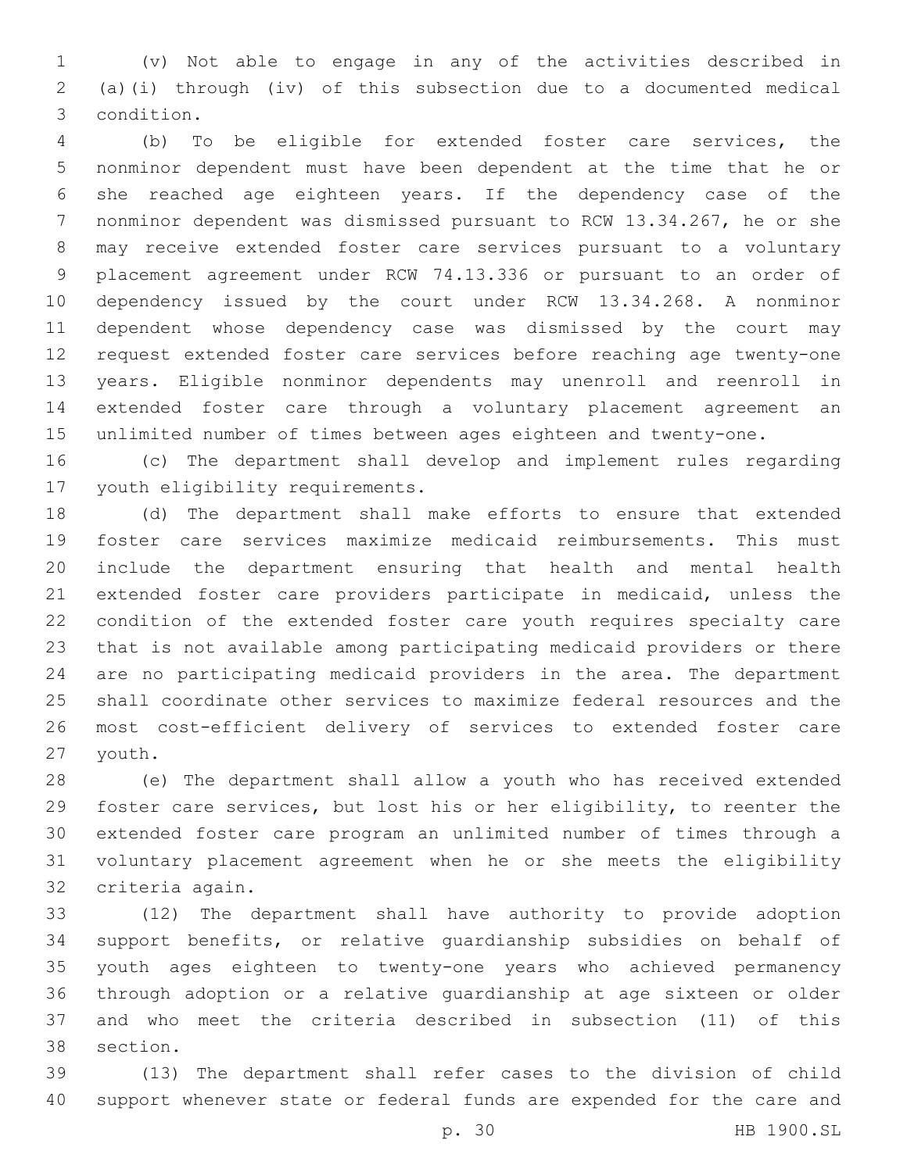(v) Not able to engage in any of the activities described in (a)(i) through (iv) of this subsection due to a documented medical condition.3

 (b) To be eligible for extended foster care services, the nonminor dependent must have been dependent at the time that he or she reached age eighteen years. If the dependency case of the nonminor dependent was dismissed pursuant to RCW 13.34.267, he or she may receive extended foster care services pursuant to a voluntary placement agreement under RCW 74.13.336 or pursuant to an order of dependency issued by the court under RCW 13.34.268. A nonminor dependent whose dependency case was dismissed by the court may request extended foster care services before reaching age twenty-one years. Eligible nonminor dependents may unenroll and reenroll in extended foster care through a voluntary placement agreement an unlimited number of times between ages eighteen and twenty-one.

 (c) The department shall develop and implement rules regarding 17 youth eligibility requirements.

 (d) The department shall make efforts to ensure that extended foster care services maximize medicaid reimbursements. This must include the department ensuring that health and mental health extended foster care providers participate in medicaid, unless the condition of the extended foster care youth requires specialty care that is not available among participating medicaid providers or there are no participating medicaid providers in the area. The department shall coordinate other services to maximize federal resources and the most cost-efficient delivery of services to extended foster care 27 youth.

 (e) The department shall allow a youth who has received extended foster care services, but lost his or her eligibility, to reenter the extended foster care program an unlimited number of times through a voluntary placement agreement when he or she meets the eligibility 32 criteria again.

 (12) The department shall have authority to provide adoption support benefits, or relative guardianship subsidies on behalf of youth ages eighteen to twenty-one years who achieved permanency through adoption or a relative guardianship at age sixteen or older and who meet the criteria described in subsection (11) of this 38 section.

 (13) The department shall refer cases to the division of child support whenever state or federal funds are expended for the care and

p. 30 HB 1900.SL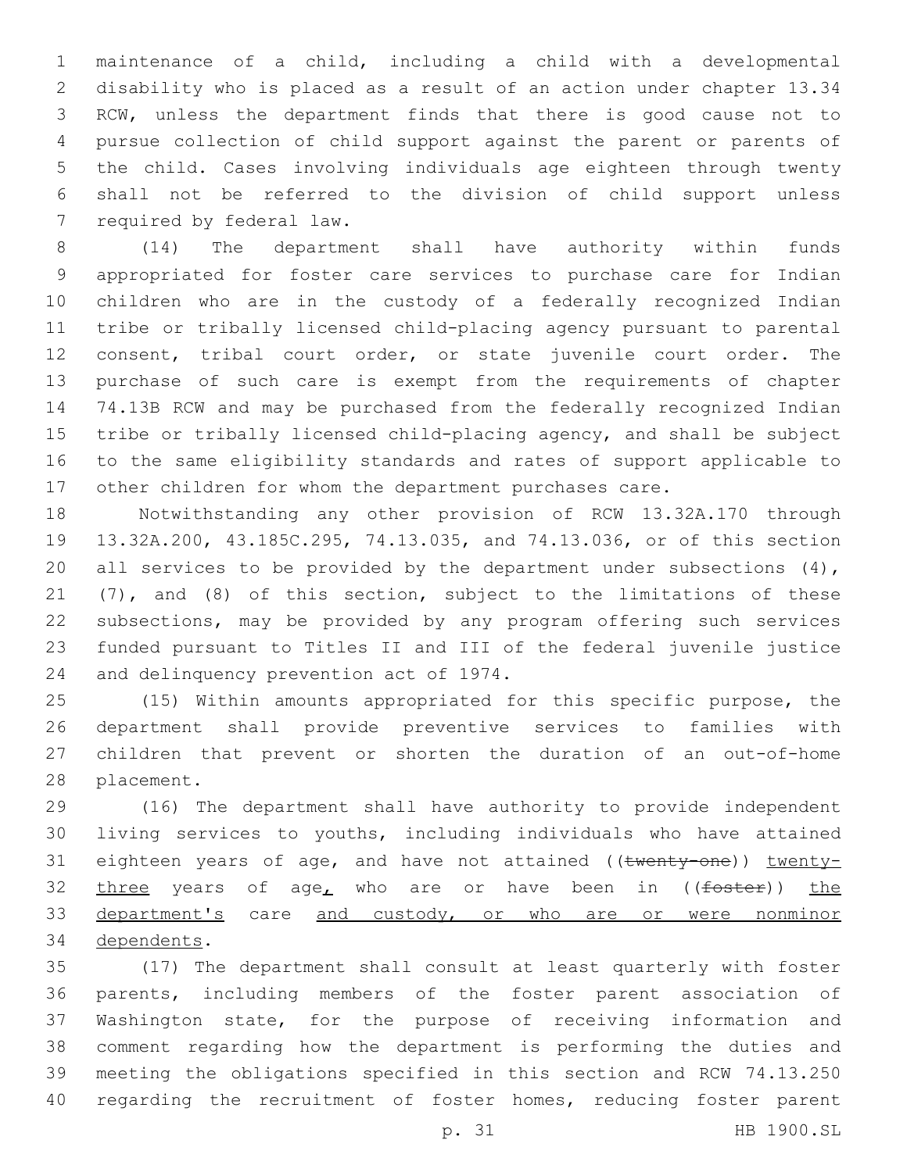maintenance of a child, including a child with a developmental disability who is placed as a result of an action under chapter 13.34 RCW, unless the department finds that there is good cause not to pursue collection of child support against the parent or parents of the child. Cases involving individuals age eighteen through twenty shall not be referred to the division of child support unless 7 required by federal law.

 (14) The department shall have authority within funds appropriated for foster care services to purchase care for Indian children who are in the custody of a federally recognized Indian tribe or tribally licensed child-placing agency pursuant to parental consent, tribal court order, or state juvenile court order. The purchase of such care is exempt from the requirements of chapter 74.13B RCW and may be purchased from the federally recognized Indian tribe or tribally licensed child-placing agency, and shall be subject to the same eligibility standards and rates of support applicable to other children for whom the department purchases care.

 Notwithstanding any other provision of RCW 13.32A.170 through 13.32A.200, 43.185C.295, 74.13.035, and 74.13.036, or of this section 20 all services to be provided by the department under subsections (4), (7), and (8) of this section, subject to the limitations of these subsections, may be provided by any program offering such services funded pursuant to Titles II and III of the federal juvenile justice 24 and delinquency prevention act of 1974.

 (15) Within amounts appropriated for this specific purpose, the department shall provide preventive services to families with children that prevent or shorten the duration of an out-of-home 28 placement.

 (16) The department shall have authority to provide independent living services to youths, including individuals who have attained 31 eighteen years of age, and have not attained ((twenty-one)) twenty-32 three years of age, who are or have been in  $(foster)$  the 33 department's care and custody, or who are or were nonminor 34 dependents.

 (17) The department shall consult at least quarterly with foster parents, including members of the foster parent association of Washington state, for the purpose of receiving information and comment regarding how the department is performing the duties and meeting the obligations specified in this section and RCW 74.13.250 40 regarding the recruitment of foster homes, reducing foster parent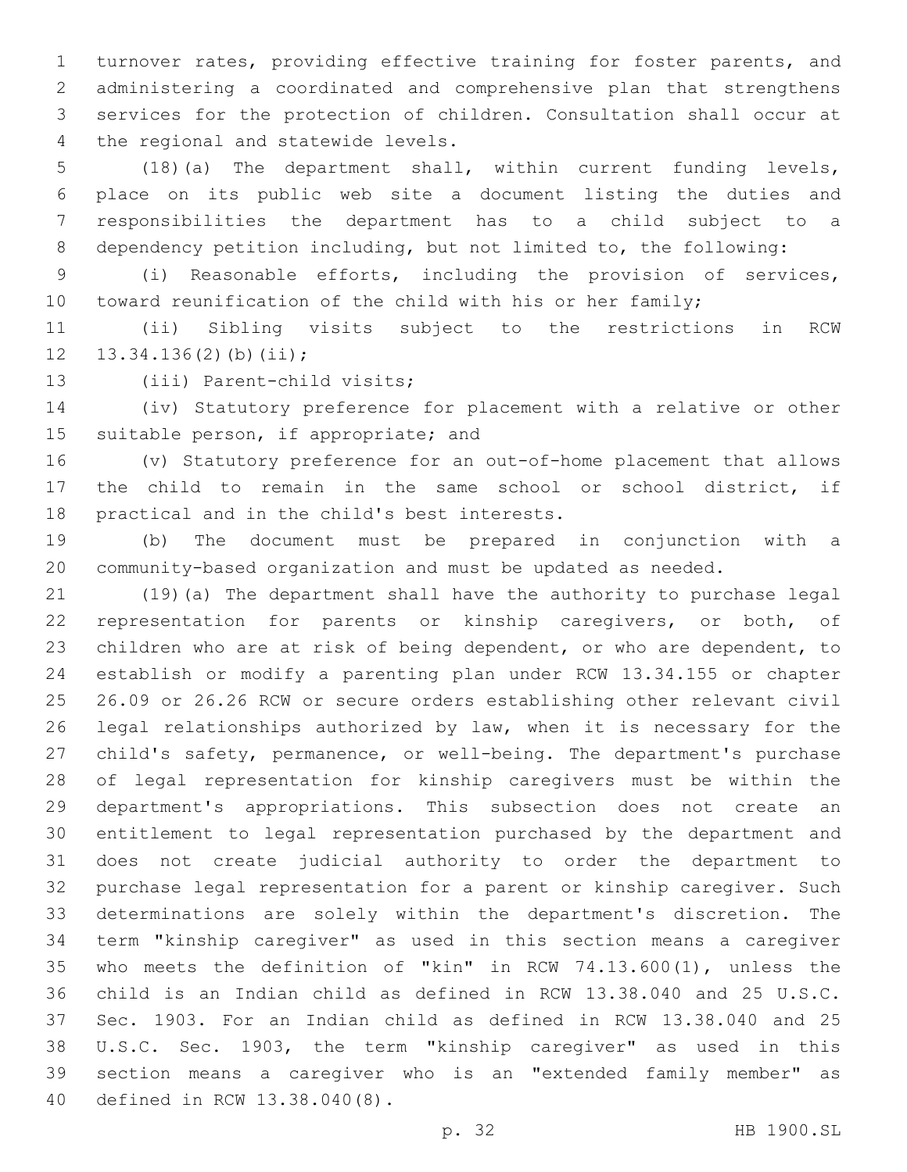turnover rates, providing effective training for foster parents, and administering a coordinated and comprehensive plan that strengthens services for the protection of children. Consultation shall occur at 4 the regional and statewide levels.

 (18)(a) The department shall, within current funding levels, place on its public web site a document listing the duties and responsibilities the department has to a child subject to a dependency petition including, but not limited to, the following:

 (i) Reasonable efforts, including the provision of services, 10 toward reunification of the child with his or her family;

 (ii) Sibling visits subject to the restrictions in RCW 12  $13.34.136(2)(b)(ii);$ 

13 (iii) Parent-child visits;

 (iv) Statutory preference for placement with a relative or other 15 suitable person, if appropriate; and

 (v) Statutory preference for an out-of-home placement that allows the child to remain in the same school or school district, if 18 practical and in the child's best interests.

 (b) The document must be prepared in conjunction with a community-based organization and must be updated as needed.

 (19)(a) The department shall have the authority to purchase legal representation for parents or kinship caregivers, or both, of children who are at risk of being dependent, or who are dependent, to establish or modify a parenting plan under RCW 13.34.155 or chapter 26.09 or 26.26 RCW or secure orders establishing other relevant civil legal relationships authorized by law, when it is necessary for the child's safety, permanence, or well-being. The department's purchase of legal representation for kinship caregivers must be within the department's appropriations. This subsection does not create an entitlement to legal representation purchased by the department and does not create judicial authority to order the department to purchase legal representation for a parent or kinship caregiver. Such determinations are solely within the department's discretion. The term "kinship caregiver" as used in this section means a caregiver who meets the definition of "kin" in RCW 74.13.600(1), unless the child is an Indian child as defined in RCW 13.38.040 and 25 U.S.C. Sec. 1903. For an Indian child as defined in RCW 13.38.040 and 25 U.S.C. Sec. 1903, the term "kinship caregiver" as used in this section means a caregiver who is an "extended family member" as 40 defined in RCW 13.38.040(8).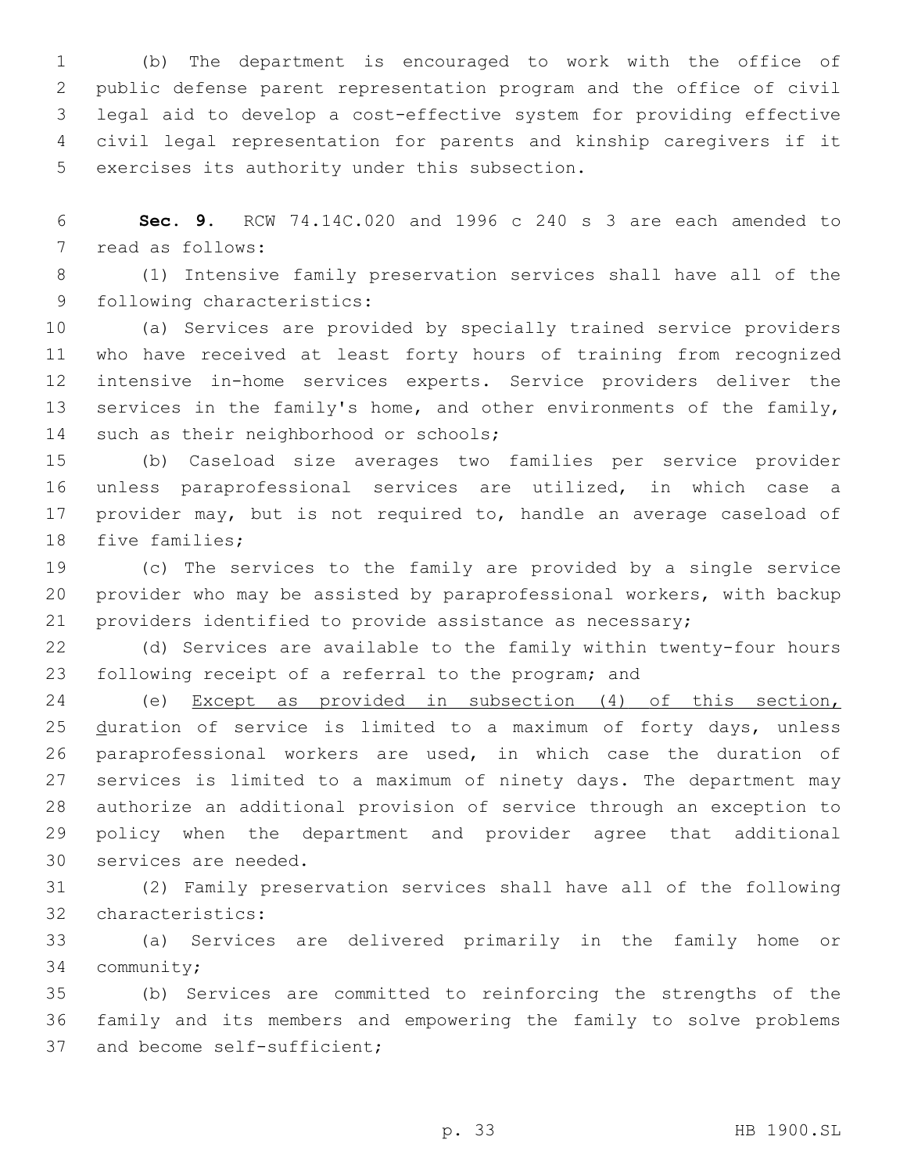(b) The department is encouraged to work with the office of public defense parent representation program and the office of civil legal aid to develop a cost-effective system for providing effective civil legal representation for parents and kinship caregivers if it 5 exercises its authority under this subsection.

 **Sec. 9.** RCW 74.14C.020 and 1996 c 240 s 3 are each amended to 7 read as follows:

 (1) Intensive family preservation services shall have all of the 9 following characteristics:

 (a) Services are provided by specially trained service providers who have received at least forty hours of training from recognized intensive in-home services experts. Service providers deliver the services in the family's home, and other environments of the family, 14 such as their neighborhood or schools;

 (b) Caseload size averages two families per service provider unless paraprofessional services are utilized, in which case a provider may, but is not required to, handle an average caseload of 18 five families;

 (c) The services to the family are provided by a single service provider who may be assisted by paraprofessional workers, with backup providers identified to provide assistance as necessary;

 (d) Services are available to the family within twenty-four hours following receipt of a referral to the program; and

 (e) Except as provided in subsection (4) of this section, duration of service is limited to a maximum of forty days, unless paraprofessional workers are used, in which case the duration of services is limited to a maximum of ninety days. The department may authorize an additional provision of service through an exception to policy when the department and provider agree that additional 30 services are needed.

 (2) Family preservation services shall have all of the following 32 characteristics:

 (a) Services are delivered primarily in the family home or 34 community;

 (b) Services are committed to reinforcing the strengths of the family and its members and empowering the family to solve problems 37 and become self-sufficient;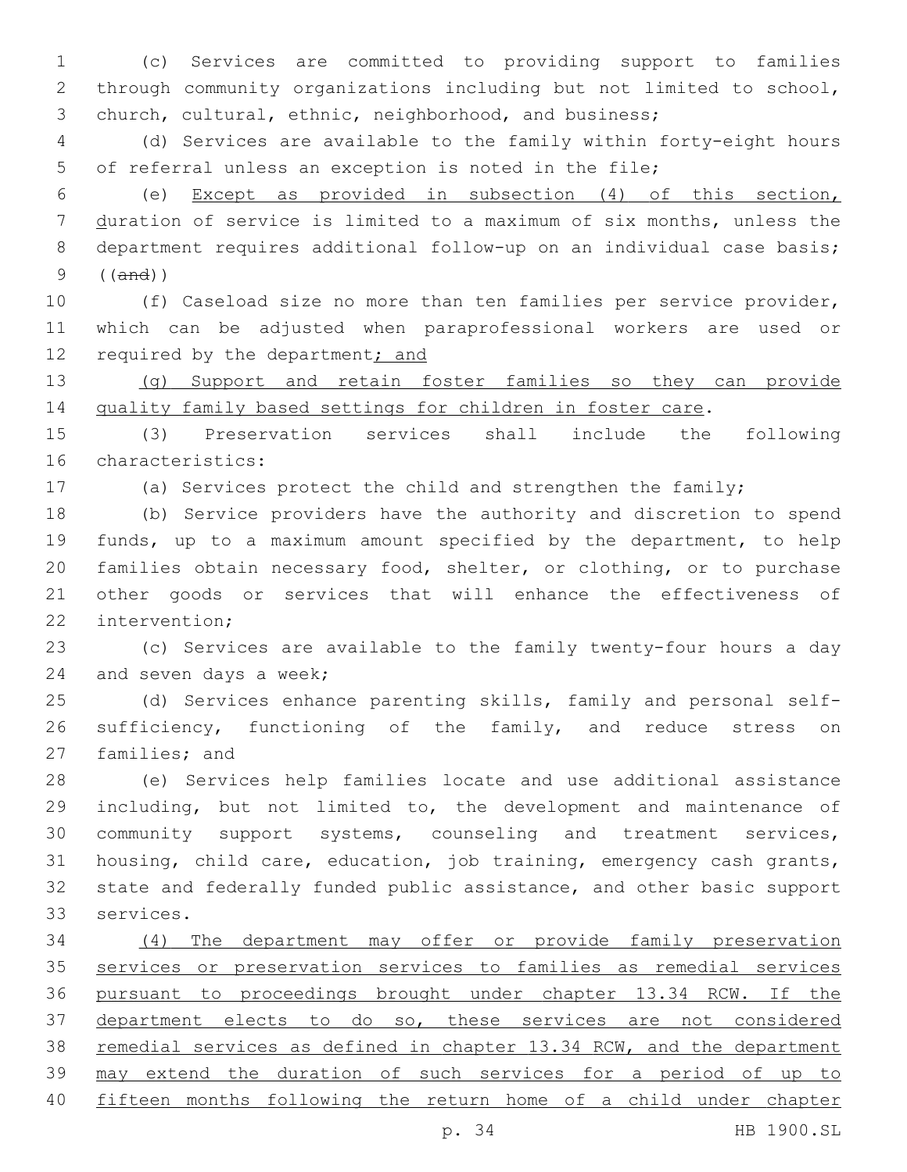(c) Services are committed to providing support to families through community organizations including but not limited to school, church, cultural, ethnic, neighborhood, and business;

 (d) Services are available to the family within forty-eight hours of referral unless an exception is noted in the file;

 (e) Except as provided in subsection (4) of this section, duration of service is limited to a maximum of six months, unless the department requires additional follow-up on an individual case basis; ((and))

 (f) Caseload size no more than ten families per service provider, which can be adjusted when paraprofessional workers are used or 12 required by the department; and

13 (g) Support and retain foster families so they can provide 14 quality family based settings for children in foster care.

 (3) Preservation services shall include the following 16 characteristics:

(a) Services protect the child and strengthen the family;

 (b) Service providers have the authority and discretion to spend funds, up to a maximum amount specified by the department, to help families obtain necessary food, shelter, or clothing, or to purchase other goods or services that will enhance the effectiveness of 22 intervention:

 (c) Services are available to the family twenty-four hours a day 24 and seven days a week;

 (d) Services enhance parenting skills, family and personal self- sufficiency, functioning of the family, and reduce stress on 27 families; and

 (e) Services help families locate and use additional assistance including, but not limited to, the development and maintenance of community support systems, counseling and treatment services, housing, child care, education, job training, emergency cash grants, state and federally funded public assistance, and other basic support 33 services.

 (4) The department may offer or provide family preservation services or preservation services to families as remedial services pursuant to proceedings brought under chapter 13.34 RCW. If the department elects to do so, these services are not considered 38 remedial services as defined in chapter 13.34 RCW, and the department may extend the duration of such services for a period of up to fifteen months following the return home of a child under chapter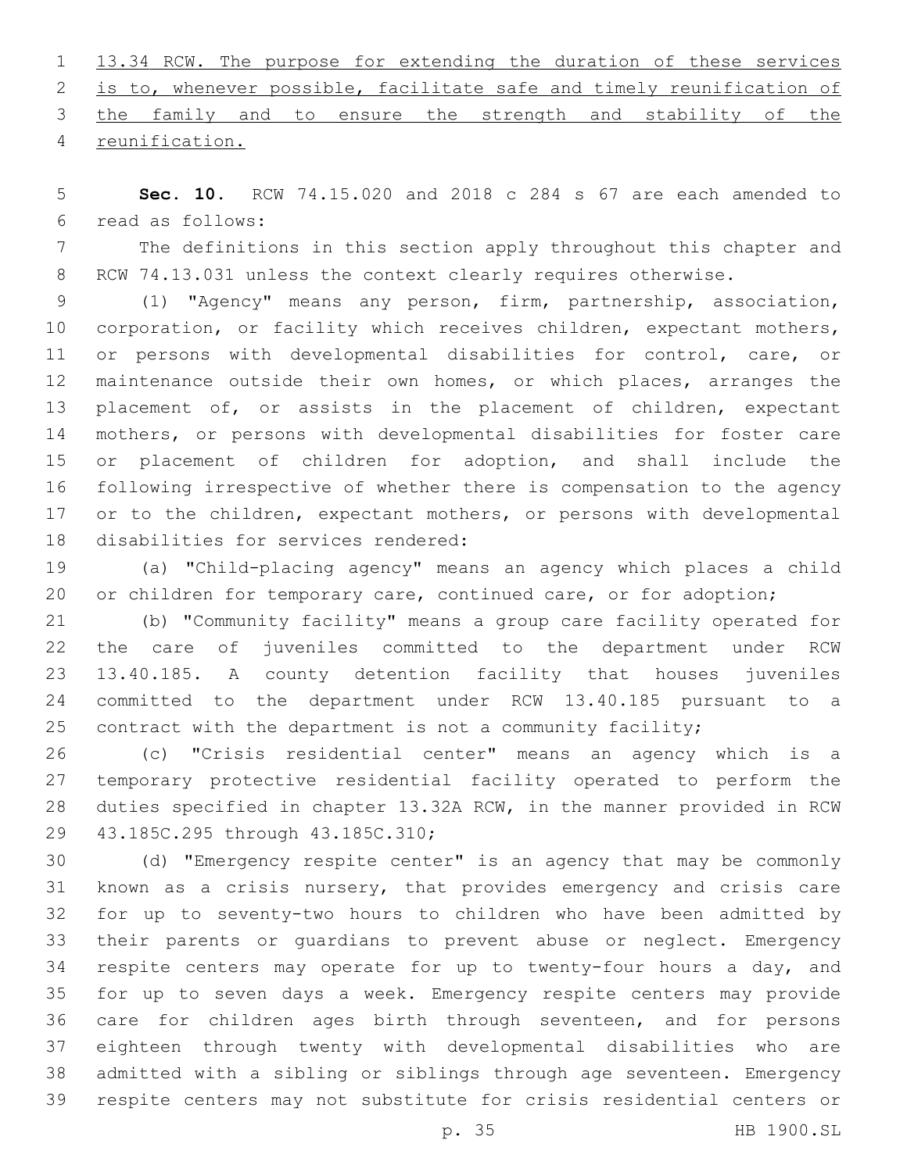|                  |  |  | 1 13.34 RCW. The purpose for extending the duration of these services   |  |  |  |  |
|------------------|--|--|-------------------------------------------------------------------------|--|--|--|--|
|                  |  |  | 2 is to, whenever possible, facilitate safe and timely reunification of |  |  |  |  |
|                  |  |  | 3 the family and to ensure the strength and stability of the            |  |  |  |  |
| 4 reunification. |  |  |                                                                         |  |  |  |  |

 **Sec. 10.** RCW 74.15.020 and 2018 c 284 s 67 are each amended to read as follows:6

 The definitions in this section apply throughout this chapter and 8 RCW 74.13.031 unless the context clearly requires otherwise.

 (1) "Agency" means any person, firm, partnership, association, corporation, or facility which receives children, expectant mothers, or persons with developmental disabilities for control, care, or 12 maintenance outside their own homes, or which places, arranges the 13 placement of, or assists in the placement of children, expectant mothers, or persons with developmental disabilities for foster care or placement of children for adoption, and shall include the following irrespective of whether there is compensation to the agency 17 or to the children, expectant mothers, or persons with developmental 18 disabilities for services rendered:

 (a) "Child-placing agency" means an agency which places a child 20 or children for temporary care, continued care, or for adoption;

 (b) "Community facility" means a group care facility operated for the care of juveniles committed to the department under RCW 13.40.185. A county detention facility that houses juveniles committed to the department under RCW 13.40.185 pursuant to a 25 contract with the department is not a community facility;

 (c) "Crisis residential center" means an agency which is a temporary protective residential facility operated to perform the duties specified in chapter 13.32A RCW, in the manner provided in RCW 29 43.185C.295 through 43.185C.310;

 (d) "Emergency respite center" is an agency that may be commonly known as a crisis nursery, that provides emergency and crisis care for up to seventy-two hours to children who have been admitted by their parents or guardians to prevent abuse or neglect. Emergency respite centers may operate for up to twenty-four hours a day, and for up to seven days a week. Emergency respite centers may provide care for children ages birth through seventeen, and for persons eighteen through twenty with developmental disabilities who are admitted with a sibling or siblings through age seventeen. Emergency respite centers may not substitute for crisis residential centers or

p. 35 HB 1900.SL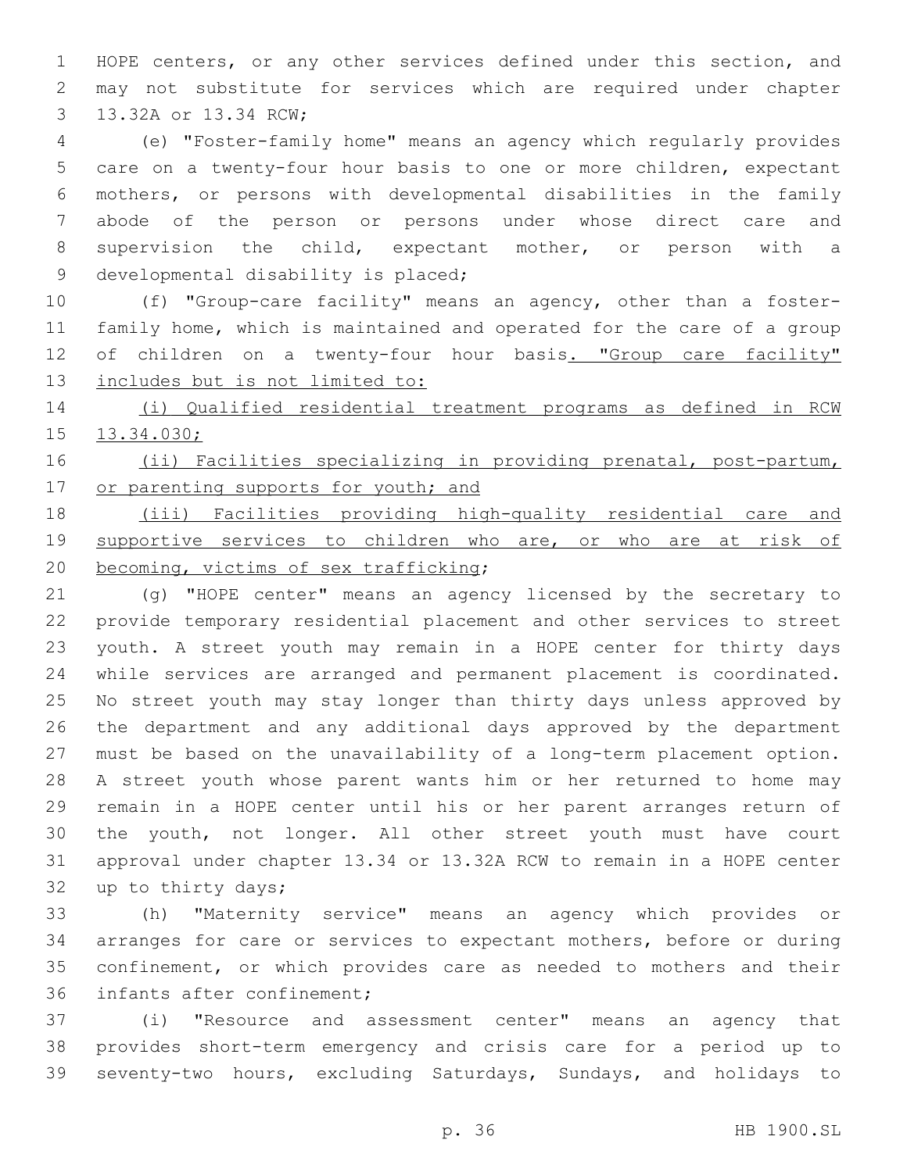HOPE centers, or any other services defined under this section, and may not substitute for services which are required under chapter 3 13.32A or 13.34 RCW;

 (e) "Foster-family home" means an agency which regularly provides care on a twenty-four hour basis to one or more children, expectant mothers, or persons with developmental disabilities in the family abode of the person or persons under whose direct care and supervision the child, expectant mother, or person with a 9 developmental disability is placed;

 (f) "Group-care facility" means an agency, other than a foster- family home, which is maintained and operated for the care of a group 12 of children on a twenty-four hour basis. "Group care facility" includes but is not limited to:

 (i) Qualified residential treatment programs as defined in RCW 13.34.030;

 (ii) Facilities specializing in providing prenatal, post-partum, 17 or parenting supports for youth; and

 (iii) Facilities providing high-quality residential care and supportive services to children who are, or who are at risk of 20 becoming, victims of sex trafficking;

 (g) "HOPE center" means an agency licensed by the secretary to provide temporary residential placement and other services to street youth. A street youth may remain in a HOPE center for thirty days while services are arranged and permanent placement is coordinated. No street youth may stay longer than thirty days unless approved by the department and any additional days approved by the department must be based on the unavailability of a long-term placement option. A street youth whose parent wants him or her returned to home may remain in a HOPE center until his or her parent arranges return of the youth, not longer. All other street youth must have court approval under chapter 13.34 or 13.32A RCW to remain in a HOPE center 32 up to thirty days;

 (h) "Maternity service" means an agency which provides or arranges for care or services to expectant mothers, before or during confinement, or which provides care as needed to mothers and their 36 infants after confinement;

 (i) "Resource and assessment center" means an agency that provides short-term emergency and crisis care for a period up to seventy-two hours, excluding Saturdays, Sundays, and holidays to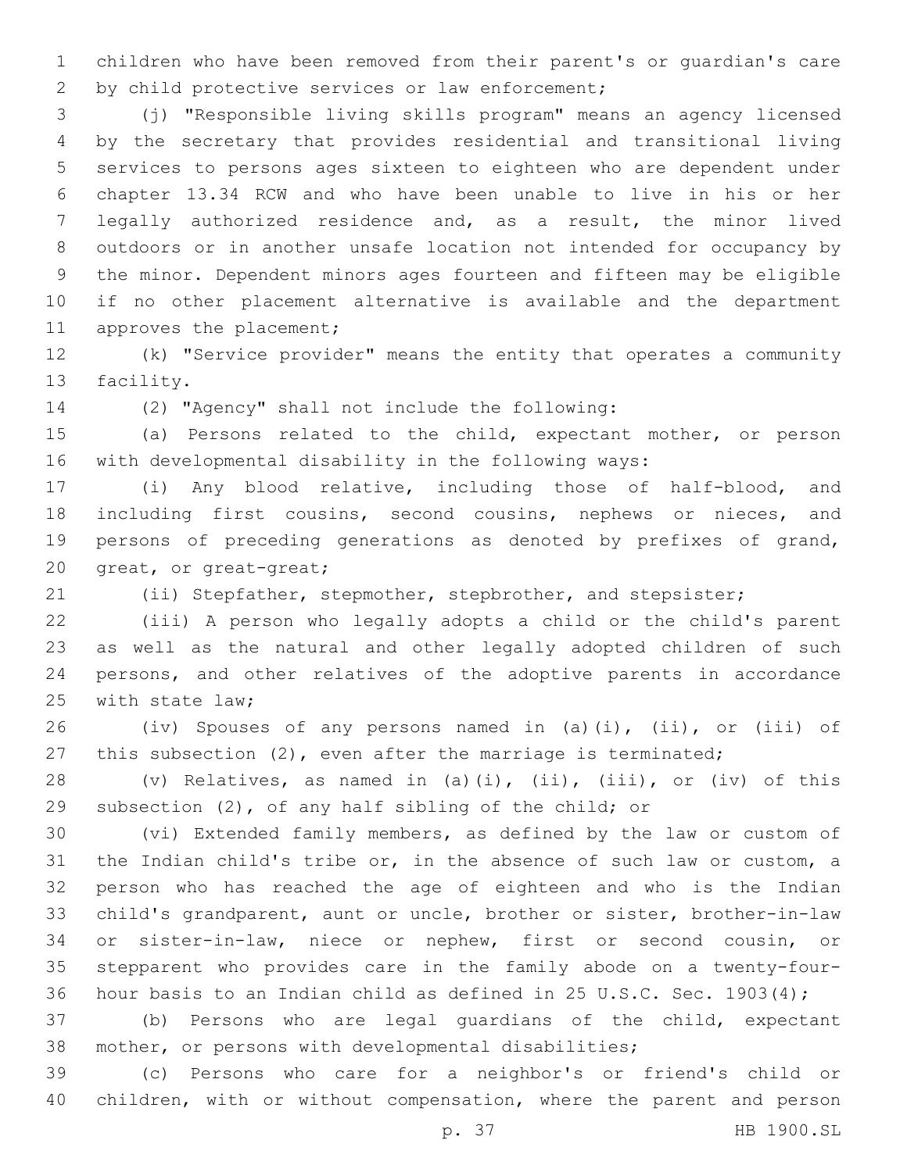children who have been removed from their parent's or guardian's care 2 by child protective services or law enforcement;

 (j) "Responsible living skills program" means an agency licensed by the secretary that provides residential and transitional living services to persons ages sixteen to eighteen who are dependent under chapter 13.34 RCW and who have been unable to live in his or her legally authorized residence and, as a result, the minor lived outdoors or in another unsafe location not intended for occupancy by the minor. Dependent minors ages fourteen and fifteen may be eligible if no other placement alternative is available and the department 11 approves the placement;

 (k) "Service provider" means the entity that operates a community 13 facility.

(2) "Agency" shall not include the following:14

 (a) Persons related to the child, expectant mother, or person with developmental disability in the following ways:

 (i) Any blood relative, including those of half-blood, and including first cousins, second cousins, nephews or nieces, and persons of preceding generations as denoted by prefixes of grand, 20 great, or great-great;

(ii) Stepfather, stepmother, stepbrother, and stepsister;

 (iii) A person who legally adopts a child or the child's parent as well as the natural and other legally adopted children of such persons, and other relatives of the adoptive parents in accordance 25 with state law;

 (iv) Spouses of any persons named in (a)(i), (ii), or (iii) of this subsection (2), even after the marriage is terminated;

 (v) Relatives, as named in (a)(i), (ii), (iii), or (iv) of this subsection (2), of any half sibling of the child; or

 (vi) Extended family members, as defined by the law or custom of the Indian child's tribe or, in the absence of such law or custom, a person who has reached the age of eighteen and who is the Indian child's grandparent, aunt or uncle, brother or sister, brother-in-law or sister-in-law, niece or nephew, first or second cousin, or stepparent who provides care in the family abode on a twenty-four-hour basis to an Indian child as defined in 25 U.S.C. Sec. 1903(4);

 (b) Persons who are legal guardians of the child, expectant mother, or persons with developmental disabilities;

 (c) Persons who care for a neighbor's or friend's child or children, with or without compensation, where the parent and person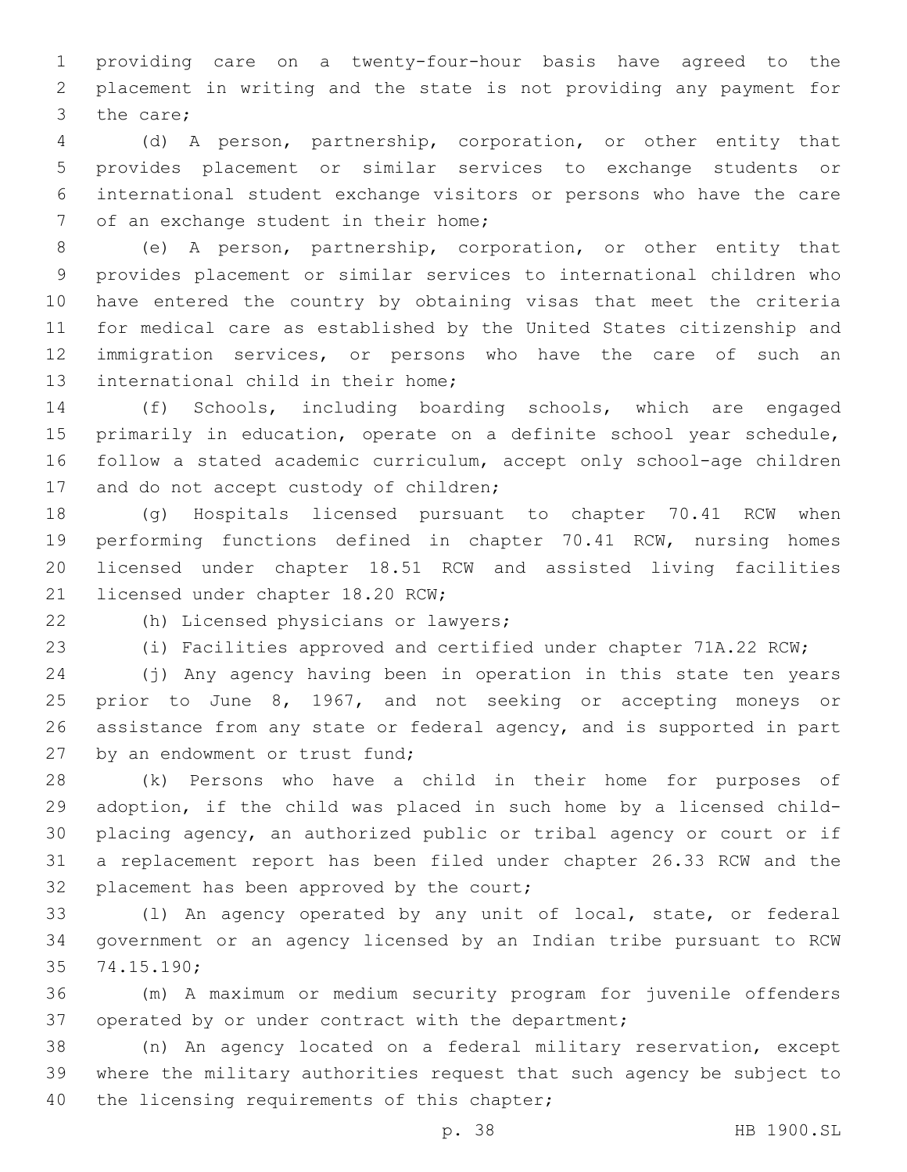providing care on a twenty-four-hour basis have agreed to the placement in writing and the state is not providing any payment for 3 the care;

 (d) A person, partnership, corporation, or other entity that provides placement or similar services to exchange students or international student exchange visitors or persons who have the care 7 of an exchange student in their home;

 (e) A person, partnership, corporation, or other entity that provides placement or similar services to international children who have entered the country by obtaining visas that meet the criteria for medical care as established by the United States citizenship and immigration services, or persons who have the care of such an 13 international child in their home;

 (f) Schools, including boarding schools, which are engaged primarily in education, operate on a definite school year schedule, follow a stated academic curriculum, accept only school-age children 17 and do not accept custody of children;

 (g) Hospitals licensed pursuant to chapter 70.41 RCW when performing functions defined in chapter 70.41 RCW, nursing homes licensed under chapter 18.51 RCW and assisted living facilities 21 licensed under chapter 18.20 RCW;

22 (h) Licensed physicians or lawyers;

(i) Facilities approved and certified under chapter 71A.22 RCW;

 (j) Any agency having been in operation in this state ten years prior to June 8, 1967, and not seeking or accepting moneys or assistance from any state or federal agency, and is supported in part 27 by an endowment or trust fund;

 (k) Persons who have a child in their home for purposes of adoption, if the child was placed in such home by a licensed child- placing agency, an authorized public or tribal agency or court or if a replacement report has been filed under chapter 26.33 RCW and the 32 placement has been approved by the court;

 (l) An agency operated by any unit of local, state, or federal government or an agency licensed by an Indian tribe pursuant to RCW 35 74.15.190;

 (m) A maximum or medium security program for juvenile offenders operated by or under contract with the department;

 (n) An agency located on a federal military reservation, except where the military authorities request that such agency be subject to 40 the licensing requirements of this chapter;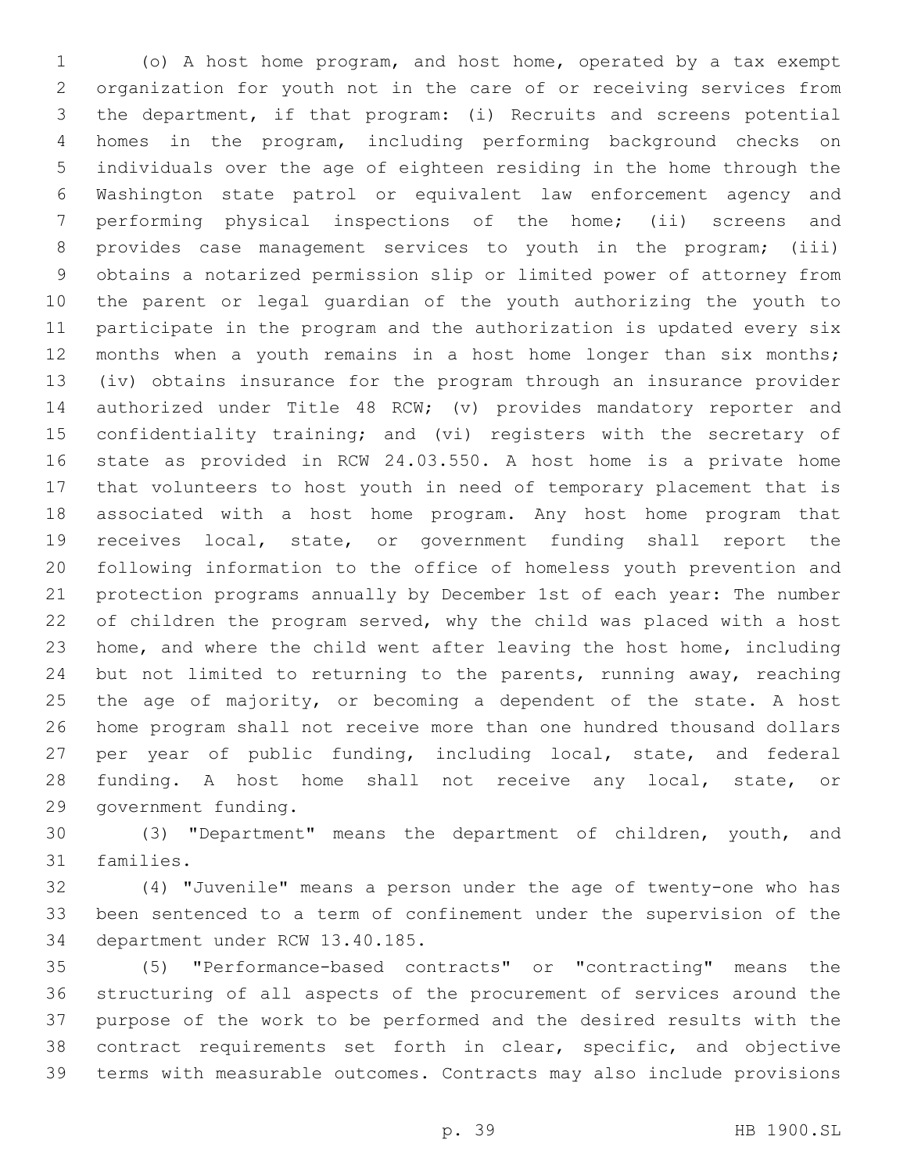(o) A host home program, and host home, operated by a tax exempt organization for youth not in the care of or receiving services from the department, if that program: (i) Recruits and screens potential homes in the program, including performing background checks on individuals over the age of eighteen residing in the home through the Washington state patrol or equivalent law enforcement agency and performing physical inspections of the home; (ii) screens and provides case management services to youth in the program; (iii) obtains a notarized permission slip or limited power of attorney from the parent or legal guardian of the youth authorizing the youth to participate in the program and the authorization is updated every six 12 months when a youth remains in a host home longer than six months; (iv) obtains insurance for the program through an insurance provider authorized under Title 48 RCW; (v) provides mandatory reporter and confidentiality training; and (vi) registers with the secretary of state as provided in RCW 24.03.550. A host home is a private home that volunteers to host youth in need of temporary placement that is associated with a host home program. Any host home program that receives local, state, or government funding shall report the following information to the office of homeless youth prevention and protection programs annually by December 1st of each year: The number of children the program served, why the child was placed with a host home, and where the child went after leaving the host home, including but not limited to returning to the parents, running away, reaching the age of majority, or becoming a dependent of the state. A host home program shall not receive more than one hundred thousand dollars per year of public funding, including local, state, and federal funding. A host home shall not receive any local, state, or 29 government funding.

 (3) "Department" means the department of children, youth, and 31 families.

 (4) "Juvenile" means a person under the age of twenty-one who has been sentenced to a term of confinement under the supervision of the 34 department under RCW 13.40.185.

 (5) "Performance-based contracts" or "contracting" means the structuring of all aspects of the procurement of services around the purpose of the work to be performed and the desired results with the contract requirements set forth in clear, specific, and objective terms with measurable outcomes. Contracts may also include provisions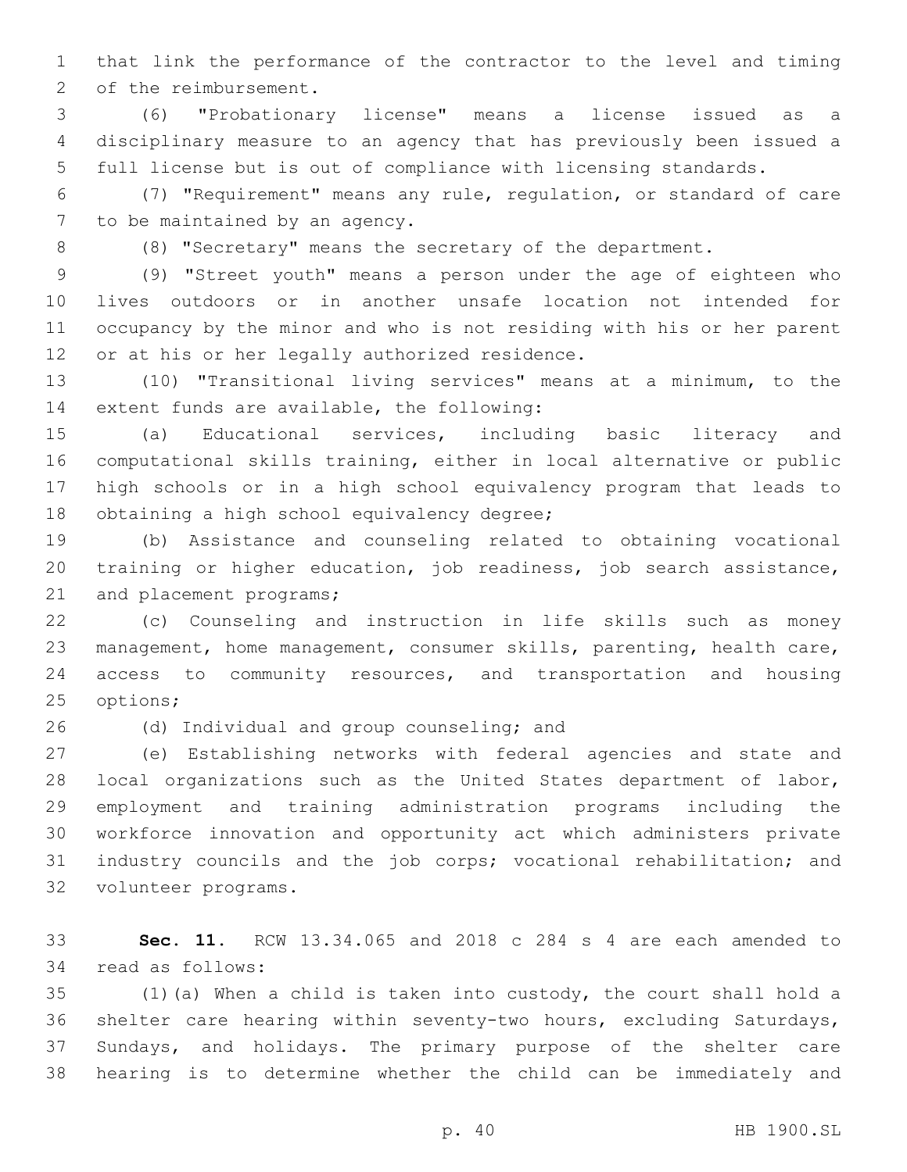that link the performance of the contractor to the level and timing 2 of the reimbursement.

 (6) "Probationary license" means a license issued as a disciplinary measure to an agency that has previously been issued a full license but is out of compliance with licensing standards.

 (7) "Requirement" means any rule, regulation, or standard of care 7 to be maintained by an agency.

(8) "Secretary" means the secretary of the department.

 (9) "Street youth" means a person under the age of eighteen who lives outdoors or in another unsafe location not intended for occupancy by the minor and who is not residing with his or her parent 12 or at his or her legally authorized residence.

 (10) "Transitional living services" means at a minimum, to the 14 extent funds are available, the following:

 (a) Educational services, including basic literacy and computational skills training, either in local alternative or public high schools or in a high school equivalency program that leads to 18 obtaining a high school equivalency degree;

 (b) Assistance and counseling related to obtaining vocational training or higher education, job readiness, job search assistance, 21 and placement programs;

 (c) Counseling and instruction in life skills such as money management, home management, consumer skills, parenting, health care, access to community resources, and transportation and housing 25 options;

26 (d) Individual and group counseling; and

 (e) Establishing networks with federal agencies and state and local organizations such as the United States department of labor, employment and training administration programs including the workforce innovation and opportunity act which administers private industry councils and the job corps; vocational rehabilitation; and 32 volunteer programs.

 **Sec. 11.** RCW 13.34.065 and 2018 c 284 s 4 are each amended to 34 read as follows:

 (1)(a) When a child is taken into custody, the court shall hold a shelter care hearing within seventy-two hours, excluding Saturdays, Sundays, and holidays. The primary purpose of the shelter care hearing is to determine whether the child can be immediately and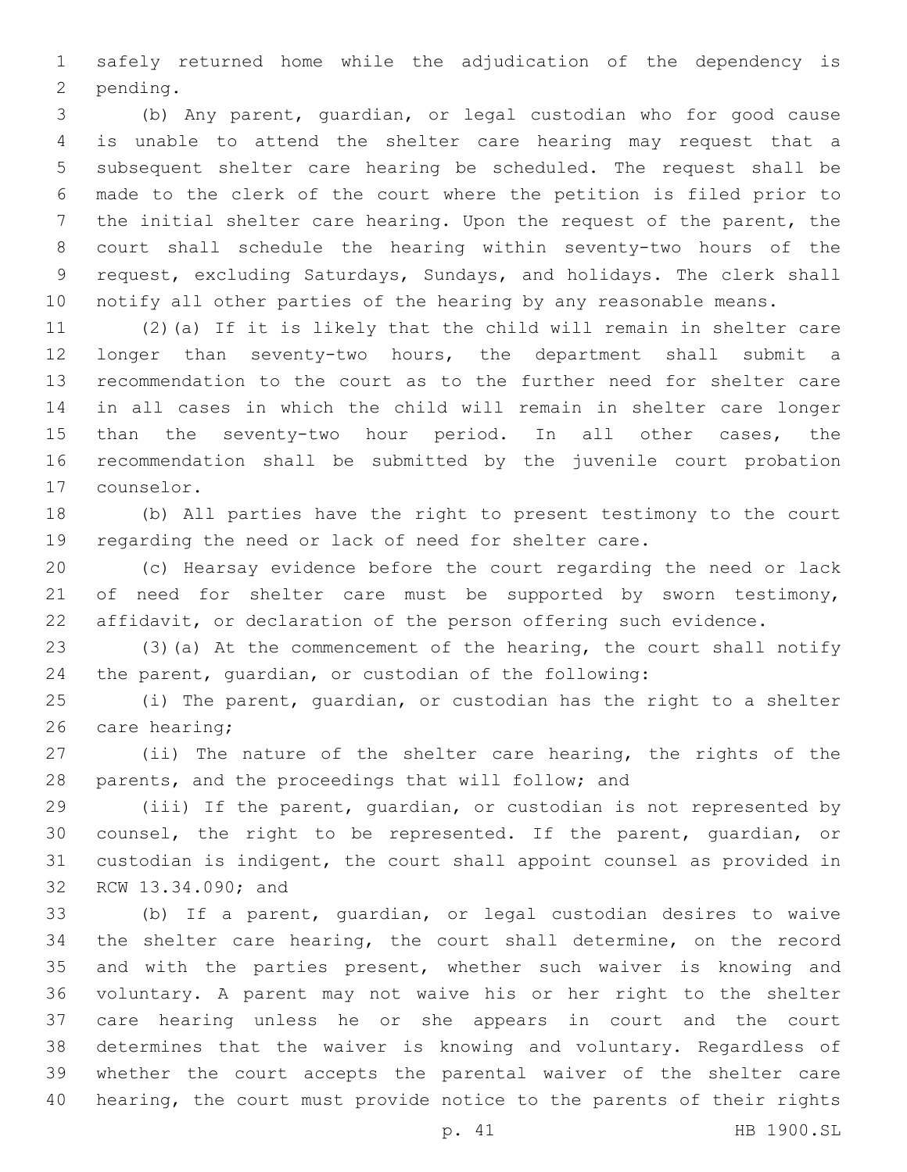safely returned home while the adjudication of the dependency is 2 pending.

 (b) Any parent, guardian, or legal custodian who for good cause is unable to attend the shelter care hearing may request that a subsequent shelter care hearing be scheduled. The request shall be made to the clerk of the court where the petition is filed prior to the initial shelter care hearing. Upon the request of the parent, the court shall schedule the hearing within seventy-two hours of the request, excluding Saturdays, Sundays, and holidays. The clerk shall notify all other parties of the hearing by any reasonable means.

 (2)(a) If it is likely that the child will remain in shelter care longer than seventy-two hours, the department shall submit a recommendation to the court as to the further need for shelter care in all cases in which the child will remain in shelter care longer than the seventy-two hour period. In all other cases, the recommendation shall be submitted by the juvenile court probation 17 counselor.

 (b) All parties have the right to present testimony to the court regarding the need or lack of need for shelter care.

 (c) Hearsay evidence before the court regarding the need or lack 21 of need for shelter care must be supported by sworn testimony, affidavit, or declaration of the person offering such evidence.

 (3)(a) At the commencement of the hearing, the court shall notify the parent, guardian, or custodian of the following:

 (i) The parent, guardian, or custodian has the right to a shelter 26 care hearing;

 (ii) The nature of the shelter care hearing, the rights of the parents, and the proceedings that will follow; and

 (iii) If the parent, guardian, or custodian is not represented by counsel, the right to be represented. If the parent, guardian, or custodian is indigent, the court shall appoint counsel as provided in 32 RCW 13.34.090; and

 (b) If a parent, guardian, or legal custodian desires to waive the shelter care hearing, the court shall determine, on the record and with the parties present, whether such waiver is knowing and voluntary. A parent may not waive his or her right to the shelter care hearing unless he or she appears in court and the court determines that the waiver is knowing and voluntary. Regardless of whether the court accepts the parental waiver of the shelter care hearing, the court must provide notice to the parents of their rights

p. 41 HB 1900.SL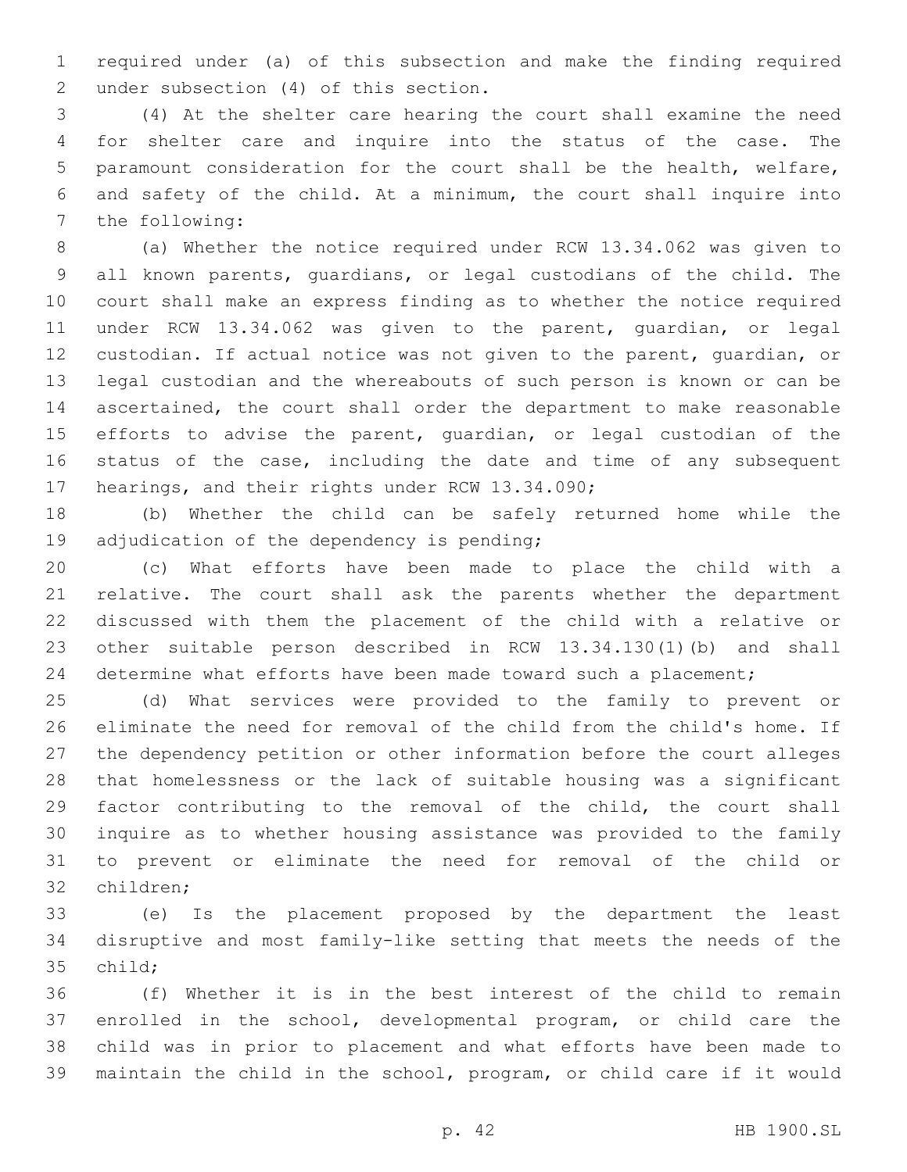required under (a) of this subsection and make the finding required 2 under subsection (4) of this section.

 (4) At the shelter care hearing the court shall examine the need for shelter care and inquire into the status of the case. The paramount consideration for the court shall be the health, welfare, and safety of the child. At a minimum, the court shall inquire into 7 the following:

 (a) Whether the notice required under RCW 13.34.062 was given to all known parents, guardians, or legal custodians of the child. The court shall make an express finding as to whether the notice required under RCW 13.34.062 was given to the parent, guardian, or legal custodian. If actual notice was not given to the parent, guardian, or legal custodian and the whereabouts of such person is known or can be ascertained, the court shall order the department to make reasonable efforts to advise the parent, guardian, or legal custodian of the 16 status of the case, including the date and time of any subsequent 17 hearings, and their rights under RCW 13.34.090;

 (b) Whether the child can be safely returned home while the 19 adjudication of the dependency is pending;

 (c) What efforts have been made to place the child with a relative. The court shall ask the parents whether the department discussed with them the placement of the child with a relative or other suitable person described in RCW 13.34.130(1)(b) and shall 24 determine what efforts have been made toward such a placement;

 (d) What services were provided to the family to prevent or eliminate the need for removal of the child from the child's home. If the dependency petition or other information before the court alleges that homelessness or the lack of suitable housing was a significant factor contributing to the removal of the child, the court shall inquire as to whether housing assistance was provided to the family to prevent or eliminate the need for removal of the child or 32 children;

 (e) Is the placement proposed by the department the least disruptive and most family-like setting that meets the needs of the 35 child;

 (f) Whether it is in the best interest of the child to remain enrolled in the school, developmental program, or child care the child was in prior to placement and what efforts have been made to maintain the child in the school, program, or child care if it would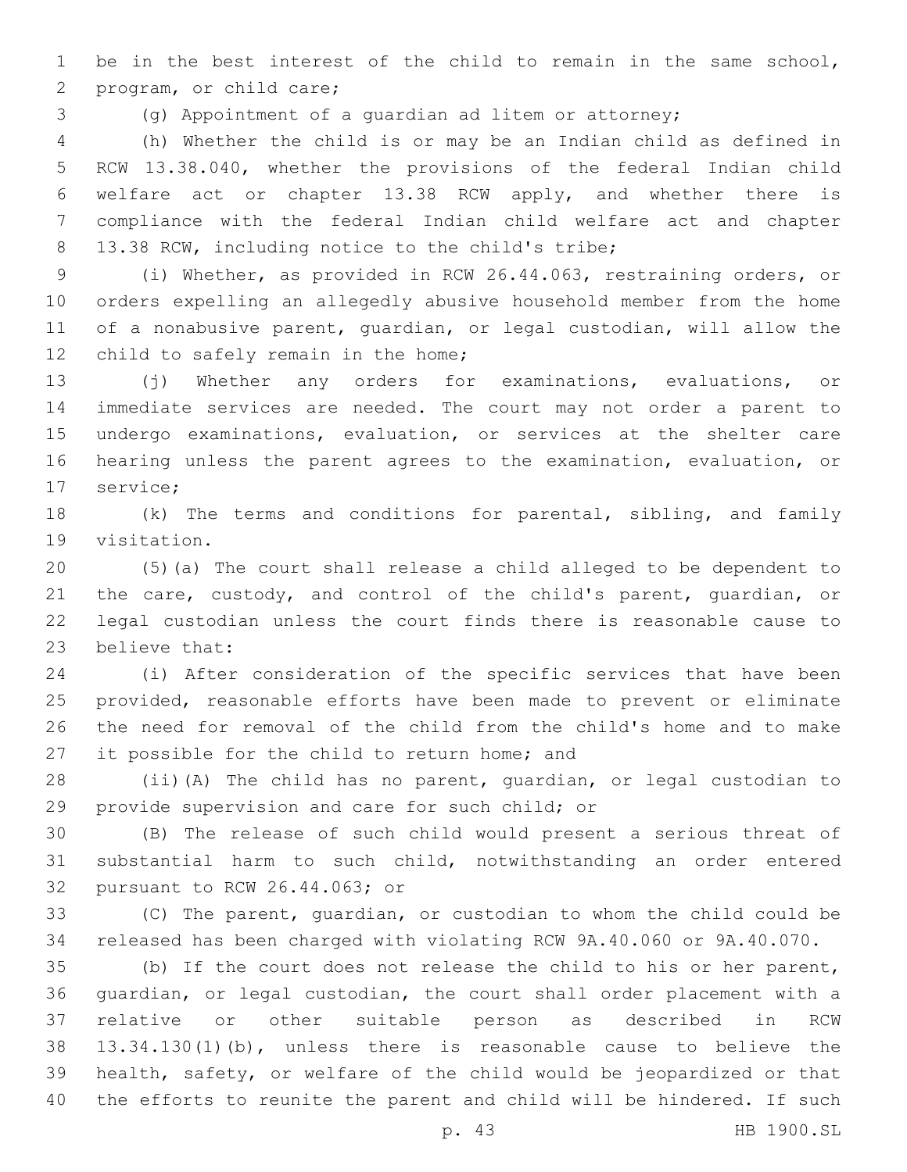be in the best interest of the child to remain in the same school, 2 program, or child care;

(g) Appointment of a guardian ad litem or attorney;

 (h) Whether the child is or may be an Indian child as defined in RCW 13.38.040, whether the provisions of the federal Indian child welfare act or chapter 13.38 RCW apply, and whether there is compliance with the federal Indian child welfare act and chapter 8 13.38 RCW, including notice to the child's tribe;

 (i) Whether, as provided in RCW 26.44.063, restraining orders, or orders expelling an allegedly abusive household member from the home of a nonabusive parent, guardian, or legal custodian, will allow the 12 child to safely remain in the home;

 (j) Whether any orders for examinations, evaluations, or immediate services are needed. The court may not order a parent to undergo examinations, evaluation, or services at the shelter care hearing unless the parent agrees to the examination, evaluation, or 17 service;

 (k) The terms and conditions for parental, sibling, and family 19 visitation.

 (5)(a) The court shall release a child alleged to be dependent to 21 the care, custody, and control of the child's parent, quardian, or legal custodian unless the court finds there is reasonable cause to 23 believe that:

 (i) After consideration of the specific services that have been provided, reasonable efforts have been made to prevent or eliminate the need for removal of the child from the child's home and to make 27 it possible for the child to return home; and

 (ii)(A) The child has no parent, guardian, or legal custodian to 29 provide supervision and care for such child; or

 (B) The release of such child would present a serious threat of substantial harm to such child, notwithstanding an order entered 32 pursuant to RCW 26.44.063; or

 (C) The parent, guardian, or custodian to whom the child could be released has been charged with violating RCW 9A.40.060 or 9A.40.070.

 (b) If the court does not release the child to his or her parent, guardian, or legal custodian, the court shall order placement with a relative or other suitable person as described in RCW 13.34.130(1)(b), unless there is reasonable cause to believe the health, safety, or welfare of the child would be jeopardized or that the efforts to reunite the parent and child will be hindered. If such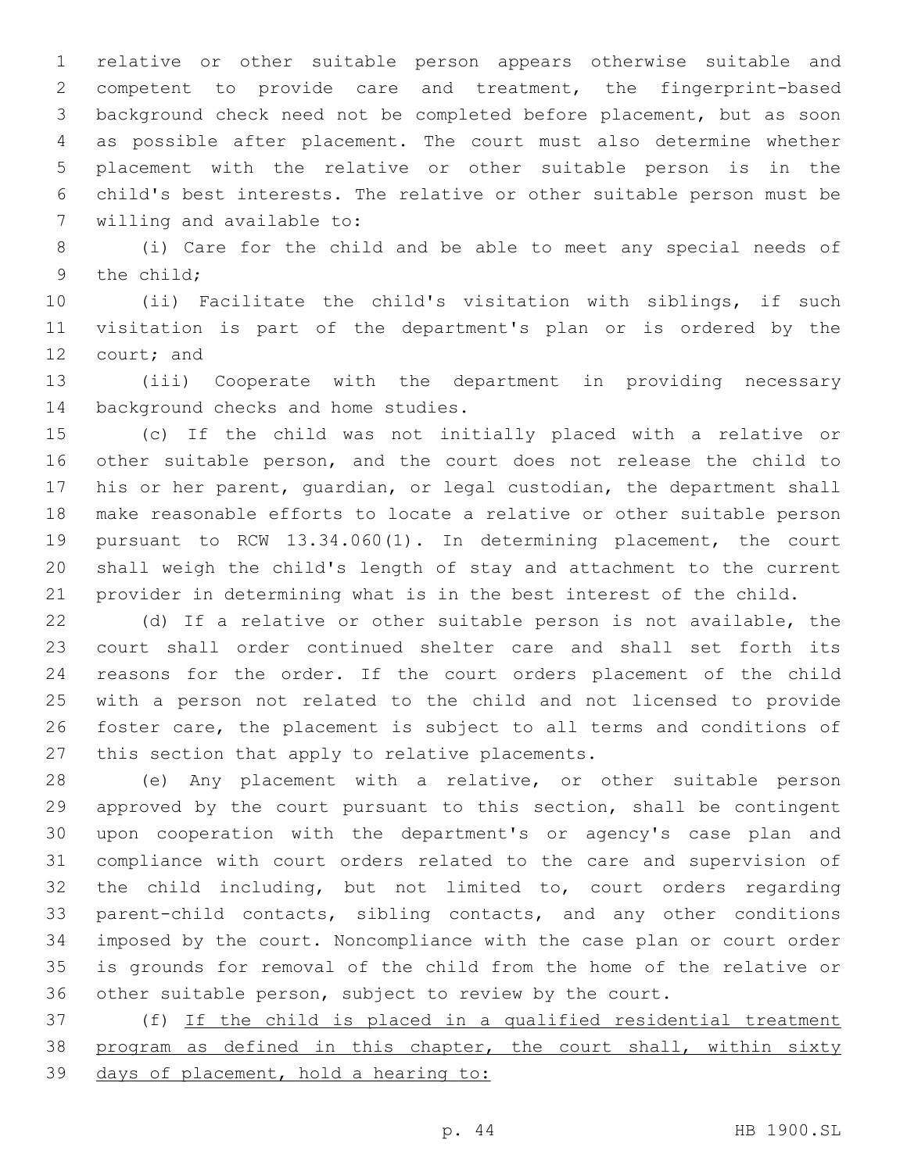relative or other suitable person appears otherwise suitable and competent to provide care and treatment, the fingerprint-based background check need not be completed before placement, but as soon as possible after placement. The court must also determine whether placement with the relative or other suitable person is in the child's best interests. The relative or other suitable person must be 7 willing and available to:

 (i) Care for the child and be able to meet any special needs of 9 the child:

 (ii) Facilitate the child's visitation with siblings, if such visitation is part of the department's plan or is ordered by the 12 court; and

 (iii) Cooperate with the department in providing necessary 14 background checks and home studies.

 (c) If the child was not initially placed with a relative or other suitable person, and the court does not release the child to his or her parent, guardian, or legal custodian, the department shall make reasonable efforts to locate a relative or other suitable person pursuant to RCW 13.34.060(1). In determining placement, the court shall weigh the child's length of stay and attachment to the current provider in determining what is in the best interest of the child.

 (d) If a relative or other suitable person is not available, the court shall order continued shelter care and shall set forth its reasons for the order. If the court orders placement of the child with a person not related to the child and not licensed to provide foster care, the placement is subject to all terms and conditions of 27 this section that apply to relative placements.

 (e) Any placement with a relative, or other suitable person approved by the court pursuant to this section, shall be contingent upon cooperation with the department's or agency's case plan and compliance with court orders related to the care and supervision of the child including, but not limited to, court orders regarding parent-child contacts, sibling contacts, and any other conditions imposed by the court. Noncompliance with the case plan or court order is grounds for removal of the child from the home of the relative or other suitable person, subject to review by the court.

 (f) If the child is placed in a qualified residential treatment 38 program as defined in this chapter, the court shall, within sixty days of placement, hold a hearing to: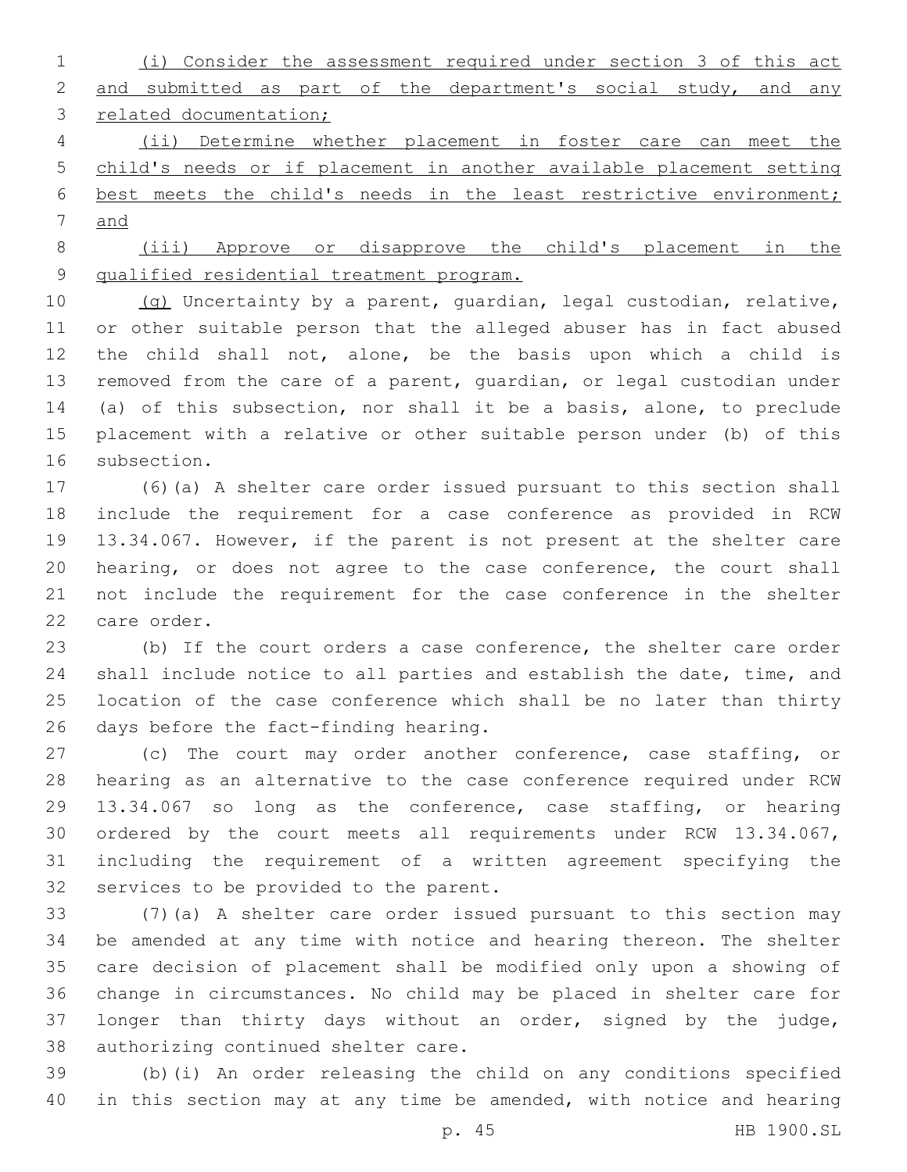(i) Consider the assessment required under section 3 of this act 2 and submitted as part of the department's social study, and any 3 related documentation;

 (ii) Determine whether placement in foster care can meet the child's needs or if placement in another available placement setting best meets the child's needs in the least restrictive environment; and

 (iii) Approve or disapprove the child's placement in the qualified residential treatment program.

 (g) Uncertainty by a parent, guardian, legal custodian, relative, or other suitable person that the alleged abuser has in fact abused the child shall not, alone, be the basis upon which a child is removed from the care of a parent, guardian, or legal custodian under (a) of this subsection, nor shall it be a basis, alone, to preclude placement with a relative or other suitable person under (b) of this 16 subsection.

 (6)(a) A shelter care order issued pursuant to this section shall include the requirement for a case conference as provided in RCW 13.34.067. However, if the parent is not present at the shelter care hearing, or does not agree to the case conference, the court shall not include the requirement for the case conference in the shelter 22 care order.

 (b) If the court orders a case conference, the shelter care order shall include notice to all parties and establish the date, time, and location of the case conference which shall be no later than thirty 26 days before the fact-finding hearing.

 (c) The court may order another conference, case staffing, or hearing as an alternative to the case conference required under RCW 13.34.067 so long as the conference, case staffing, or hearing ordered by the court meets all requirements under RCW 13.34.067, including the requirement of a written agreement specifying the 32 services to be provided to the parent.

 (7)(a) A shelter care order issued pursuant to this section may be amended at any time with notice and hearing thereon. The shelter care decision of placement shall be modified only upon a showing of change in circumstances. No child may be placed in shelter care for longer than thirty days without an order, signed by the judge, 38 authorizing continued shelter care.

 (b)(i) An order releasing the child on any conditions specified 40 in this section may at any time be amended, with notice and hearing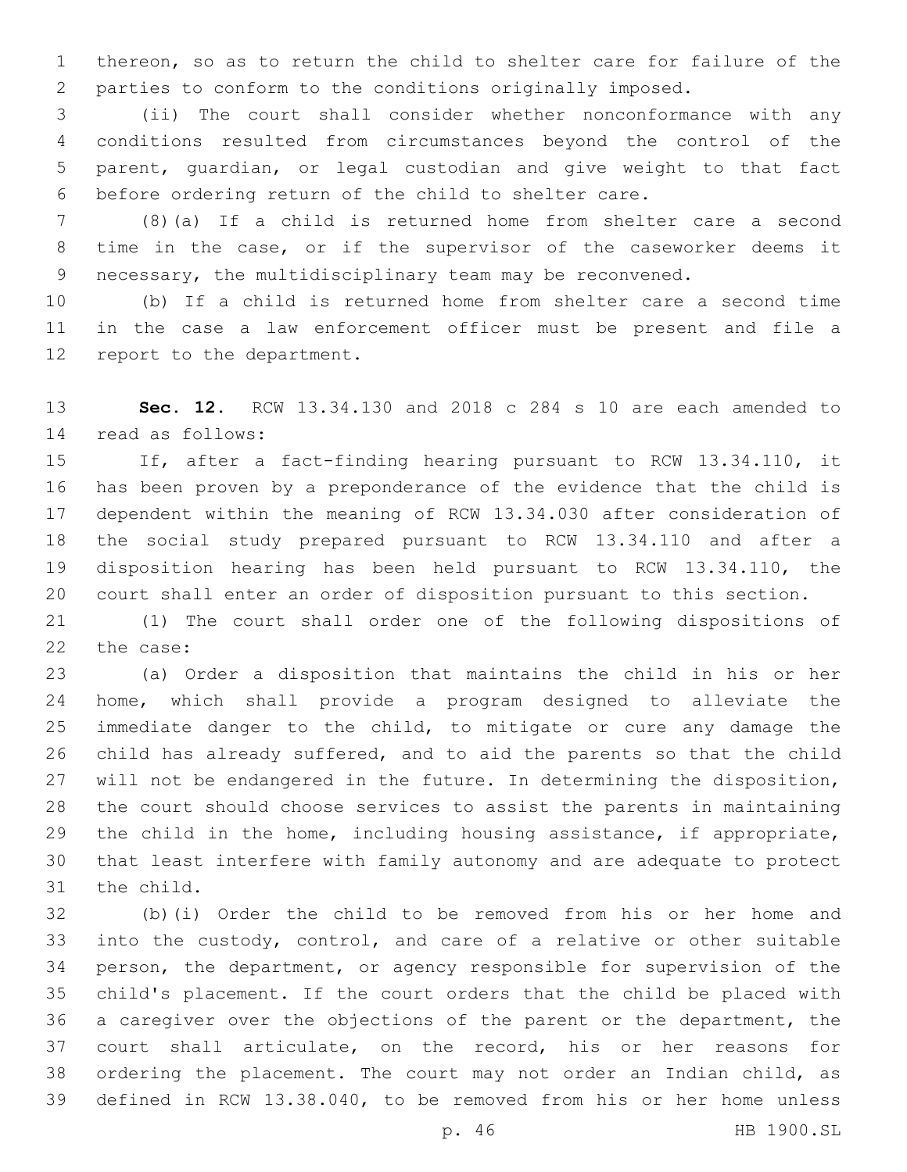thereon, so as to return the child to shelter care for failure of the parties to conform to the conditions originally imposed.

 (ii) The court shall consider whether nonconformance with any conditions resulted from circumstances beyond the control of the parent, guardian, or legal custodian and give weight to that fact before ordering return of the child to shelter care.

 (8)(a) If a child is returned home from shelter care a second time in the case, or if the supervisor of the caseworker deems it necessary, the multidisciplinary team may be reconvened.

 (b) If a child is returned home from shelter care a second time in the case a law enforcement officer must be present and file a 12 report to the department.

 **Sec. 12.** RCW 13.34.130 and 2018 c 284 s 10 are each amended to read as follows:14

 If, after a fact-finding hearing pursuant to RCW 13.34.110, it has been proven by a preponderance of the evidence that the child is dependent within the meaning of RCW 13.34.030 after consideration of the social study prepared pursuant to RCW 13.34.110 and after a disposition hearing has been held pursuant to RCW 13.34.110, the court shall enter an order of disposition pursuant to this section.

 (1) The court shall order one of the following dispositions of 22 the case:

 (a) Order a disposition that maintains the child in his or her home, which shall provide a program designed to alleviate the immediate danger to the child, to mitigate or cure any damage the child has already suffered, and to aid the parents so that the child 27 will not be endangered in the future. In determining the disposition, the court should choose services to assist the parents in maintaining the child in the home, including housing assistance, if appropriate, that least interfere with family autonomy and are adequate to protect 31 the child.

 (b)(i) Order the child to be removed from his or her home and into the custody, control, and care of a relative or other suitable person, the department, or agency responsible for supervision of the child's placement. If the court orders that the child be placed with a caregiver over the objections of the parent or the department, the court shall articulate, on the record, his or her reasons for ordering the placement. The court may not order an Indian child, as defined in RCW 13.38.040, to be removed from his or her home unless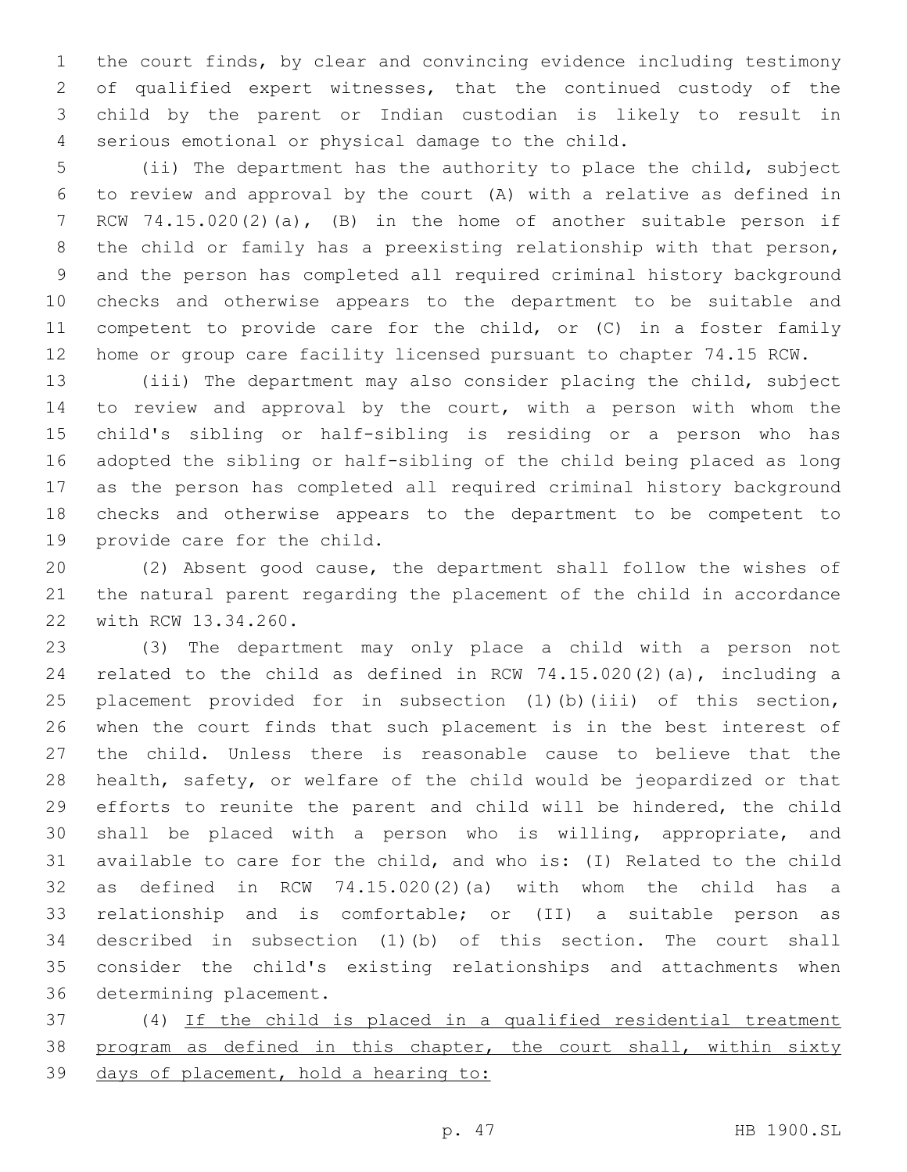the court finds, by clear and convincing evidence including testimony of qualified expert witnesses, that the continued custody of the child by the parent or Indian custodian is likely to result in serious emotional or physical damage to the child.4

 (ii) The department has the authority to place the child, subject to review and approval by the court (A) with a relative as defined in RCW 74.15.020(2)(a), (B) in the home of another suitable person if the child or family has a preexisting relationship with that person, and the person has completed all required criminal history background checks and otherwise appears to the department to be suitable and 11 competent to provide care for the child, or (C) in a foster family home or group care facility licensed pursuant to chapter 74.15 RCW.

 (iii) The department may also consider placing the child, subject to review and approval by the court, with a person with whom the child's sibling or half-sibling is residing or a person who has adopted the sibling or half-sibling of the child being placed as long as the person has completed all required criminal history background checks and otherwise appears to the department to be competent to 19 provide care for the child.

 (2) Absent good cause, the department shall follow the wishes of the natural parent regarding the placement of the child in accordance 22 with RCW 13.34.260.

 (3) The department may only place a child with a person not related to the child as defined in RCW 74.15.020(2)(a), including a placement provided for in subsection (1)(b)(iii) of this section, when the court finds that such placement is in the best interest of the child. Unless there is reasonable cause to believe that the health, safety, or welfare of the child would be jeopardized or that efforts to reunite the parent and child will be hindered, the child shall be placed with a person who is willing, appropriate, and available to care for the child, and who is: (I) Related to the child as defined in RCW 74.15.020(2)(a) with whom the child has a relationship and is comfortable; or (II) a suitable person as described in subsection (1)(b) of this section. The court shall consider the child's existing relationships and attachments when 36 determining placement.

 (4) If the child is placed in a qualified residential treatment 38 program as defined in this chapter, the court shall, within sixty days of placement, hold a hearing to: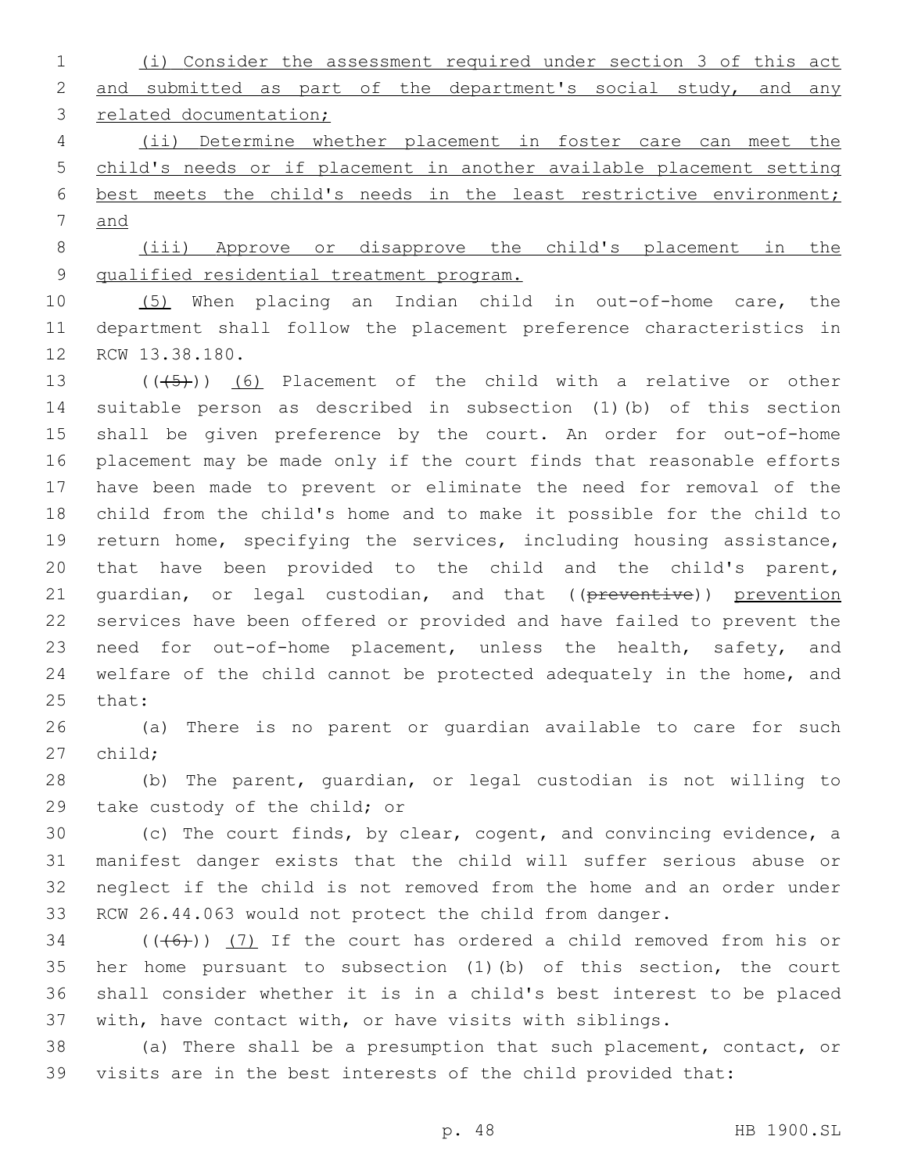(i) Consider the assessment required under section 3 of this act 2 and submitted as part of the department's social study, and any 3 related documentation;

 (ii) Determine whether placement in foster care can meet the child's needs or if placement in another available placement setting best meets the child's needs in the least restrictive environment; and

 (iii) Approve or disapprove the child's placement in the qualified residential treatment program.

 (5) When placing an Indian child in out-of-home care, the department shall follow the placement preference characteristics in 12 RCW 13.38.180.

 $((+5+))$  (6) Placement of the child with a relative or other suitable person as described in subsection (1)(b) of this section shall be given preference by the court. An order for out-of-home placement may be made only if the court finds that reasonable efforts have been made to prevent or eliminate the need for removal of the child from the child's home and to make it possible for the child to return home, specifying the services, including housing assistance, that have been provided to the child and the child's parent, 21 guardian, or legal custodian, and that ((preventive)) prevention services have been offered or provided and have failed to prevent the 23 need for out-of-home placement, unless the health, safety, and welfare of the child cannot be protected adequately in the home, and 25 that:

 (a) There is no parent or guardian available to care for such 27 child:

 (b) The parent, guardian, or legal custodian is not willing to 29 take custody of the child; or

 (c) The court finds, by clear, cogent, and convincing evidence, a manifest danger exists that the child will suffer serious abuse or neglect if the child is not removed from the home and an order under RCW 26.44.063 would not protect the child from danger.

 (( $(46)$ )) (7) If the court has ordered a child removed from his or her home pursuant to subsection (1)(b) of this section, the court shall consider whether it is in a child's best interest to be placed with, have contact with, or have visits with siblings.

 (a) There shall be a presumption that such placement, contact, or visits are in the best interests of the child provided that: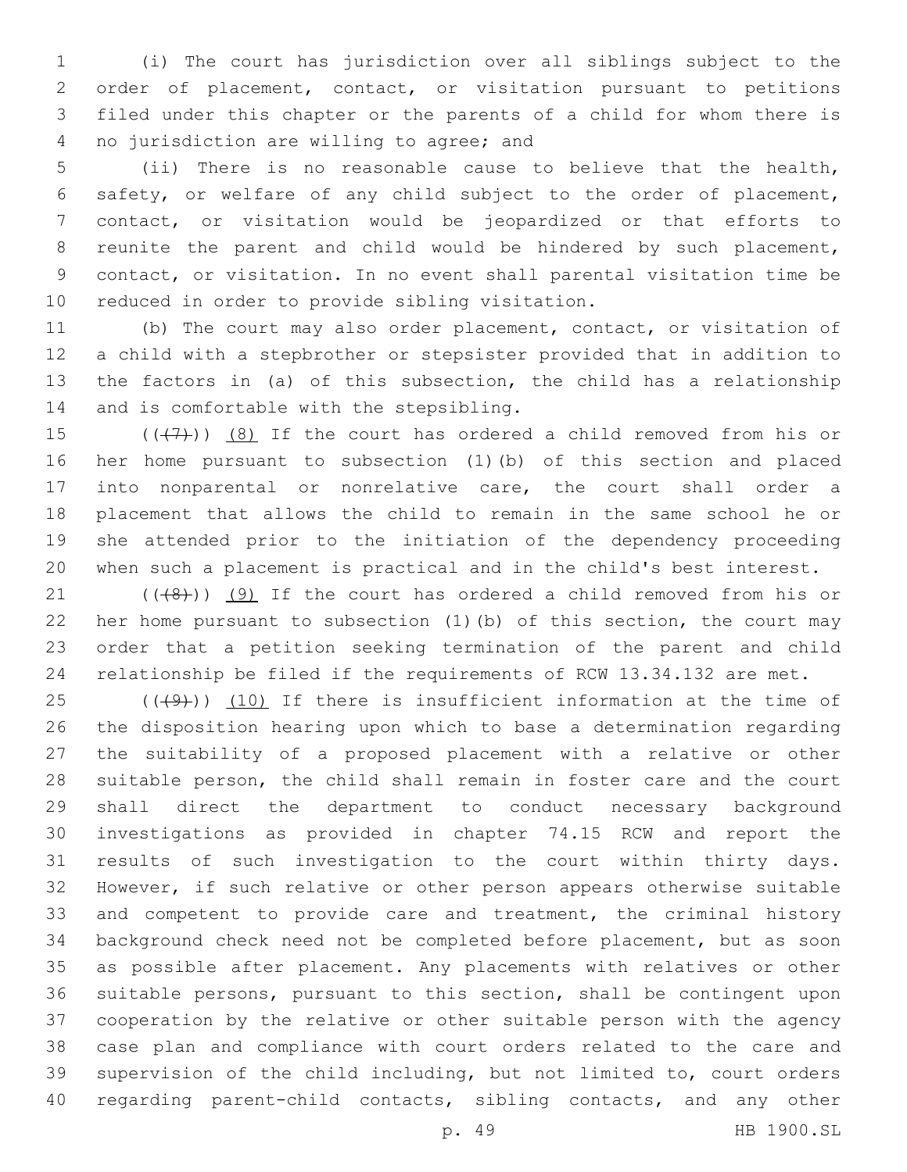(i) The court has jurisdiction over all siblings subject to the order of placement, contact, or visitation pursuant to petitions filed under this chapter or the parents of a child for whom there is 4 no jurisdiction are willing to agree; and

 (ii) There is no reasonable cause to believe that the health, safety, or welfare of any child subject to the order of placement, contact, or visitation would be jeopardized or that efforts to reunite the parent and child would be hindered by such placement, contact, or visitation. In no event shall parental visitation time be 10 reduced in order to provide sibling visitation.

 (b) The court may also order placement, contact, or visitation of a child with a stepbrother or stepsister provided that in addition to the factors in (a) of this subsection, the child has a relationship 14 and is comfortable with the stepsibling.

 $((+7+))$   $(8)$  If the court has ordered a child removed from his or her home pursuant to subsection (1)(b) of this section and placed into nonparental or nonrelative care, the court shall order a placement that allows the child to remain in the same school he or she attended prior to the initiation of the dependency proceeding when such a placement is practical and in the child's best interest.

 $(1)$  ( $(48)$ ))  $(9)$  If the court has ordered a child removed from his or her home pursuant to subsection (1)(b) of this section, the court may order that a petition seeking termination of the parent and child relationship be filed if the requirements of RCW 13.34.132 are met.

 $(1)(49)$ ) (10) If there is insufficient information at the time of the disposition hearing upon which to base a determination regarding the suitability of a proposed placement with a relative or other suitable person, the child shall remain in foster care and the court shall direct the department to conduct necessary background investigations as provided in chapter 74.15 RCW and report the results of such investigation to the court within thirty days. However, if such relative or other person appears otherwise suitable 33 and competent to provide care and treatment, the criminal history background check need not be completed before placement, but as soon as possible after placement. Any placements with relatives or other suitable persons, pursuant to this section, shall be contingent upon cooperation by the relative or other suitable person with the agency case plan and compliance with court orders related to the care and supervision of the child including, but not limited to, court orders regarding parent-child contacts, sibling contacts, and any other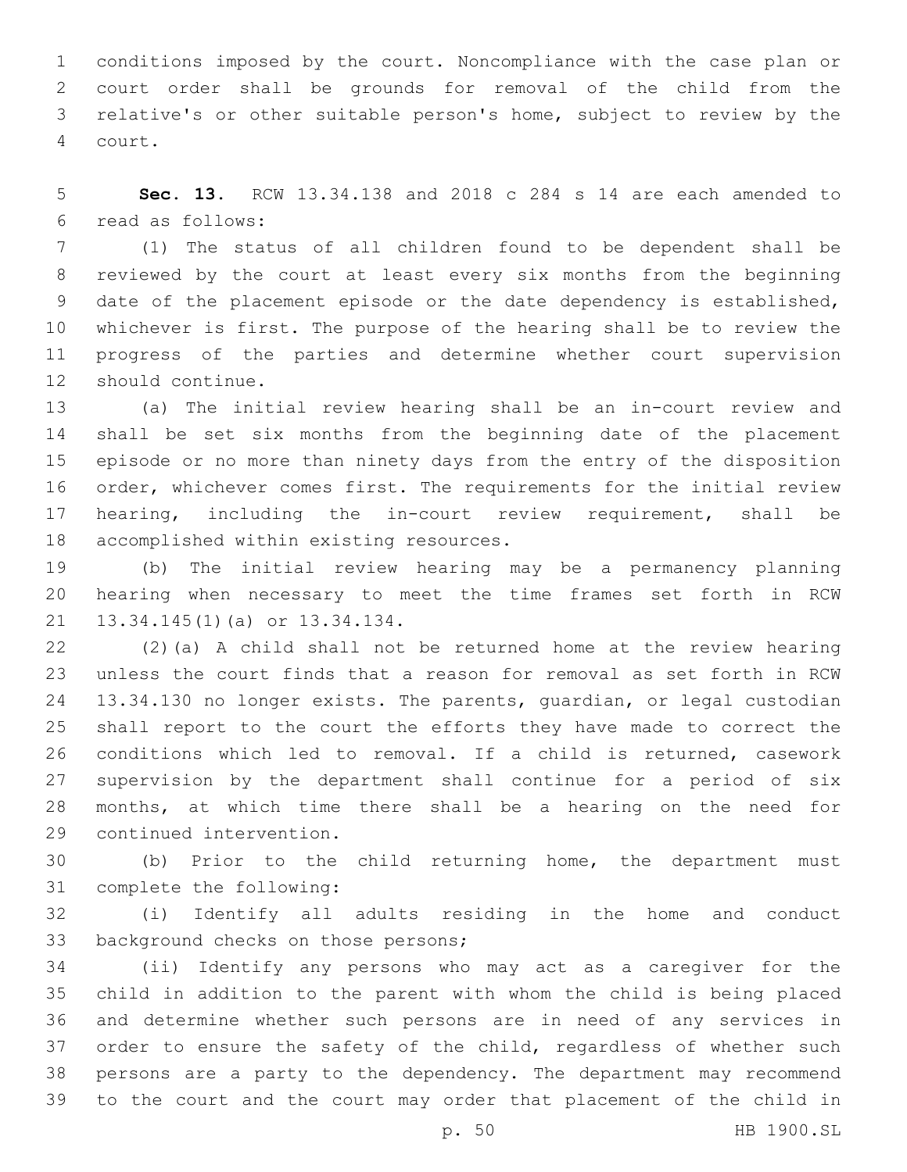conditions imposed by the court. Noncompliance with the case plan or court order shall be grounds for removal of the child from the relative's or other suitable person's home, subject to review by the 4 court.

 **Sec. 13.** RCW 13.34.138 and 2018 c 284 s 14 are each amended to read as follows:6

 (1) The status of all children found to be dependent shall be reviewed by the court at least every six months from the beginning date of the placement episode or the date dependency is established, whichever is first. The purpose of the hearing shall be to review the progress of the parties and determine whether court supervision 12 should continue.

 (a) The initial review hearing shall be an in-court review and shall be set six months from the beginning date of the placement episode or no more than ninety days from the entry of the disposition order, whichever comes first. The requirements for the initial review hearing, including the in-court review requirement, shall be 18 accomplished within existing resources.

 (b) The initial review hearing may be a permanency planning hearing when necessary to meet the time frames set forth in RCW 21 13.34.145(1)(a) or 13.34.134.

 (2)(a) A child shall not be returned home at the review hearing unless the court finds that a reason for removal as set forth in RCW 13.34.130 no longer exists. The parents, guardian, or legal custodian shall report to the court the efforts they have made to correct the conditions which led to removal. If a child is returned, casework supervision by the department shall continue for a period of six months, at which time there shall be a hearing on the need for 29 continued intervention.

 (b) Prior to the child returning home, the department must 31 complete the following:

 (i) Identify all adults residing in the home and conduct 33 background checks on those persons;

 (ii) Identify any persons who may act as a caregiver for the child in addition to the parent with whom the child is being placed and determine whether such persons are in need of any services in 37 order to ensure the safety of the child, regardless of whether such persons are a party to the dependency. The department may recommend to the court and the court may order that placement of the child in

p. 50 HB 1900.SL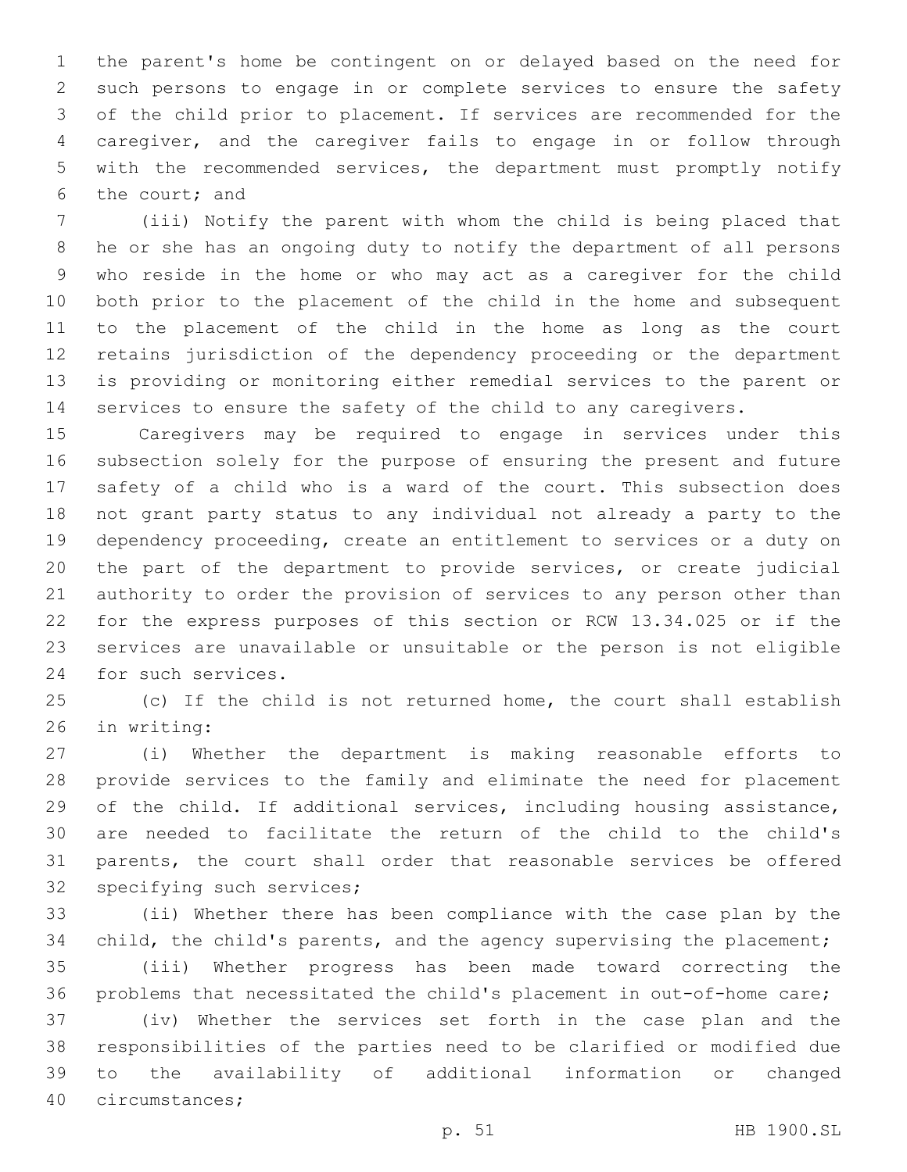the parent's home be contingent on or delayed based on the need for such persons to engage in or complete services to ensure the safety of the child prior to placement. If services are recommended for the caregiver, and the caregiver fails to engage in or follow through with the recommended services, the department must promptly notify 6 the court; and

 (iii) Notify the parent with whom the child is being placed that he or she has an ongoing duty to notify the department of all persons who reside in the home or who may act as a caregiver for the child both prior to the placement of the child in the home and subsequent to the placement of the child in the home as long as the court retains jurisdiction of the dependency proceeding or the department is providing or monitoring either remedial services to the parent or services to ensure the safety of the child to any caregivers.

 Caregivers may be required to engage in services under this subsection solely for the purpose of ensuring the present and future safety of a child who is a ward of the court. This subsection does not grant party status to any individual not already a party to the dependency proceeding, create an entitlement to services or a duty on the part of the department to provide services, or create judicial authority to order the provision of services to any person other than for the express purposes of this section or RCW 13.34.025 or if the services are unavailable or unsuitable or the person is not eligible 24 for such services.

 (c) If the child is not returned home, the court shall establish 26 in writing:

 (i) Whether the department is making reasonable efforts to provide services to the family and eliminate the need for placement of the child. If additional services, including housing assistance, are needed to facilitate the return of the child to the child's parents, the court shall order that reasonable services be offered 32 specifying such services;

 (ii) Whether there has been compliance with the case plan by the child, the child's parents, and the agency supervising the placement; (iii) Whether progress has been made toward correcting the problems that necessitated the child's placement in out-of-home care; (iv) Whether the services set forth in the case plan and the responsibilities of the parties need to be clarified or modified due to the availability of additional information or changed 40 circumstances;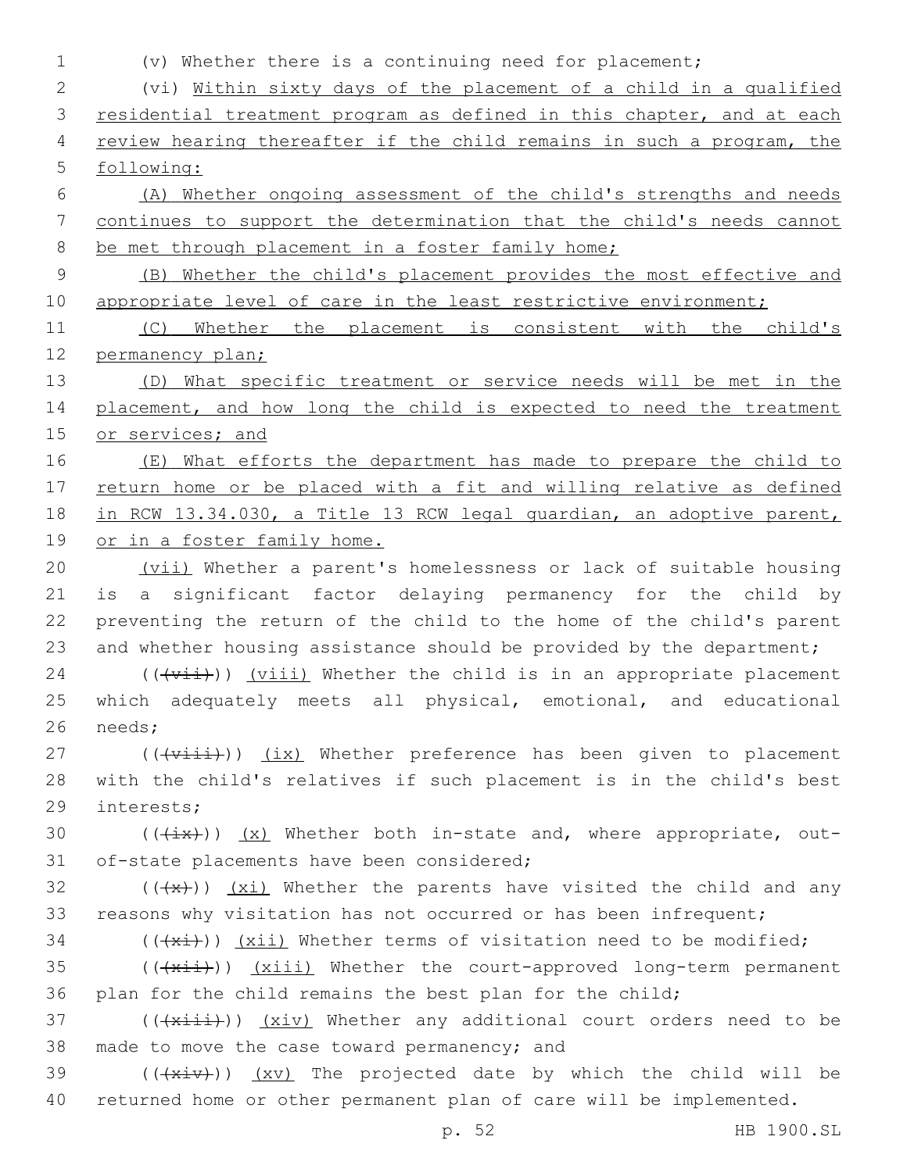| $\mathbf{1}$ | (v) Whether there is a continuing need for placement;                             |  |  |  |  |  |  |  |
|--------------|-----------------------------------------------------------------------------------|--|--|--|--|--|--|--|
| $\mathbf{2}$ | (vi) Within sixty days of the placement of a child in a qualified                 |  |  |  |  |  |  |  |
| 3            | residential treatment program as defined in this chapter, and at each             |  |  |  |  |  |  |  |
| 4            | review hearing thereafter if the child remains in such a program, the             |  |  |  |  |  |  |  |
| 5            | following:                                                                        |  |  |  |  |  |  |  |
| 6            | (A) Whether ongoing assessment of the child's strengths and needs                 |  |  |  |  |  |  |  |
| 7            | continues to support the determination that the child's needs cannot              |  |  |  |  |  |  |  |
| 8            | be met through placement in a foster family home;                                 |  |  |  |  |  |  |  |
| $\mathsf 9$  | (B) Whether the child's placement provides the most effective and                 |  |  |  |  |  |  |  |
| 10           | appropriate level of care in the least restrictive environment;                   |  |  |  |  |  |  |  |
| 11           | Whether the placement is consistent with the child's<br>(C)                       |  |  |  |  |  |  |  |
| 12           | permanency plan;                                                                  |  |  |  |  |  |  |  |
| 13           | What specific treatment or service needs will be met in the<br>(D)                |  |  |  |  |  |  |  |
| 14           | placement, and how long the child is expected to need the treatment               |  |  |  |  |  |  |  |
| 15           | or services; and                                                                  |  |  |  |  |  |  |  |
| 16           | (E) What efforts the department has made to prepare the child to                  |  |  |  |  |  |  |  |
| 17           | return home or be placed with a fit and willing relative as defined               |  |  |  |  |  |  |  |
| 18           | in RCW 13.34.030, a Title 13 RCW legal quardian, an adoptive parent,              |  |  |  |  |  |  |  |
| 19           | or in a foster family home.                                                       |  |  |  |  |  |  |  |
| 20           | (vii) Whether a parent's homelessness or lack of suitable housing                 |  |  |  |  |  |  |  |
| 21           | a significant factor delaying permanency for the child by<br>is                   |  |  |  |  |  |  |  |
| 22           | preventing the return of the child to the home of the child's parent              |  |  |  |  |  |  |  |
| 23           | and whether housing assistance should be provided by the department;              |  |  |  |  |  |  |  |
| 24           | $((+v\pm\pm))$ (viii) Whether the child is in an appropriate placement            |  |  |  |  |  |  |  |
| 25           | which adequately meets all physical, emotional, and educational                   |  |  |  |  |  |  |  |
| 26           | needs;                                                                            |  |  |  |  |  |  |  |
| 27           | $((\overline{v\pm i\pm i}))$ (ix) Whether preference has been given to placement  |  |  |  |  |  |  |  |
| 28           | with the child's relatives if such placement is in the child's best               |  |  |  |  |  |  |  |
| 29           | interests;                                                                        |  |  |  |  |  |  |  |
| 30           | $((+ix))$ (x) Whether both in-state and, where appropriate, out-                  |  |  |  |  |  |  |  |
| 31           | of-state placements have been considered;                                         |  |  |  |  |  |  |  |
| 32           | $((+x))$ (xi) Whether the parents have visited the child and any                  |  |  |  |  |  |  |  |
| 33           | reasons why visitation has not occurred or has been infrequent;                   |  |  |  |  |  |  |  |
| 34           | $((+x\text{+}))$ (xii) Whether terms of visitation need to be modified;           |  |  |  |  |  |  |  |
| 35           | $((+x\pm i))$ (xiii) Whether the court-approved long-term permanent               |  |  |  |  |  |  |  |
| 36           | plan for the child remains the best plan for the child;                           |  |  |  |  |  |  |  |
| 37           | $((+x\text{init}))$ $(x\text{iv})$ Whether any additional court orders need to be |  |  |  |  |  |  |  |
| 38           | made to move the case toward permanency; and                                      |  |  |  |  |  |  |  |
| 39           | $((+x+y))$ $(xy)$ The projected date by which the child will be                   |  |  |  |  |  |  |  |
| 40           | returned home or other permanent plan of care will be implemented.                |  |  |  |  |  |  |  |
|              | HB 1900.SL<br>p. 52                                                               |  |  |  |  |  |  |  |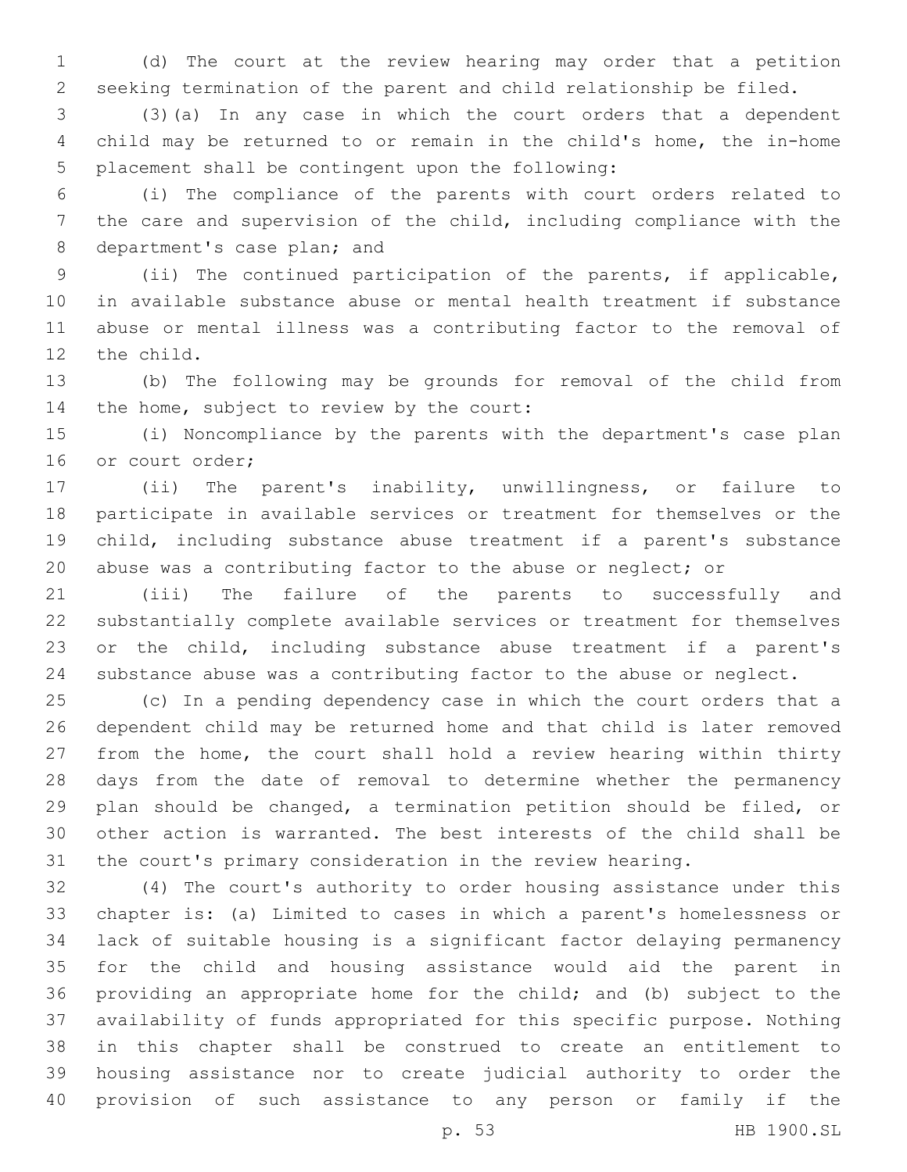(d) The court at the review hearing may order that a petition seeking termination of the parent and child relationship be filed.

 (3)(a) In any case in which the court orders that a dependent child may be returned to or remain in the child's home, the in-home 5 placement shall be contingent upon the following:

 (i) The compliance of the parents with court orders related to the care and supervision of the child, including compliance with the 8 department's case plan; and

 (ii) The continued participation of the parents, if applicable, in available substance abuse or mental health treatment if substance abuse or mental illness was a contributing factor to the removal of 12 the child.

 (b) The following may be grounds for removal of the child from 14 the home, subject to review by the court:

 (i) Noncompliance by the parents with the department's case plan 16 or court order;

 (ii) The parent's inability, unwillingness, or failure to participate in available services or treatment for themselves or the child, including substance abuse treatment if a parent's substance abuse was a contributing factor to the abuse or neglect; or

 (iii) The failure of the parents to successfully and substantially complete available services or treatment for themselves or the child, including substance abuse treatment if a parent's substance abuse was a contributing factor to the abuse or neglect.

 (c) In a pending dependency case in which the court orders that a dependent child may be returned home and that child is later removed from the home, the court shall hold a review hearing within thirty days from the date of removal to determine whether the permanency plan should be changed, a termination petition should be filed, or other action is warranted. The best interests of the child shall be the court's primary consideration in the review hearing.

 (4) The court's authority to order housing assistance under this chapter is: (a) Limited to cases in which a parent's homelessness or lack of suitable housing is a significant factor delaying permanency for the child and housing assistance would aid the parent in providing an appropriate home for the child; and (b) subject to the availability of funds appropriated for this specific purpose. Nothing in this chapter shall be construed to create an entitlement to housing assistance nor to create judicial authority to order the provision of such assistance to any person or family if the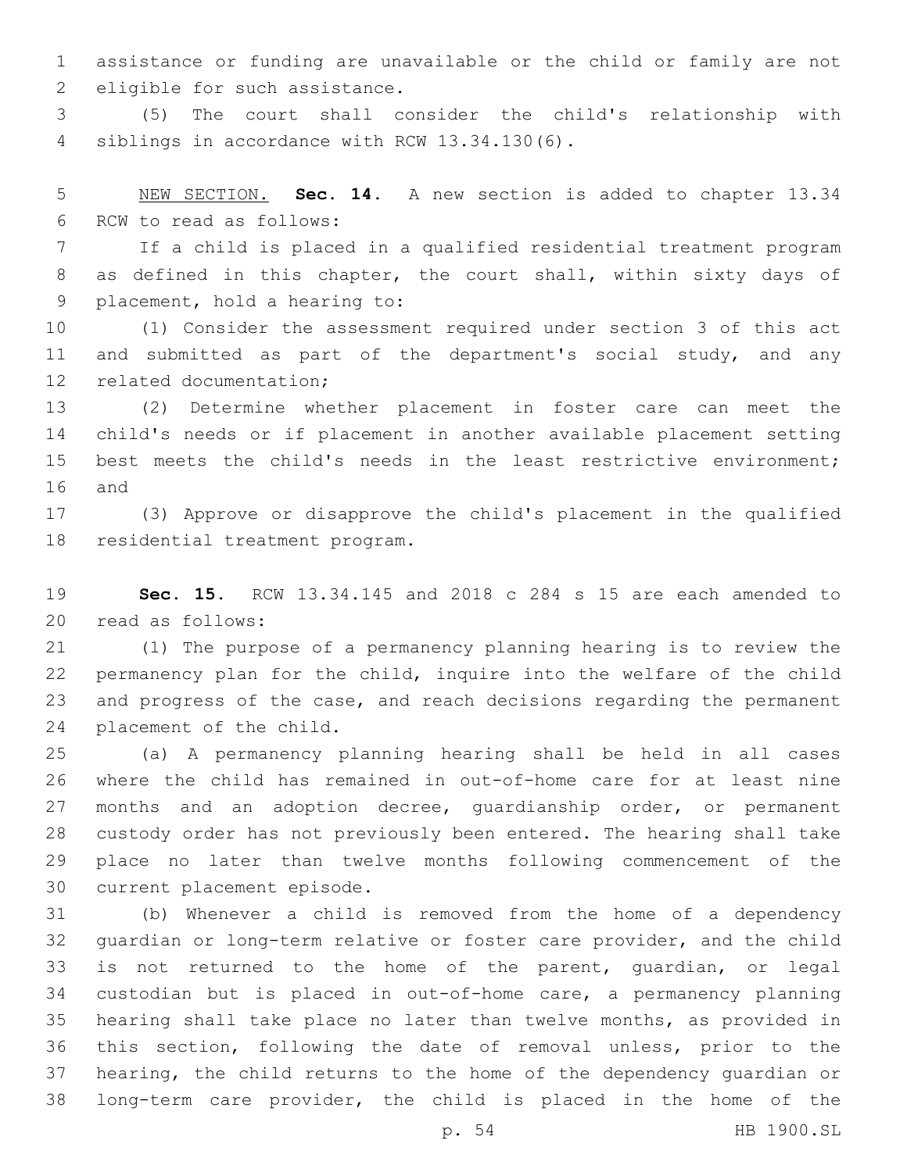assistance or funding are unavailable or the child or family are not 2 eligible for such assistance.

 (5) The court shall consider the child's relationship with 4 siblings in accordance with RCW 13.34.130(6).

 NEW SECTION. **Sec. 14.** A new section is added to chapter 13.34 6 RCW to read as follows:

 If a child is placed in a qualified residential treatment program as defined in this chapter, the court shall, within sixty days of 9 placement, hold a hearing to:

 (1) Consider the assessment required under section 3 of this act 11 and submitted as part of the department's social study, and any 12 related documentation;

 (2) Determine whether placement in foster care can meet the child's needs or if placement in another available placement setting best meets the child's needs in the least restrictive environment; 16 and

 (3) Approve or disapprove the child's placement in the qualified 18 residential treatment program.

 **Sec. 15.** RCW 13.34.145 and 2018 c 284 s 15 are each amended to read as follows:20

 (1) The purpose of a permanency planning hearing is to review the permanency plan for the child, inquire into the welfare of the child and progress of the case, and reach decisions regarding the permanent 24 placement of the child.

 (a) A permanency planning hearing shall be held in all cases where the child has remained in out-of-home care for at least nine months and an adoption decree, guardianship order, or permanent custody order has not previously been entered. The hearing shall take place no later than twelve months following commencement of the 30 current placement episode.

 (b) Whenever a child is removed from the home of a dependency guardian or long-term relative or foster care provider, and the child is not returned to the home of the parent, guardian, or legal custodian but is placed in out-of-home care, a permanency planning hearing shall take place no later than twelve months, as provided in this section, following the date of removal unless, prior to the hearing, the child returns to the home of the dependency guardian or long-term care provider, the child is placed in the home of the

p. 54 HB 1900.SL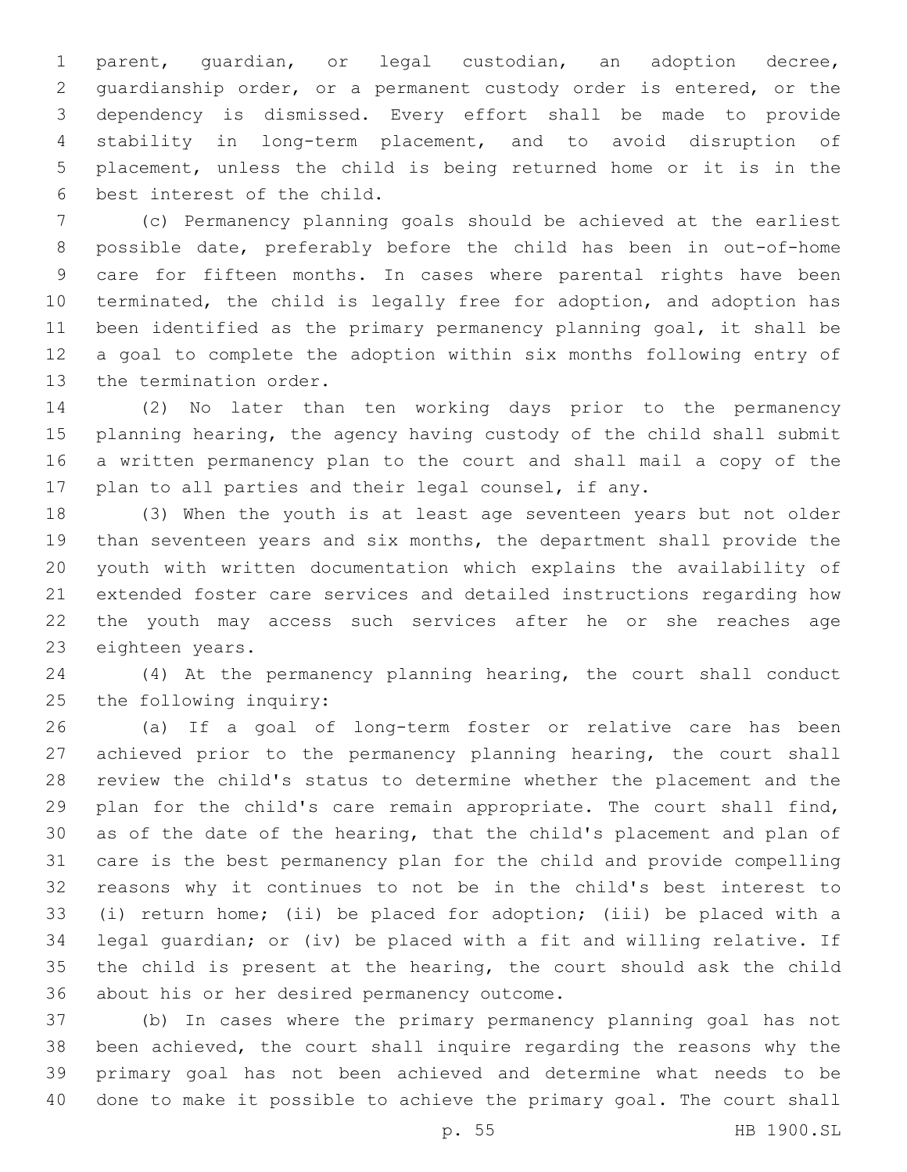parent, guardian, or legal custodian, an adoption decree, guardianship order, or a permanent custody order is entered, or the dependency is dismissed. Every effort shall be made to provide stability in long-term placement, and to avoid disruption of placement, unless the child is being returned home or it is in the 6 best interest of the child.

 (c) Permanency planning goals should be achieved at the earliest possible date, preferably before the child has been in out-of-home care for fifteen months. In cases where parental rights have been terminated, the child is legally free for adoption, and adoption has been identified as the primary permanency planning goal, it shall be a goal to complete the adoption within six months following entry of 13 the termination order.

 (2) No later than ten working days prior to the permanency planning hearing, the agency having custody of the child shall submit a written permanency plan to the court and shall mail a copy of the plan to all parties and their legal counsel, if any.

 (3) When the youth is at least age seventeen years but not older than seventeen years and six months, the department shall provide the youth with written documentation which explains the availability of extended foster care services and detailed instructions regarding how the youth may access such services after he or she reaches age 23 eighteen years.

 (4) At the permanency planning hearing, the court shall conduct 25 the following inquiry:

 (a) If a goal of long-term foster or relative care has been achieved prior to the permanency planning hearing, the court shall review the child's status to determine whether the placement and the plan for the child's care remain appropriate. The court shall find, as of the date of the hearing, that the child's placement and plan of care is the best permanency plan for the child and provide compelling reasons why it continues to not be in the child's best interest to (i) return home; (ii) be placed for adoption; (iii) be placed with a legal guardian; or (iv) be placed with a fit and willing relative. If the child is present at the hearing, the court should ask the child 36 about his or her desired permanency outcome.

 (b) In cases where the primary permanency planning goal has not been achieved, the court shall inquire regarding the reasons why the primary goal has not been achieved and determine what needs to be done to make it possible to achieve the primary goal. The court shall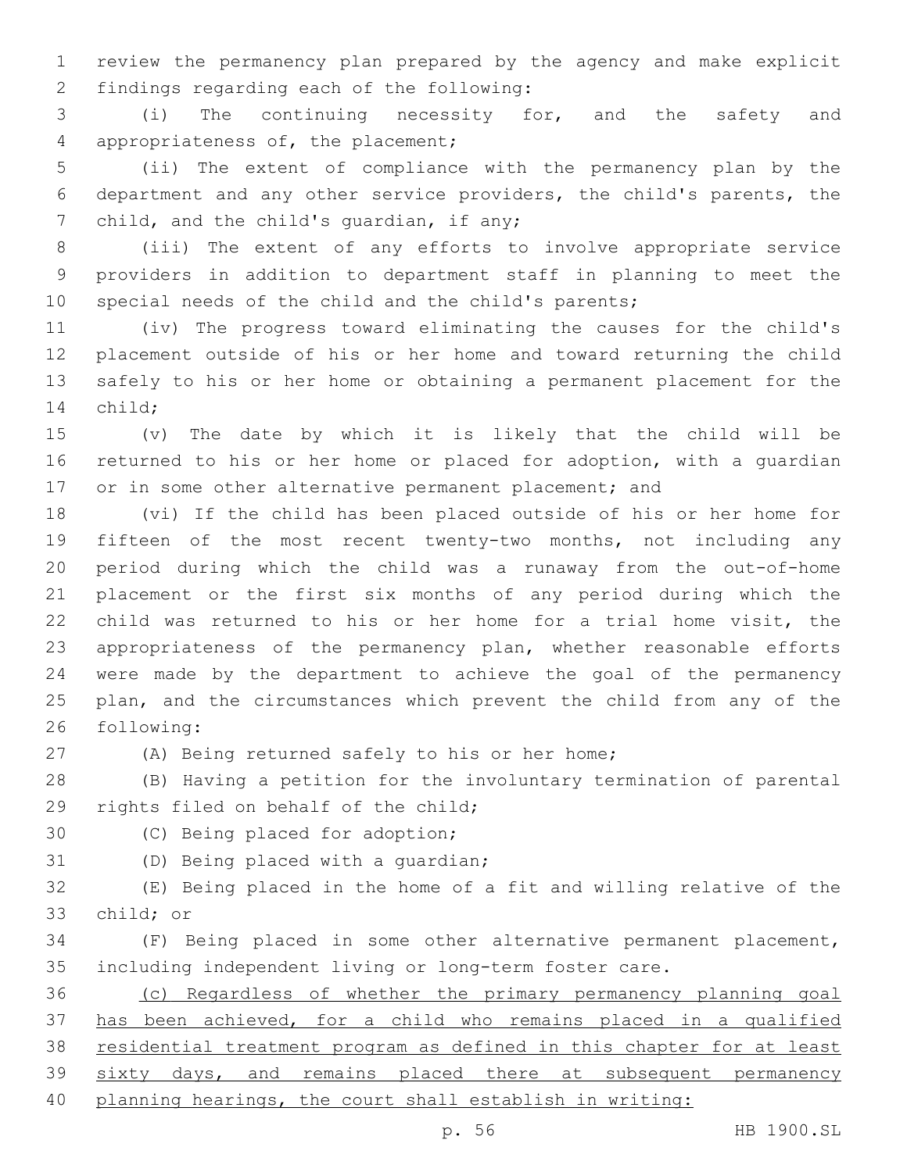review the permanency plan prepared by the agency and make explicit 2 findings regarding each of the following:

 (i) The continuing necessity for, and the safety and 4 appropriateness of, the placement;

 (ii) The extent of compliance with the permanency plan by the department and any other service providers, the child's parents, the 7 child, and the child's quardian, if any;

 (iii) The extent of any efforts to involve appropriate service providers in addition to department staff in planning to meet the special needs of the child and the child's parents;

 (iv) The progress toward eliminating the causes for the child's placement outside of his or her home and toward returning the child safely to his or her home or obtaining a permanent placement for the 14 child;

 (v) The date by which it is likely that the child will be returned to his or her home or placed for adoption, with a guardian 17 or in some other alternative permanent placement; and

 (vi) If the child has been placed outside of his or her home for fifteen of the most recent twenty-two months, not including any period during which the child was a runaway from the out-of-home placement or the first six months of any period during which the child was returned to his or her home for a trial home visit, the appropriateness of the permanency plan, whether reasonable efforts were made by the department to achieve the goal of the permanency plan, and the circumstances which prevent the child from any of the 26 following:

27 (A) Being returned safely to his or her home;

 (B) Having a petition for the involuntary termination of parental 29 rights filed on behalf of the child;

- 30 (C) Being placed for adoption;
- 

31 (D) Being placed with a quardian;

 (E) Being placed in the home of a fit and willing relative of the 33 child; or

 (F) Being placed in some other alternative permanent placement, including independent living or long-term foster care.

 (c) Regardless of whether the primary permanency planning goal has been achieved, for a child who remains placed in a qualified residential treatment program as defined in this chapter for at least 39 sixty days, and remains placed there at subsequent permanency planning hearings, the court shall establish in writing: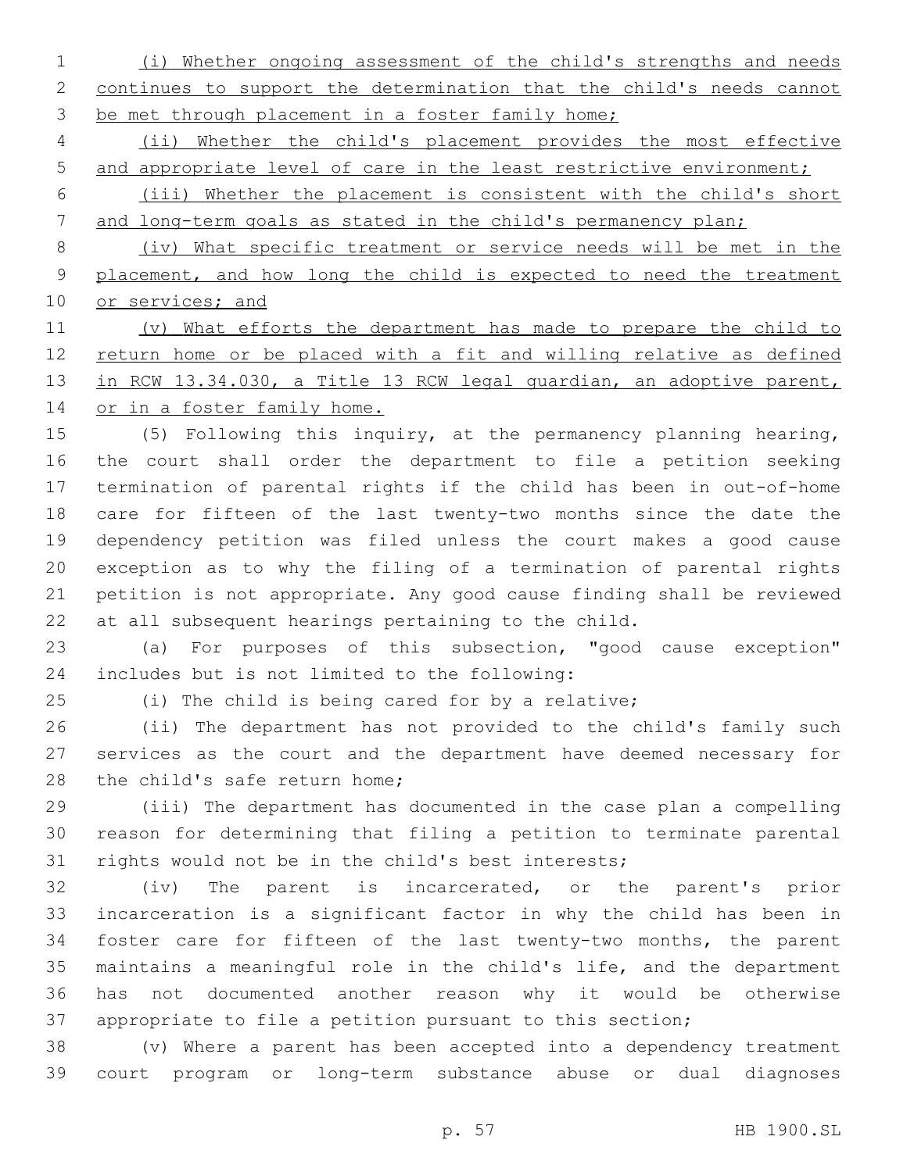(i) Whether ongoing assessment of the child's strengths and needs continues to support the determination that the child's needs cannot 3 be met through placement in a foster family home;

 (ii) Whether the child's placement provides the most effective 5 and appropriate level of care in the least restrictive environment;

 (iii) Whether the placement is consistent with the child's short 7 and long-term goals as stated in the child's permanency plan;

 (iv) What specific treatment or service needs will be met in the 9 placement, and how long the child is expected to need the treatment 10 or services; and

 (v) What efforts the department has made to prepare the child to 12 return home or be placed with a fit and willing relative as defined in RCW 13.34.030, a Title 13 RCW legal guardian, an adoptive parent, 14 or in a foster family home.

 (5) Following this inquiry, at the permanency planning hearing, the court shall order the department to file a petition seeking termination of parental rights if the child has been in out-of-home care for fifteen of the last twenty-two months since the date the dependency petition was filed unless the court makes a good cause exception as to why the filing of a termination of parental rights petition is not appropriate. Any good cause finding shall be reviewed at all subsequent hearings pertaining to the child.

 (a) For purposes of this subsection, "good cause exception" includes but is not limited to the following:24

(i) The child is being cared for by a relative;

 (ii) The department has not provided to the child's family such services as the court and the department have deemed necessary for 28 the child's safe return home;

 (iii) The department has documented in the case plan a compelling reason for determining that filing a petition to terminate parental rights would not be in the child's best interests;

 (iv) The parent is incarcerated, or the parent's prior incarceration is a significant factor in why the child has been in foster care for fifteen of the last twenty-two months, the parent maintains a meaningful role in the child's life, and the department has not documented another reason why it would be otherwise appropriate to file a petition pursuant to this section;

 (v) Where a parent has been accepted into a dependency treatment court program or long-term substance abuse or dual diagnoses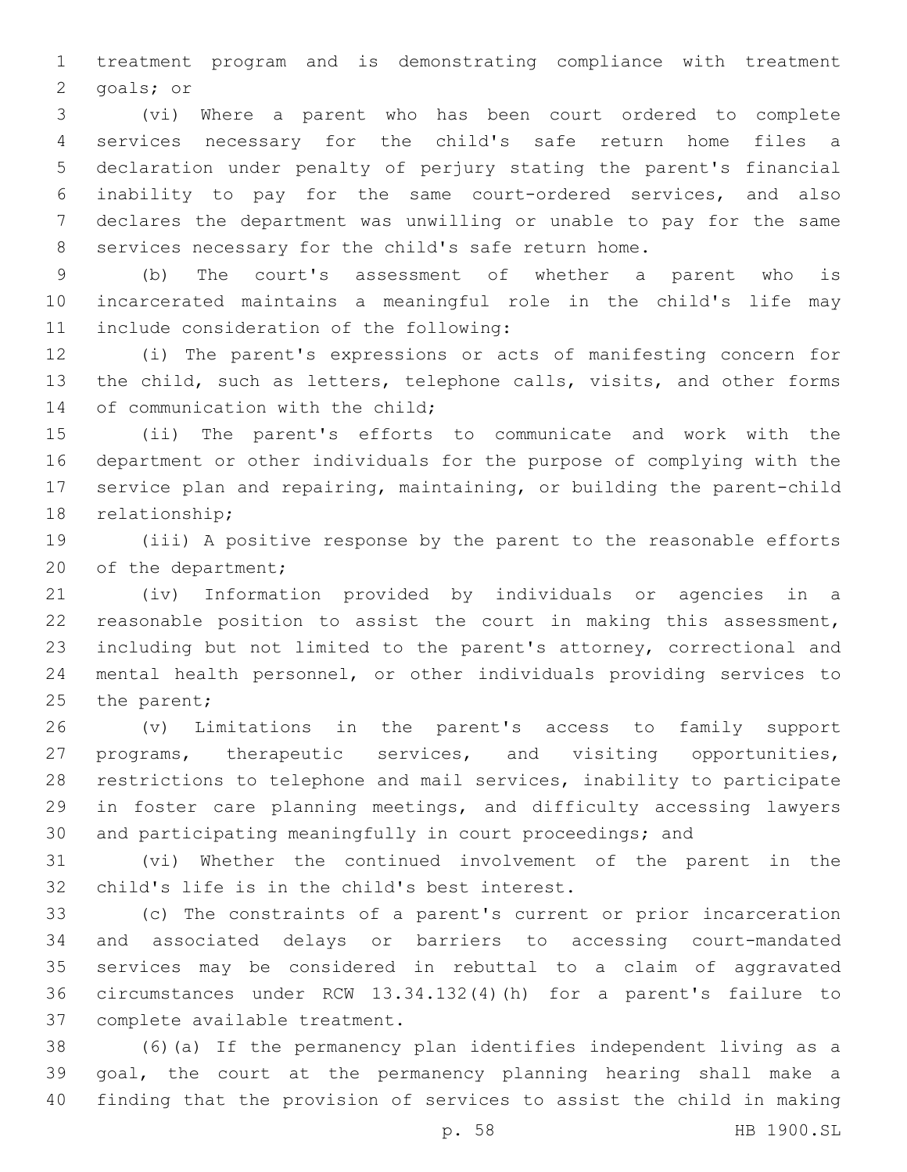treatment program and is demonstrating compliance with treatment 2 goals; or

 (vi) Where a parent who has been court ordered to complete services necessary for the child's safe return home files a declaration under penalty of perjury stating the parent's financial inability to pay for the same court-ordered services, and also declares the department was unwilling or unable to pay for the same services necessary for the child's safe return home.

 (b) The court's assessment of whether a parent who is incarcerated maintains a meaningful role in the child's life may 11 include consideration of the following:

 (i) The parent's expressions or acts of manifesting concern for 13 the child, such as letters, telephone calls, visits, and other forms 14 of communication with the child;

 (ii) The parent's efforts to communicate and work with the department or other individuals for the purpose of complying with the service plan and repairing, maintaining, or building the parent-child 18 relationship;

 (iii) A positive response by the parent to the reasonable efforts 20 of the department;

 (iv) Information provided by individuals or agencies in a reasonable position to assist the court in making this assessment, including but not limited to the parent's attorney, correctional and mental health personnel, or other individuals providing services to 25 the parent;

 (v) Limitations in the parent's access to family support programs, therapeutic services, and visiting opportunities, restrictions to telephone and mail services, inability to participate in foster care planning meetings, and difficulty accessing lawyers and participating meaningfully in court proceedings; and

 (vi) Whether the continued involvement of the parent in the 32 child's life is in the child's best interest.

 (c) The constraints of a parent's current or prior incarceration and associated delays or barriers to accessing court-mandated services may be considered in rebuttal to a claim of aggravated circumstances under RCW 13.34.132(4)(h) for a parent's failure to 37 complete available treatment.

 (6)(a) If the permanency plan identifies independent living as a goal, the court at the permanency planning hearing shall make a finding that the provision of services to assist the child in making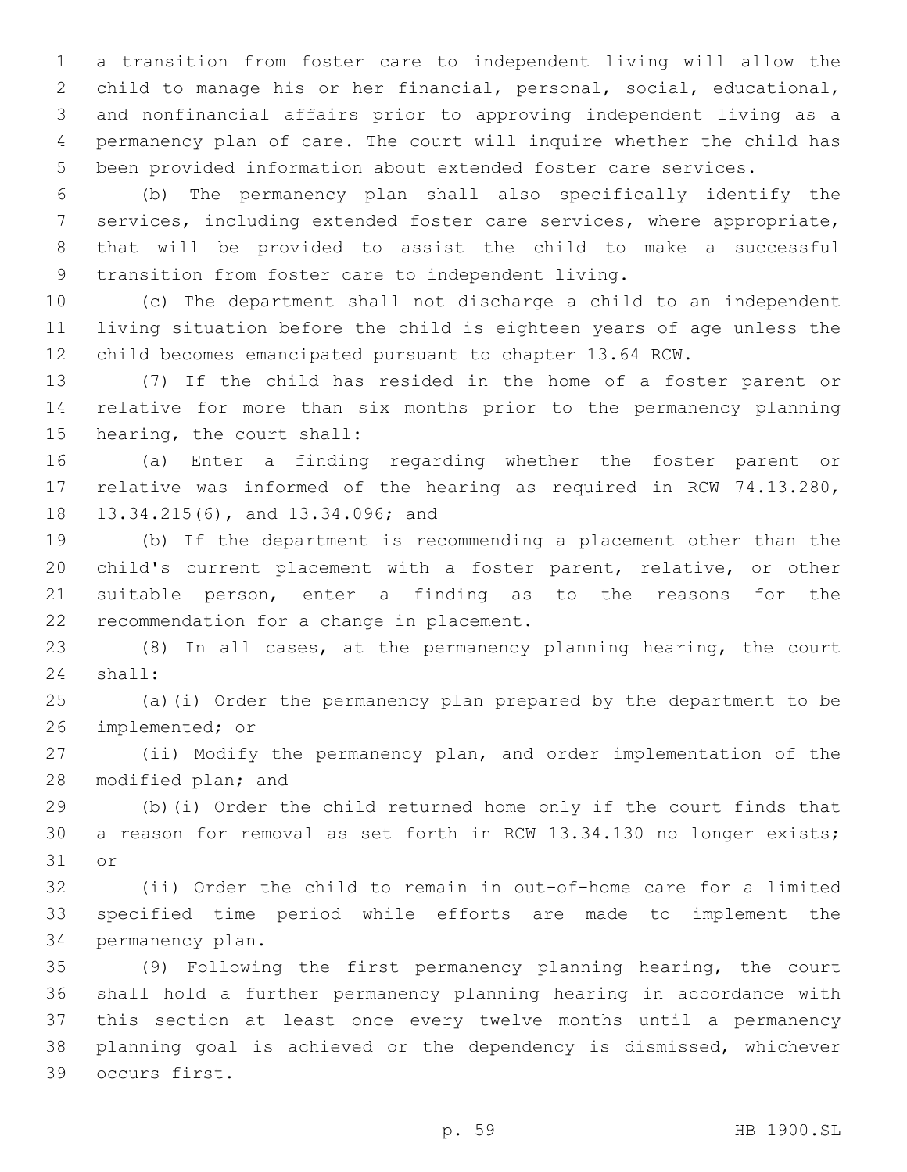a transition from foster care to independent living will allow the child to manage his or her financial, personal, social, educational, and nonfinancial affairs prior to approving independent living as a permanency plan of care. The court will inquire whether the child has been provided information about extended foster care services.

 (b) The permanency plan shall also specifically identify the services, including extended foster care services, where appropriate, that will be provided to assist the child to make a successful 9 transition from foster care to independent living.

 (c) The department shall not discharge a child to an independent living situation before the child is eighteen years of age unless the child becomes emancipated pursuant to chapter 13.64 RCW.

 (7) If the child has resided in the home of a foster parent or relative for more than six months prior to the permanency planning 15 hearing, the court shall:

 (a) Enter a finding regarding whether the foster parent or relative was informed of the hearing as required in RCW 74.13.280, 18 13.34.215(6), and 13.34.096; and

 (b) If the department is recommending a placement other than the child's current placement with a foster parent, relative, or other suitable person, enter a finding as to the reasons for the 22 recommendation for a change in placement.

 (8) In all cases, at the permanency planning hearing, the court 24 shall:

 (a)(i) Order the permanency plan prepared by the department to be 26 implemented; or

 (ii) Modify the permanency plan, and order implementation of the 28 modified plan; and

 (b)(i) Order the child returned home only if the court finds that a reason for removal as set forth in RCW 13.34.130 no longer exists; 31 or

 (ii) Order the child to remain in out-of-home care for a limited specified time period while efforts are made to implement the 34 permanency plan.

 (9) Following the first permanency planning hearing, the court shall hold a further permanency planning hearing in accordance with this section at least once every twelve months until a permanency planning goal is achieved or the dependency is dismissed, whichever 39 occurs first.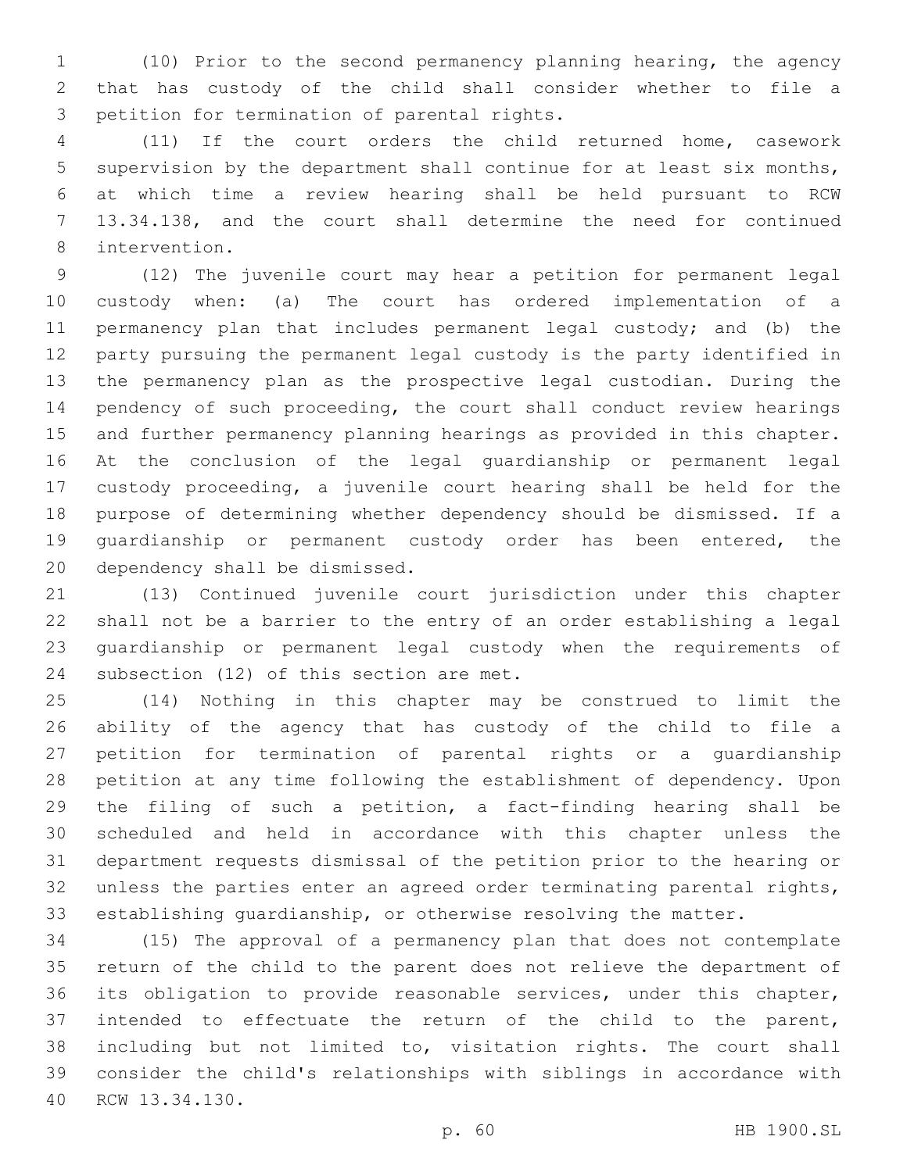(10) Prior to the second permanency planning hearing, the agency that has custody of the child shall consider whether to file a 3 petition for termination of parental rights.

 (11) If the court orders the child returned home, casework supervision by the department shall continue for at least six months, at which time a review hearing shall be held pursuant to RCW 13.34.138, and the court shall determine the need for continued 8 intervention.

 (12) The juvenile court may hear a petition for permanent legal custody when: (a) The court has ordered implementation of a permanency plan that includes permanent legal custody; and (b) the party pursuing the permanent legal custody is the party identified in the permanency plan as the prospective legal custodian. During the pendency of such proceeding, the court shall conduct review hearings and further permanency planning hearings as provided in this chapter. At the conclusion of the legal guardianship or permanent legal custody proceeding, a juvenile court hearing shall be held for the purpose of determining whether dependency should be dismissed. If a guardianship or permanent custody order has been entered, the 20 dependency shall be dismissed.

 (13) Continued juvenile court jurisdiction under this chapter shall not be a barrier to the entry of an order establishing a legal guardianship or permanent legal custody when the requirements of 24 subsection (12) of this section are met.

 (14) Nothing in this chapter may be construed to limit the ability of the agency that has custody of the child to file a petition for termination of parental rights or a guardianship petition at any time following the establishment of dependency. Upon the filing of such a petition, a fact-finding hearing shall be scheduled and held in accordance with this chapter unless the department requests dismissal of the petition prior to the hearing or unless the parties enter an agreed order terminating parental rights, establishing guardianship, or otherwise resolving the matter.

 (15) The approval of a permanency plan that does not contemplate return of the child to the parent does not relieve the department of its obligation to provide reasonable services, under this chapter, intended to effectuate the return of the child to the parent, including but not limited to, visitation rights. The court shall consider the child's relationships with siblings in accordance with 40 RCW 13.34.130.